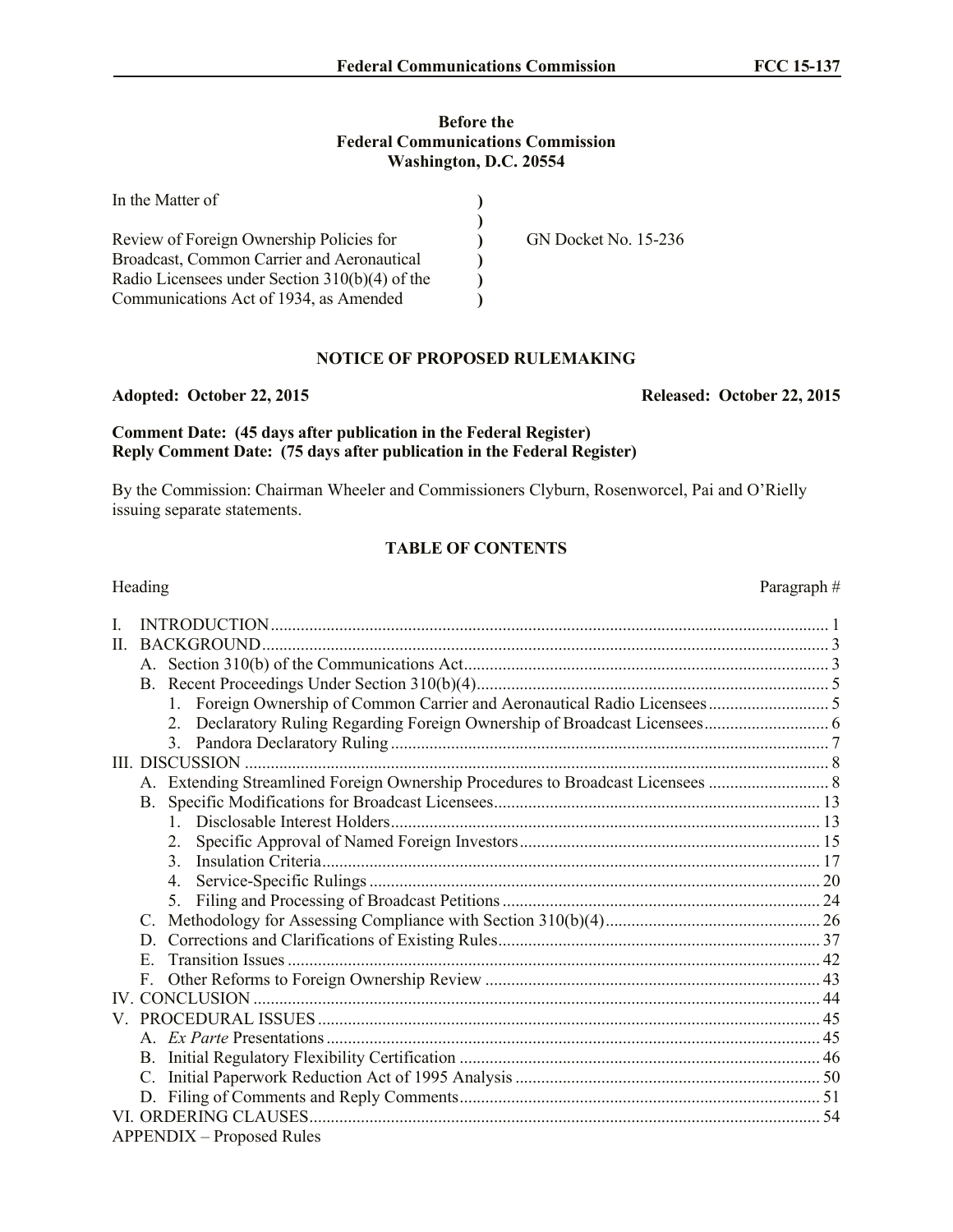## **Before the Federal Communications Commission Washington, D.C. 20554**

| In the Matter of                                  |                             |
|---------------------------------------------------|-----------------------------|
| Review of Foreign Ownership Policies for          | <b>GN Docket No. 15-236</b> |
| <b>Broadcast, Common Carrier and Aeronautical</b> |                             |
| Radio Licensees under Section 310(b)(4) of the    |                             |
| Communications Act of 1934, as Amended            |                             |

# **NOTICE OF PROPOSED RULEMAKING**

**Comment Date: (45 days after publication in the Federal Register) Reply Comment Date: (75 days after publication in the Federal Register)**

By the Commission: Chairman Wheeler and Commissioners Clyburn, Rosenworcel, Pai and O'Rielly issuing separate statements.

# **TABLE OF CONTENTS**

| Heading                          | Paragraph# |
|----------------------------------|------------|
| L                                |            |
| П.                               |            |
|                                  |            |
|                                  |            |
| 1                                |            |
|                                  |            |
|                                  |            |
|                                  |            |
|                                  |            |
| $\mathbf{B}$ .                   |            |
|                                  |            |
| 2.                               |            |
| $\mathcal{E}$                    |            |
| 4.                               |            |
| $5_{-}$                          |            |
| C.                               |            |
| D.                               |            |
| E.                               |            |
| F                                |            |
|                                  |            |
|                                  |            |
|                                  |            |
|                                  |            |
|                                  |            |
| D.                               |            |
|                                  |            |
| <b>APPENDIX - Proposed Rules</b> |            |

#### **Adopted: October 22, 2015 Released: October 22, 2015**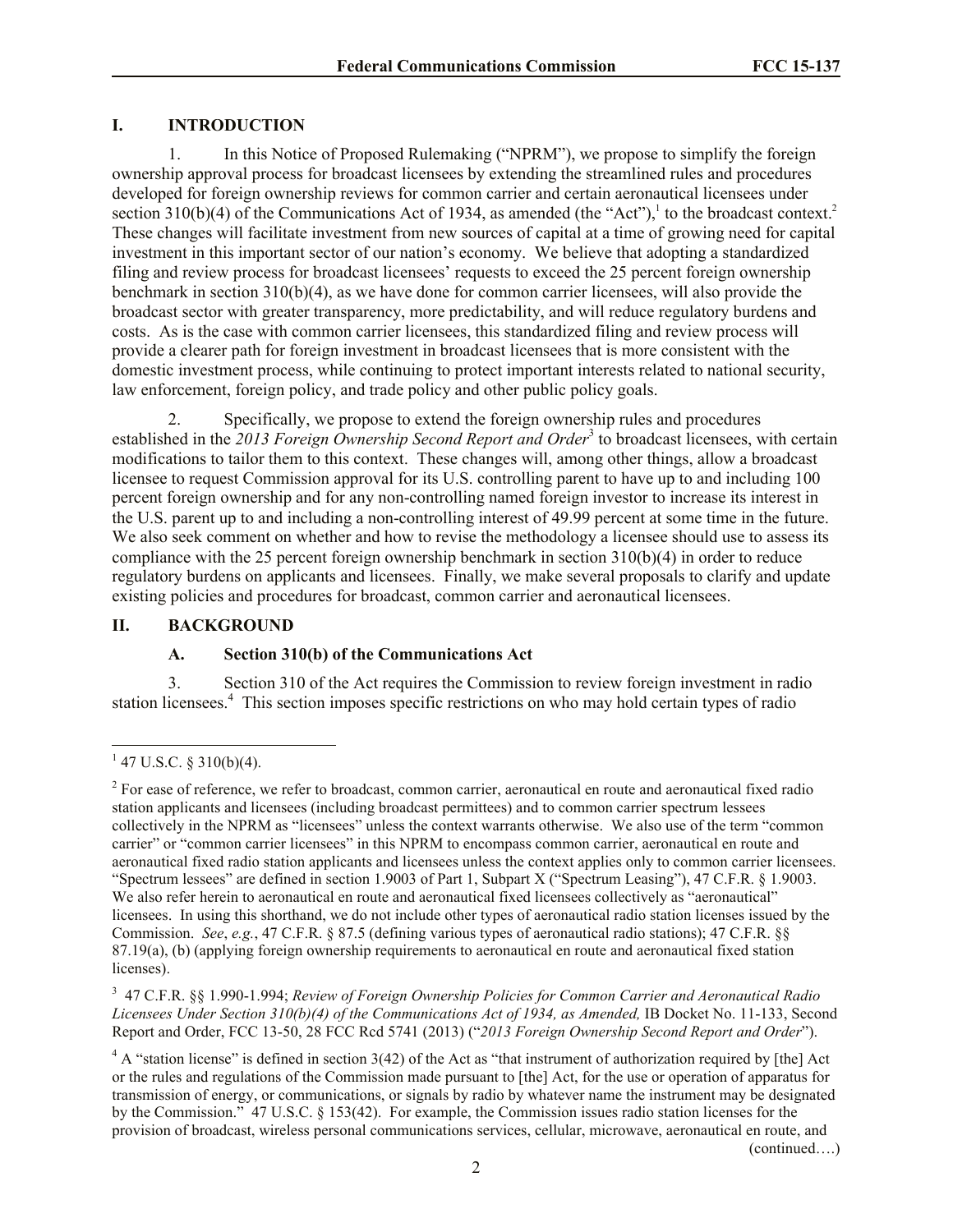## **I. INTRODUCTION**

1. In this Notice of Proposed Rulemaking ("NPRM"), we propose to simplify the foreign ownership approval process for broadcast licensees by extending the streamlined rules and procedures developed for foreign ownership reviews for common carrier and certain aeronautical licensees under section 310(b)(4) of the Communications Act of 1934, as amended (the "Act"),<sup>1</sup> to the broadcast context.<sup>2</sup> These changes will facilitate investment from new sources of capital at a time of growing need for capital investment in this important sector of our nation's economy. We believe that adopting a standardized filing and review process for broadcast licensees' requests to exceed the 25 percent foreign ownership benchmark in section 310(b)(4), as we have done for common carrier licensees, will also provide the broadcast sector with greater transparency, more predictability, and will reduce regulatory burdens and costs. As is the case with common carrier licensees, this standardized filing and review process will provide a clearer path for foreign investment in broadcast licensees that is more consistent with the domestic investment process, while continuing to protect important interests related to national security, law enforcement, foreign policy, and trade policy and other public policy goals.

2. Specifically, we propose to extend the foreign ownership rules and procedures established in the 2013 Foreign Ownership Second Report and Order<sup>3</sup> to broadcast licensees, with certain modifications to tailor them to this context. These changes will, among other things, allow a broadcast licensee to request Commission approval for its U.S. controlling parent to have up to and including 100 percent foreign ownership and for any non-controlling named foreign investor to increase its interest in the U.S. parent up to and including a non-controlling interest of 49.99 percent at some time in the future. We also seek comment on whether and how to revise the methodology a licensee should use to assess its compliance with the 25 percent foreign ownership benchmark in section 310(b)(4) in order to reduce regulatory burdens on applicants and licensees. Finally, we make several proposals to clarify and update existing policies and procedures for broadcast, common carrier and aeronautical licensees.

#### **II. BACKGROUND**

#### **A. Section 310(b) of the Communications Act**

3. Section 310 of the Act requires the Commission to review foreign investment in radio station licensees.<sup>4</sup> This section imposes specific restrictions on who may hold certain types of radio

3 47 C.F.R. §§ 1.990-1.994; *Review of Foreign Ownership Policies for Common Carrier and Aeronautical Radio Licensees Under Section 310(b)(4) of the Communications Act of 1934, as Amended,* IB Docket No. 11-133, Second Report and Order, FCC 13-50, 28 FCC Rcd 5741 (2013) ("*2013 Foreign Ownership Second Report and Order*").

 $1\overline{47 \text{ U.S.C. } }$ § 310(b)(4).

 $2^{2}$  For ease of reference, we refer to broadcast, common carrier, aeronautical en route and aeronautical fixed radio station applicants and licensees (including broadcast permittees) and to common carrier spectrum lessees collectively in the NPRM as "licensees" unless the context warrants otherwise. We also use of the term "common carrier" or "common carrier licensees" in this NPRM to encompass common carrier, aeronautical en route and aeronautical fixed radio station applicants and licensees unless the context applies only to common carrier licensees. "Spectrum lessees" are defined in section 1.9003 of Part 1, Subpart X ("Spectrum Leasing"), 47 C.F.R. § 1.9003. We also refer herein to aeronautical en route and aeronautical fixed licensees collectively as "aeronautical" licensees. In using this shorthand, we do not include other types of aeronautical radio station licenses issued by the Commission. *See*, *e.g.*, 47 C.F.R. § 87.5 (defining various types of aeronautical radio stations); 47 C.F.R. §§ 87.19(a), (b) (applying foreign ownership requirements to aeronautical en route and aeronautical fixed station licenses).

 $4 \text{ A}$  "station license" is defined in section 3(42) of the Act as "that instrument of authorization required by [the] Act or the rules and regulations of the Commission made pursuant to [the] Act, for the use or operation of apparatus for transmission of energy, or communications, or signals by radio by whatever name the instrument may be designated by the Commission." 47 U.S.C. § 153(42). For example, the Commission issues radio station licenses for the provision of broadcast, wireless personal communications services, cellular, microwave, aeronautical en route, and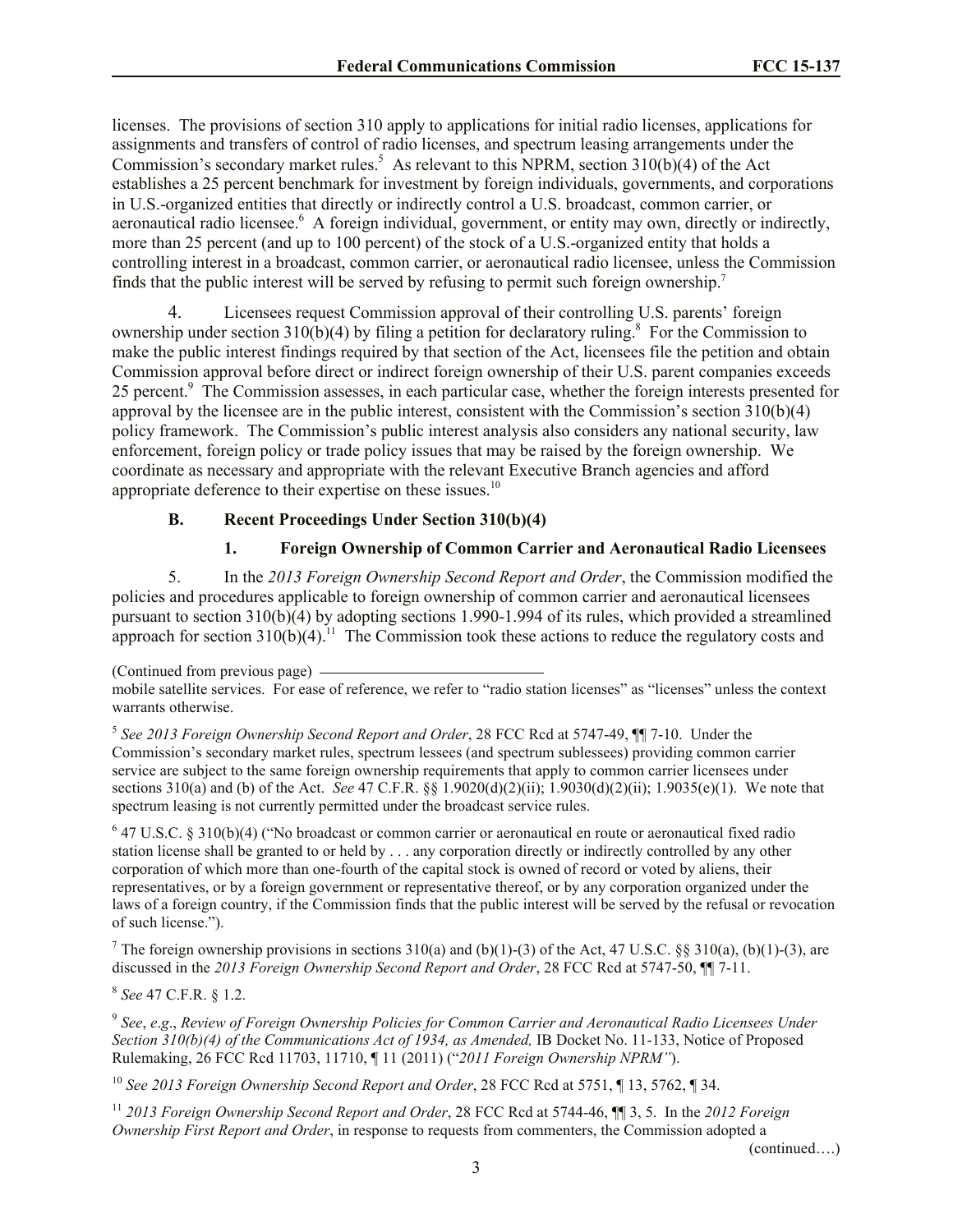licenses. The provisions of section 310 apply to applications for initial radio licenses, applications for assignments and transfers of control of radio licenses, and spectrum leasing arrangements under the Commission's secondary market rules.<sup>5</sup> As relevant to this NPRM, section 310(b)(4) of the Act establishes a 25 percent benchmark for investment by foreign individuals, governments, and corporations in U.S.-organized entities that directly or indirectly control a U.S. broadcast, common carrier, or aeronautical radio licensee.<sup>6</sup> A foreign individual, government, or entity may own, directly or indirectly, more than 25 percent (and up to 100 percent) of the stock of a U.S.-organized entity that holds a controlling interest in a broadcast, common carrier, or aeronautical radio licensee, unless the Commission finds that the public interest will be served by refusing to permit such foreign ownership.<sup>7</sup>

4. Licensees request Commission approval of their controlling U.S. parents' foreign ownership under section 310(b)(4) by filing a petition for declaratory ruling.<sup>8</sup> For the Commission to make the public interest findings required by that section of the Act, licensees file the petition and obtain Commission approval before direct or indirect foreign ownership of their U.S. parent companies exceeds 25 percent.<sup>9</sup> The Commission assesses, in each particular case, whether the foreign interests presented for approval by the licensee are in the public interest, consistent with the Commission's section  $\overline{310(b)(4)}$ policy framework. The Commission's public interest analysis also considers any national security, law enforcement, foreign policy or trade policy issues that may be raised by the foreign ownership. We coordinate as necessary and appropriate with the relevant Executive Branch agencies and afford appropriate deference to their expertise on these issues.<sup>10</sup>

# **B. Recent Proceedings Under Section 310(b)(4)**

# **1. Foreign Ownership of Common Carrier and Aeronautical Radio Licensees**

5. In the *2013 Foreign Ownership Second Report and Order*, the Commission modified the policies and procedures applicable to foreign ownership of common carrier and aeronautical licensees pursuant to section  $310(b)(4)$  by adopting sections 1.990-1.994 of its rules, which provided a streamlined approach for section  $310(b)(4)$ .<sup>11</sup> The Commission took these actions to reduce the regulatory costs and

5 *See 2013 Foreign Ownership Second Report and Order*, 28 FCC Rcd at 5747-49, ¶¶ 7-10. Under the Commission's secondary market rules, spectrum lessees (and spectrum sublessees) providing common carrier service are subject to the same foreign ownership requirements that apply to common carrier licensees under sections 310(a) and (b) of the Act. *See* 47 C.F.R. §§ 1.9020(d)(2)(ii); 1.9030(d)(2)(ii); 1.9035(e)(1). We note that spectrum leasing is not currently permitted under the broadcast service rules.

<sup>6</sup> 47 U.S.C. § 310(b)(4) ("No broadcast or common carrier or aeronautical en route or aeronautical fixed radio station license shall be granted to or held by . . . any corporation directly or indirectly controlled by any other corporation of which more than one-fourth of the capital stock is owned of record or voted by aliens, their representatives, or by a foreign government or representative thereof, or by any corporation organized under the laws of a foreign country, if the Commission finds that the public interest will be served by the refusal or revocation of such license.").

<sup>7</sup> The foreign ownership provisions in sections  $310(a)$  and (b)(1)-(3) of the Act, 47 U.S.C. §§  $310(a)$ , (b)(1)-(3), are discussed in the *2013 Foreign Ownership Second Report and Order*, 28 FCC Rcd at 5747-50, ¶¶ 7-11.

8 *See* 47 C.F.R. § 1.2.

9 *See*, *e*.*g*., *Review of Foreign Ownership Policies for Common Carrier and Aeronautical Radio Licensees Under Section 310(b)(4) of the Communications Act of 1934, as Amended,* IB Docket No. 11-133, Notice of Proposed Rulemaking, 26 FCC Rcd 11703, 11710, ¶ 11 (2011) ("*2011 Foreign Ownership NPRM"*).

<sup>10</sup> *See 2013 Foreign Ownership Second Report and Order*, 28 FCC Rcd at 5751, ¶ 13, 5762, ¶ 34.

<sup>11</sup> *2013 Foreign Ownership Second Report and Order*, 28 FCC Rcd at 5744-46, ¶¶ 3, 5. In the *2012 Foreign Ownership First Report and Order*, in response to requests from commenters, the Commission adopted a

(continued….)

<sup>(</sup>Continued from previous page)

mobile satellite services. For ease of reference, we refer to "radio station licenses" as "licenses" unless the context warrants otherwise.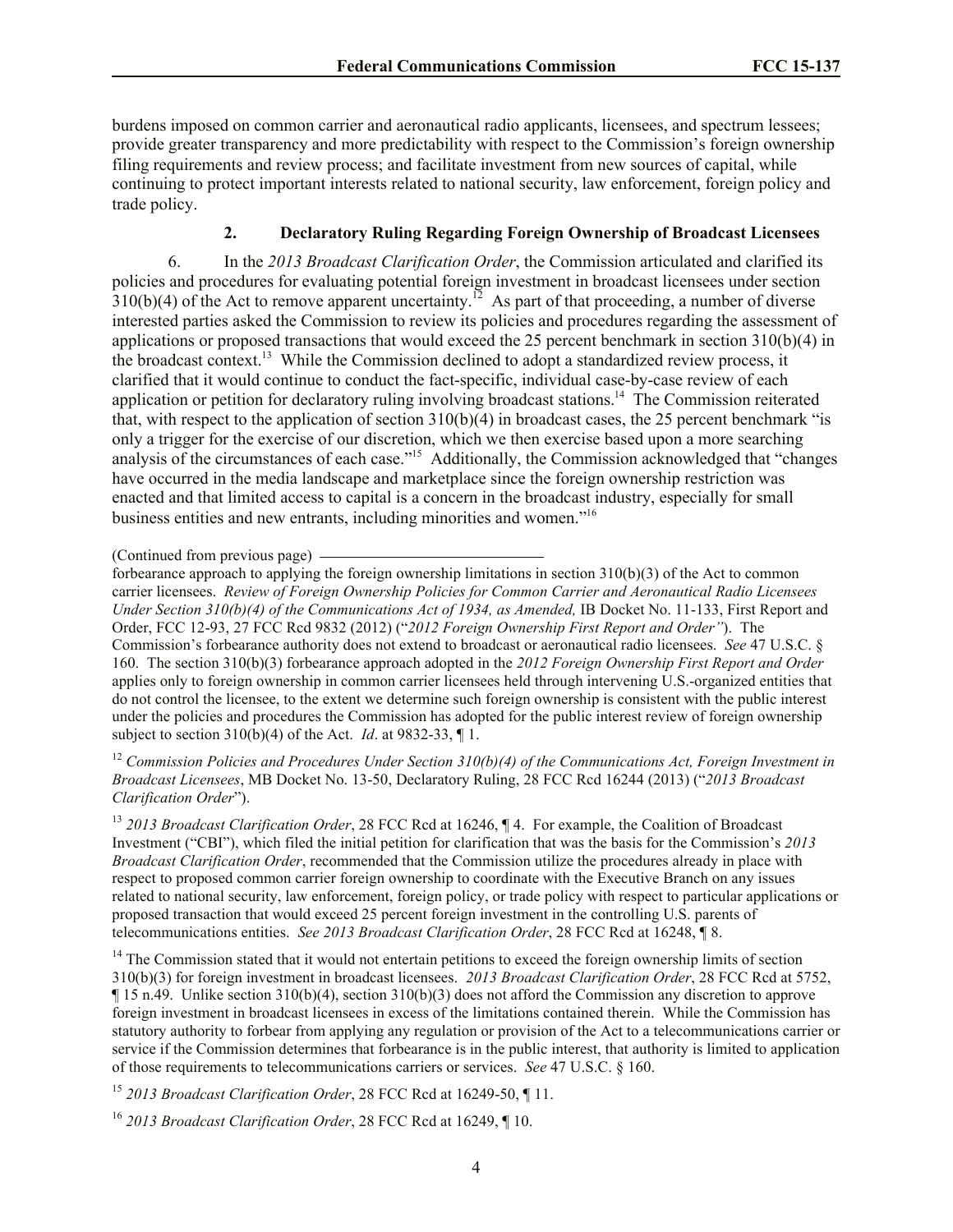burdens imposed on common carrier and aeronautical radio applicants, licensees, and spectrum lessees; provide greater transparency and more predictability with respect to the Commission's foreign ownership filing requirements and review process; and facilitate investment from new sources of capital, while continuing to protect important interests related to national security, law enforcement, foreign policy and trade policy.

# **2. Declaratory Ruling Regarding Foreign Ownership of Broadcast Licensees**

6. In the *2013 Broadcast Clarification Order*, the Commission articulated and clarified its policies and procedures for evaluating potential foreign investment in broadcast licensees under section  $310(b)(4)$  of the Act to remove apparent uncertainty.<sup>12</sup> As part of that proceeding, a number of diverse interested parties asked the Commission to review its policies and procedures regarding the assessment of applications or proposed transactions that would exceed the 25 percent benchmark in section 310(b)(4) in the broadcast context.<sup>13</sup> While the Commission declined to adopt a standardized review process, it clarified that it would continue to conduct the fact-specific, individual case-by-case review of each application or petition for declaratory ruling involving broadcast stations.<sup>14</sup> The Commission reiterated that, with respect to the application of section  $310(b)(4)$  in broadcast cases, the 25 percent benchmark "is only a trigger for the exercise of our discretion, which we then exercise based upon a more searching analysis of the circumstances of each case."<sup>15</sup> Additionally, the Commission acknowledged that "changes" have occurred in the media landscape and marketplace since the foreign ownership restriction was enacted and that limited access to capital is a concern in the broadcast industry, especially for small business entities and new entrants, including minorities and women."<sup>16</sup>

<sup>12</sup> *Commission Policies and Procedures Under Section 310(b)(4) of the Communications Act, Foreign Investment in Broadcast Licensees*, MB Docket No. 13-50, Declaratory Ruling, 28 FCC Rcd 16244 (2013) ("*2013 Broadcast Clarification Order*").

<sup>13</sup> *2013 Broadcast Clarification Order*, 28 FCC Rcd at 16246, ¶ 4. For example, the Coalition of Broadcast Investment ("CBI"), which filed the initial petition for clarification that was the basis for the Commission's *2013 Broadcast Clarification Order*, recommended that the Commission utilize the procedures already in place with respect to proposed common carrier foreign ownership to coordinate with the Executive Branch on any issues related to national security, law enforcement, foreign policy, or trade policy with respect to particular applications or proposed transaction that would exceed 25 percent foreign investment in the controlling U.S. parents of telecommunications entities. *See 2013 Broadcast Clarification Order*, 28 FCC Rcd at 16248, ¶ 8.

<sup>14</sup> The Commission stated that it would not entertain petitions to exceed the foreign ownership limits of section 310(b)(3) for foreign investment in broadcast licensees. *2013 Broadcast Clarification Order*, 28 FCC Rcd at 5752, ¶ 15 n.49. Unlike section 310(b)(4), section 310(b)(3) does not afford the Commission any discretion to approve foreign investment in broadcast licensees in excess of the limitations contained therein. While the Commission has statutory authority to forbear from applying any regulation or provision of the Act to a telecommunications carrier or service if the Commission determines that forbearance is in the public interest, that authority is limited to application of those requirements to telecommunications carriers or services. *See* 47 U.S.C. § 160.

<sup>15</sup> *2013 Broadcast Clarification Order*, 28 FCC Rcd at 16249-50, ¶ 11.

<sup>16</sup> *2013 Broadcast Clarification Order*, 28 FCC Rcd at 16249, ¶ 10.

<sup>(</sup>Continued from previous page)

forbearance approach to applying the foreign ownership limitations in section 310(b)(3) of the Act to common carrier licensees. *Review of Foreign Ownership Policies for Common Carrier and Aeronautical Radio Licensees Under Section 310(b)(4) of the Communications Act of 1934, as Amended,* IB Docket No. 11-133, First Report and Order, FCC 12-93, 27 FCC Rcd 9832 (2012) ("*2012 Foreign Ownership First Report and Order"*). The Commission's forbearance authority does not extend to broadcast or aeronautical radio licensees. *See* 47 U.S.C. § 160. The section 310(b)(3) forbearance approach adopted in the *2012 Foreign Ownership First Report and Order* applies only to foreign ownership in common carrier licensees held through intervening U.S.-organized entities that do not control the licensee, to the extent we determine such foreign ownership is consistent with the public interest under the policies and procedures the Commission has adopted for the public interest review of foreign ownership subject to section 310(b)(4) of the Act. *Id*. at 9832-33, ¶ 1.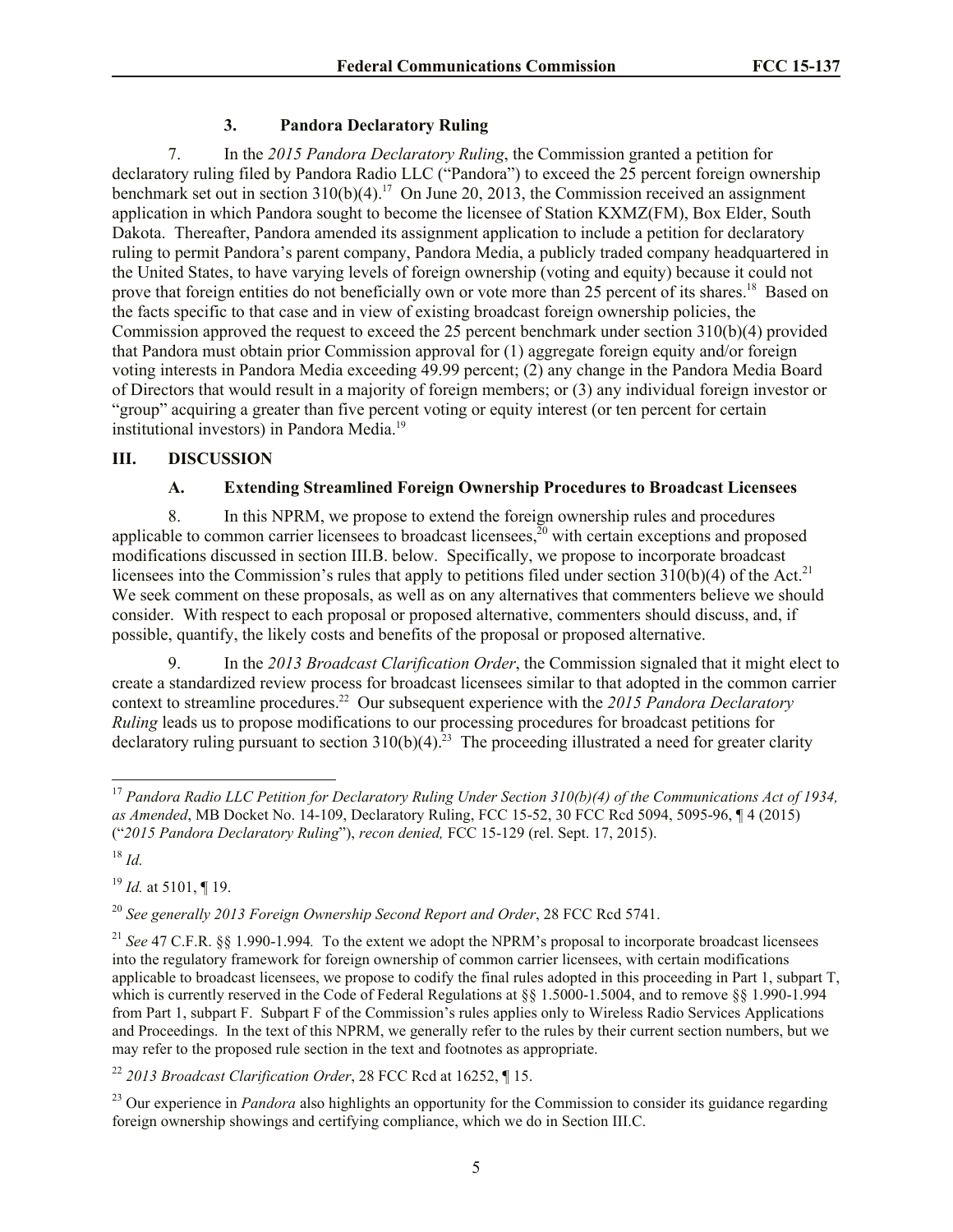# **3. Pandora Declaratory Ruling**

7. In the *2015 Pandora Declaratory Ruling*, the Commission granted a petition for declaratory ruling filed by Pandora Radio LLC ("Pandora") to exceed the 25 percent foreign ownership benchmark set out in section  $310(b)(4)$ .<sup>17</sup> On June 20, 2013, the Commission received an assignment application in which Pandora sought to become the licensee of Station KXMZ(FM), Box Elder, South Dakota. Thereafter, Pandora amended its assignment application to include a petition for declaratory ruling to permit Pandora's parent company, Pandora Media, a publicly traded company headquartered in the United States, to have varying levels of foreign ownership (voting and equity) because it could not prove that foreign entities do not beneficially own or vote more than 25 percent of its shares.<sup>18</sup> Based on the facts specific to that case and in view of existing broadcast foreign ownership policies, the Commission approved the request to exceed the 25 percent benchmark under section 310(b)(4) provided that Pandora must obtain prior Commission approval for (1) aggregate foreign equity and/or foreign voting interests in Pandora Media exceeding 49.99 percent; (2) any change in the Pandora Media Board of Directors that would result in a majority of foreign members; or (3) any individual foreign investor or "group" acquiring a greater than five percent voting or equity interest (or ten percent for certain institutional investors) in Pandora Media.<sup>19</sup>

# **III. DISCUSSION**

# **A. Extending Streamlined Foreign Ownership Procedures to Broadcast Licensees**

8. In this NPRM, we propose to extend the foreign ownership rules and procedures applicable to common carrier licensees to broadcast licensees, $\bar{z}^0$  with certain exceptions and proposed modifications discussed in section III.B. below. Specifically, we propose to incorporate broadcast licensees into the Commission's rules that apply to petitions filed under section  $310(b)(4)$  of the Act.<sup>21</sup> We seek comment on these proposals, as well as on any alternatives that commenters believe we should consider. With respect to each proposal or proposed alternative, commenters should discuss, and, if possible, quantify, the likely costs and benefits of the proposal or proposed alternative.

9. In the *2013 Broadcast Clarification Order*, the Commission signaled that it might elect to create a standardized review process for broadcast licensees similar to that adopted in the common carrier context to streamline procedures.<sup>22</sup> Our subsequent experience with the 2015 Pandora Declaratory *Ruling* leads us to propose modifications to our processing procedures for broadcast petitions for declaratory ruling pursuant to section  $310(b)(4)$ .<sup>23</sup> The proceeding illustrated a need for greater clarity

<sup>19</sup> *Id.* at 5101, ¶ 19.

<sup>22</sup> *2013 Broadcast Clarification Order*, 28 FCC Rcd at 16252, ¶ 15.

l <sup>17</sup> *Pandora Radio LLC Petition for Declaratory Ruling Under Section 310(b)(4) of the Communications Act of 1934, as Amended*, MB Docket No. 14-109, Declaratory Ruling, FCC 15-52, 30 FCC Rcd 5094, 5095-96, ¶ 4 (2015) ("*2015 Pandora Declaratory Ruling*"), *recon denied,* FCC 15-129 (rel. Sept. 17, 2015).

<sup>18</sup> *Id.*

<sup>20</sup> *See generally 2013 Foreign Ownership Second Report and Order*, 28 FCC Rcd 5741.

<sup>21</sup> *See* 47 C.F.R. §§ 1.990-1.994*.* To the extent we adopt the NPRM's proposal to incorporate broadcast licensees into the regulatory framework for foreign ownership of common carrier licensees, with certain modifications applicable to broadcast licensees, we propose to codify the final rules adopted in this proceeding in Part 1, subpart T, which is currently reserved in the Code of Federal Regulations at §§ 1.5000-1.5004, and to remove §§ 1.990-1.994 from Part 1, subpart F. Subpart F of the Commission's rules applies only to Wireless Radio Services Applications and Proceedings. In the text of this NPRM, we generally refer to the rules by their current section numbers, but we may refer to the proposed rule section in the text and footnotes as appropriate.

<sup>&</sup>lt;sup>23</sup> Our experience in *Pandora* also highlights an opportunity for the Commission to consider its guidance regarding foreign ownership showings and certifying compliance, which we do in Section III.C.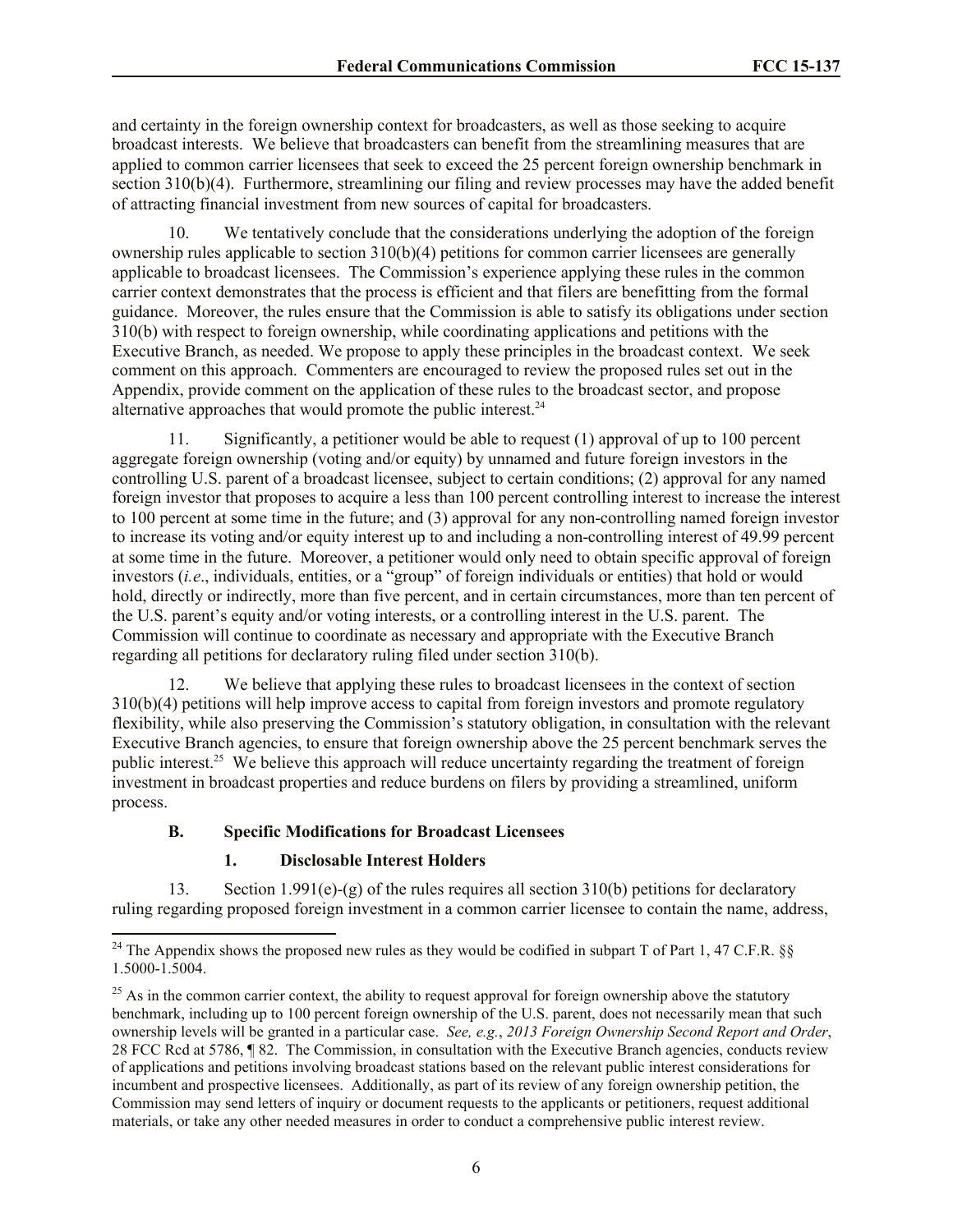and certainty in the foreign ownership context for broadcasters, as well as those seeking to acquire broadcast interests. We believe that broadcasters can benefit from the streamlining measures that are applied to common carrier licensees that seek to exceed the 25 percent foreign ownership benchmark in section 310(b)(4). Furthermore, streamlining our filing and review processes may have the added benefit of attracting financial investment from new sources of capital for broadcasters.

10. We tentatively conclude that the considerations underlying the adoption of the foreign ownership rules applicable to section  $310(b)(4)$  petitions for common carrier licensees are generally applicable to broadcast licensees. The Commission's experience applying these rules in the common carrier context demonstrates that the process is efficient and that filers are benefitting from the formal guidance. Moreover, the rules ensure that the Commission is able to satisfy its obligations under section 310(b) with respect to foreign ownership, while coordinating applications and petitions with the Executive Branch, as needed. We propose to apply these principles in the broadcast context. We seek comment on this approach. Commenters are encouraged to review the proposed rules set out in the Appendix, provide comment on the application of these rules to the broadcast sector, and propose alternative approaches that would promote the public interest. $24$ 

11. Significantly, a petitioner would be able to request (1) approval of up to 100 percent aggregate foreign ownership (voting and/or equity) by unnamed and future foreign investors in the controlling U.S. parent of a broadcast licensee, subject to certain conditions; (2) approval for any named foreign investor that proposes to acquire a less than 100 percent controlling interest to increase the interest to 100 percent at some time in the future; and (3) approval for any non-controlling named foreign investor to increase its voting and/or equity interest up to and including a non-controlling interest of 49.99 percent at some time in the future. Moreover, a petitioner would only need to obtain specific approval of foreign investors (*i.e*., individuals, entities, or a "group" of foreign individuals or entities) that hold or would hold, directly or indirectly, more than five percent, and in certain circumstances, more than ten percent of the U.S. parent's equity and/or voting interests, or a controlling interest in the U.S. parent. The Commission will continue to coordinate as necessary and appropriate with the Executive Branch regarding all petitions for declaratory ruling filed under section 310(b).

12. We believe that applying these rules to broadcast licensees in the context of section 310(b)(4) petitions will help improve access to capital from foreign investors and promote regulatory flexibility, while also preserving the Commission's statutory obligation, in consultation with the relevant Executive Branch agencies, to ensure that foreign ownership above the 25 percent benchmark serves the public interest.<sup>25</sup> We believe this approach will reduce uncertainty regarding the treatment of foreign investment in broadcast properties and reduce burdens on filers by providing a streamlined, uniform process.

# **B. Specific Modifications for Broadcast Licensees**

#### **1. Disclosable Interest Holders**

l

13. Section 1.991(e)-(g) of the rules requires all section 310(b) petitions for declaratory ruling regarding proposed foreign investment in a common carrier licensee to contain the name, address,

<sup>&</sup>lt;sup>24</sup> The Appendix shows the proposed new rules as they would be codified in subpart T of Part 1, 47 C.F.R. §§ 1.5000-1.5004.

 $^{25}$  As in the common carrier context, the ability to request approval for foreign ownership above the statutory benchmark, including up to 100 percent foreign ownership of the U.S. parent, does not necessarily mean that such ownership levels will be granted in a particular case. *See, e.g.*, *2013 Foreign Ownership Second Report and Order*, 28 FCC Rcd at 5786, ¶ 82. The Commission, in consultation with the Executive Branch agencies, conducts review of applications and petitions involving broadcast stations based on the relevant public interest considerations for incumbent and prospective licensees. Additionally, as part of its review of any foreign ownership petition, the Commission may send letters of inquiry or document requests to the applicants or petitioners, request additional materials, or take any other needed measures in order to conduct a comprehensive public interest review.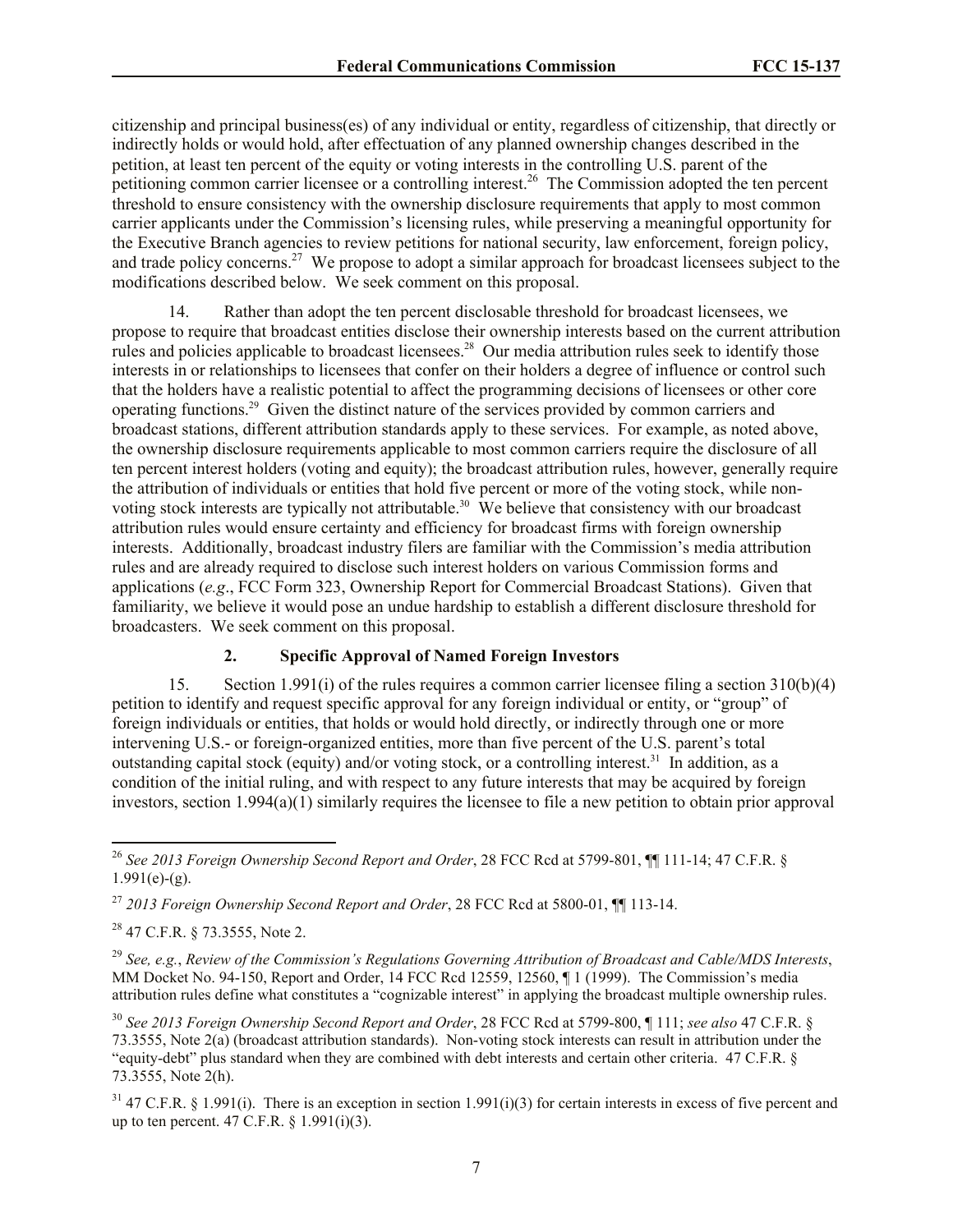citizenship and principal business(es) of any individual or entity, regardless of citizenship, that directly or indirectly holds or would hold, after effectuation of any planned ownership changes described in the petition, at least ten percent of the equity or voting interests in the controlling U.S. parent of the petitioning common carrier licensee or a controlling interest.<sup>26</sup> The Commission adopted the ten percent threshold to ensure consistency with the ownership disclosure requirements that apply to most common carrier applicants under the Commission's licensing rules, while preserving a meaningful opportunity for the Executive Branch agencies to review petitions for national security, law enforcement, foreign policy, and trade policy concerns.<sup>27</sup> We propose to adopt a similar approach for broadcast licensees subject to the modifications described below. We seek comment on this proposal.

14. Rather than adopt the ten percent disclosable threshold for broadcast licensees, we propose to require that broadcast entities disclose their ownership interests based on the current attribution rules and policies applicable to broadcast licensees.<sup>28</sup> Our media attribution rules seek to identify those interests in or relationships to licensees that confer on their holders a degree of influence or control such that the holders have a realistic potential to affect the programming decisions of licensees or other core operating functions.<sup>29</sup> Given the distinct nature of the services provided by common carriers and broadcast stations, different attribution standards apply to these services. For example, as noted above, the ownership disclosure requirements applicable to most common carriers require the disclosure of all ten percent interest holders (voting and equity); the broadcast attribution rules, however, generally require the attribution of individuals or entities that hold five percent or more of the voting stock, while nonvoting stock interests are typically not attributable.<sup>30</sup> We believe that consistency with our broadcast attribution rules would ensure certainty and efficiency for broadcast firms with foreign ownership interests. Additionally, broadcast industry filers are familiar with the Commission's media attribution rules and are already required to disclose such interest holders on various Commission forms and applications (*e.g*., FCC Form 323, Ownership Report for Commercial Broadcast Stations). Given that familiarity, we believe it would pose an undue hardship to establish a different disclosure threshold for broadcasters. We seek comment on this proposal.

# **2. Specific Approval of Named Foreign Investors**

15. Section 1.991(i) of the rules requires a common carrier licensee filing a section 310(b)(4) petition to identify and request specific approval for any foreign individual or entity, or "group" of foreign individuals or entities, that holds or would hold directly, or indirectly through one or more intervening U.S.- or foreign-organized entities, more than five percent of the U.S. parent's total outstanding capital stock (equity) and/or voting stock, or a controlling interest.<sup>31</sup> In addition, as a condition of the initial ruling, and with respect to any future interests that may be acquired by foreign investors, section 1.994(a)(1) similarly requires the licensee to file a new petition to obtain prior approval

l <sup>26</sup> *See 2013 Foreign Ownership Second Report and Order*, 28 FCC Rcd at 5799-801, ¶¶ 111-14; 47 C.F.R. §  $1.991(e)$ -(g).

<sup>27</sup> *2013 Foreign Ownership Second Report and Order*, 28 FCC Rcd at 5800-01, ¶¶ 113-14.

<sup>28</sup> 47 C.F.R. § 73.3555, Note 2.

<sup>29</sup> *See, e.g.*, *Review of the Commission's Regulations Governing Attribution of Broadcast and Cable/MDS Interests*, MM Docket No. 94-150, Report and Order, 14 FCC Rcd 12559, 12560, ¶ 1 (1999). The Commission's media attribution rules define what constitutes a "cognizable interest" in applying the broadcast multiple ownership rules.

<sup>30</sup> *See 2013 Foreign Ownership Second Report and Order*, 28 FCC Rcd at 5799-800, ¶ 111; *see also* 47 C.F.R. § 73.3555, Note 2(a) (broadcast attribution standards). Non-voting stock interests can result in attribution under the "equity-debt" plus standard when they are combined with debt interests and certain other criteria. 47 C.F.R. § 73.3555, Note 2(h).

 $31$  47 C.F.R. § 1.991(i). There is an exception in section 1.991(i)(3) for certain interests in excess of five percent and up to ten percent.  $47 \text{ C.F.R. }$  §  $1.991(i)(3)$ .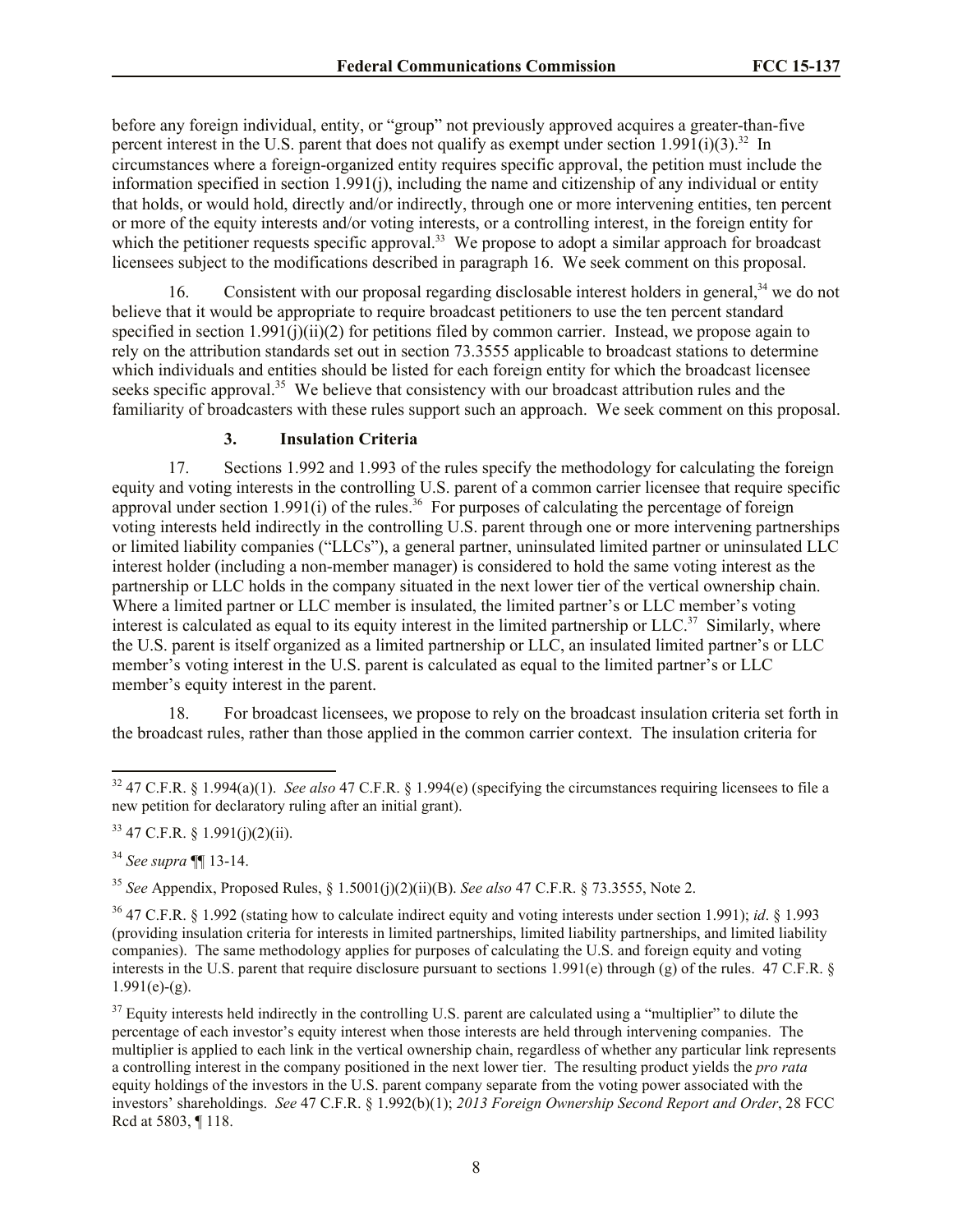before any foreign individual, entity, or "group" not previously approved acquires a greater-than-five percent interest in the U.S. parent that does not qualify as exempt under section  $1.991(i)(3)$ .<sup>32</sup> In circumstances where a foreign-organized entity requires specific approval, the petition must include the information specified in section 1.991(j), including the name and citizenship of any individual or entity that holds, or would hold, directly and/or indirectly, through one or more intervening entities, ten percent or more of the equity interests and/or voting interests, or a controlling interest, in the foreign entity for which the petitioner requests specific approval.<sup>33</sup> We propose to adopt a similar approach for broadcast licensees subject to the modifications described in paragraph 16. We seek comment on this proposal.

Consistent with our proposal regarding disclosable interest holders in general,  $34$  we do not believe that it would be appropriate to require broadcast petitioners to use the ten percent standard specified in section 1.991(j)(ii)(2) for petitions filed by common carrier. Instead, we propose again to rely on the attribution standards set out in section 73.3555 applicable to broadcast stations to determine which individuals and entities should be listed for each foreign entity for which the broadcast licensee seeks specific approval.<sup>35</sup> We believe that consistency with our broadcast attribution rules and the familiarity of broadcasters with these rules support such an approach. We seek comment on this proposal.

#### **3. Insulation Criteria**

17. Sections 1.992 and 1.993 of the rules specify the methodology for calculating the foreign equity and voting interests in the controlling U.S. parent of a common carrier licensee that require specific approval under section 1.991(i) of the rules.<sup>36</sup> For purposes of calculating the percentage of foreign voting interests held indirectly in the controlling U.S. parent through one or more intervening partnerships or limited liability companies ("LLCs"), a general partner, uninsulated limited partner or uninsulated LLC interest holder (including a non-member manager) is considered to hold the same voting interest as the partnership or LLC holds in the company situated in the next lower tier of the vertical ownership chain. Where a limited partner or LLC member is insulated, the limited partner's or LLC member's voting interest is calculated as equal to its equity interest in the limited partnership or  $LLC<sup>37</sup>$  Similarly, where the U.S. parent is itself organized as a limited partnership or LLC, an insulated limited partner's or LLC member's voting interest in the U.S. parent is calculated as equal to the limited partner's or LLC member's equity interest in the parent.

18. For broadcast licensees, we propose to rely on the broadcast insulation criteria set forth in the broadcast rules, rather than those applied in the common carrier context. The insulation criteria for

<sup>34</sup> *See supra* ¶¶ 13-14.

<sup>35</sup> *See* Appendix, Proposed Rules, § 1.5001(j)(2)(ii)(B). *See also* 47 C.F.R. § 73.3555, Note 2.

<sup>36</sup> 47 C.F.R. § 1.992 (stating how to calculate indirect equity and voting interests under section 1.991); *id*. § 1.993 (providing insulation criteria for interests in limited partnerships, limited liability partnerships, and limited liability companies). The same methodology applies for purposes of calculating the U.S. and foreign equity and voting interests in the U.S. parent that require disclosure pursuant to sections 1.991(e) through (g) of the rules. 47 C.F.R. §  $1.991(e)$ -(g).

 $37$  Equity interests held indirectly in the controlling U.S. parent are calculated using a "multiplier" to dilute the percentage of each investor's equity interest when those interests are held through intervening companies. The multiplier is applied to each link in the vertical ownership chain, regardless of whether any particular link represents a controlling interest in the company positioned in the next lower tier. The resulting product yields the *pro rata* equity holdings of the investors in the U.S. parent company separate from the voting power associated with the investors' shareholdings. *See* 47 C.F.R. § 1.992(b)(1); *2013 Foreign Ownership Second Report and Order*, 28 FCC Rcd at 5803, ¶ 118.

l <sup>32</sup> 47 C.F.R. § 1.994(a)(1). *See also* 47 C.F.R. § 1.994(e) (specifying the circumstances requiring licensees to file a new petition for declaratory ruling after an initial grant).

 $33$  47 C.F.R. § 1.991(j)(2)(ii).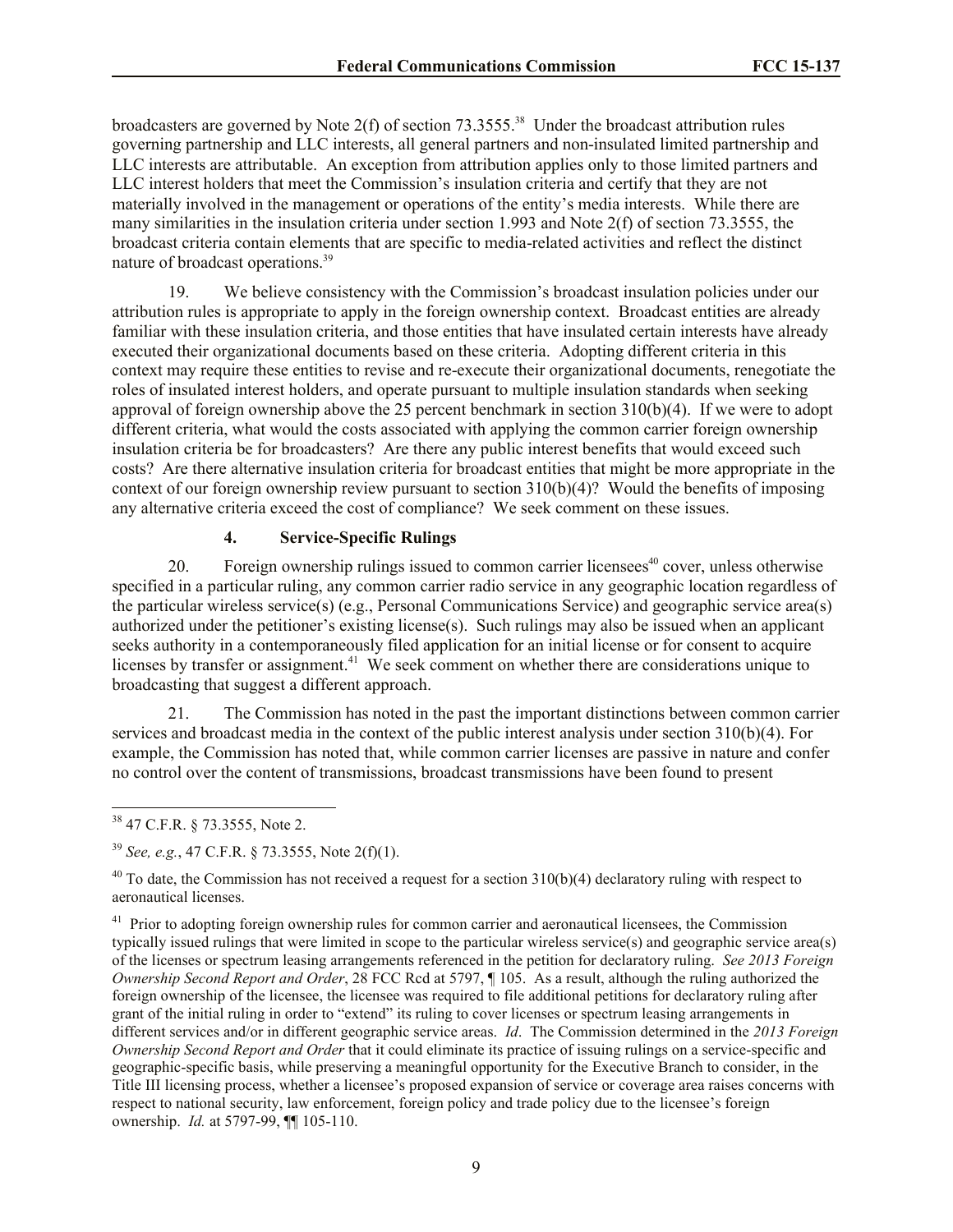broadcasters are governed by Note  $2(f)$  of section  $73.3555$ <sup>38</sup> Under the broadcast attribution rules governing partnership and LLC interests, all general partners and non-insulated limited partnership and LLC interests are attributable. An exception from attribution applies only to those limited partners and LLC interest holders that meet the Commission's insulation criteria and certify that they are not materially involved in the management or operations of the entity's media interests. While there are many similarities in the insulation criteria under section 1.993 and Note 2(f) of section 73.3555, the broadcast criteria contain elements that are specific to media-related activities and reflect the distinct nature of broadcast operations.<sup>39</sup>

19. We believe consistency with the Commission's broadcast insulation policies under our attribution rules is appropriate to apply in the foreign ownership context. Broadcast entities are already familiar with these insulation criteria, and those entities that have insulated certain interests have already executed their organizational documents based on these criteria. Adopting different criteria in this context may require these entities to revise and re-execute their organizational documents, renegotiate the roles of insulated interest holders, and operate pursuant to multiple insulation standards when seeking approval of foreign ownership above the 25 percent benchmark in section 310(b)(4). If we were to adopt different criteria, what would the costs associated with applying the common carrier foreign ownership insulation criteria be for broadcasters? Are there any public interest benefits that would exceed such costs? Are there alternative insulation criteria for broadcast entities that might be more appropriate in the context of our foreign ownership review pursuant to section 310(b)(4)? Would the benefits of imposing any alternative criteria exceed the cost of compliance? We seek comment on these issues.

# **4. Service-Specific Rulings**

20. Foreign ownership rulings issued to common carrier licensees<sup>40</sup> cover, unless otherwise specified in a particular ruling, any common carrier radio service in any geographic location regardless of the particular wireless service(s) (e.g., Personal Communications Service) and geographic service area(s) authorized under the petitioner's existing license(s). Such rulings may also be issued when an applicant seeks authority in a contemporaneously filed application for an initial license or for consent to acquire licenses by transfer or assignment.<sup>41</sup> We seek comment on whether there are considerations unique to broadcasting that suggest a different approach.

21. The Commission has noted in the past the important distinctions between common carrier services and broadcast media in the context of the public interest analysis under section 310(b)(4). For example, the Commission has noted that, while common carrier licenses are passive in nature and confer no control over the content of transmissions, broadcast transmissions have been found to present

<sup>38</sup> 47 C.F.R. § 73.3555, Note 2.

<sup>39</sup> *See, e.g.*, 47 C.F.R. § 73.3555, Note 2(f)(1).

 $40$  To date, the Commission has not received a request for a section 310(b)(4) declaratory ruling with respect to aeronautical licenses.

<sup>&</sup>lt;sup>41</sup> Prior to adopting foreign ownership rules for common carrier and aeronautical licensees, the Commission typically issued rulings that were limited in scope to the particular wireless service(s) and geographic service area(s) of the licenses or spectrum leasing arrangements referenced in the petition for declaratory ruling. *See 2013 Foreign Ownership Second Report and Order*, 28 FCC Rcd at 5797, ¶ 105. As a result, although the ruling authorized the foreign ownership of the licensee, the licensee was required to file additional petitions for declaratory ruling after grant of the initial ruling in order to "extend" its ruling to cover licenses or spectrum leasing arrangements in different services and/or in different geographic service areas. *Id*. The Commission determined in the *2013 Foreign Ownership Second Report and Order* that it could eliminate its practice of issuing rulings on a service-specific and geographic-specific basis, while preserving a meaningful opportunity for the Executive Branch to consider, in the Title III licensing process, whether a licensee's proposed expansion of service or coverage area raises concerns with respect to national security, law enforcement, foreign policy and trade policy due to the licensee's foreign ownership. *Id.* at 5797-99, ¶¶ 105-110.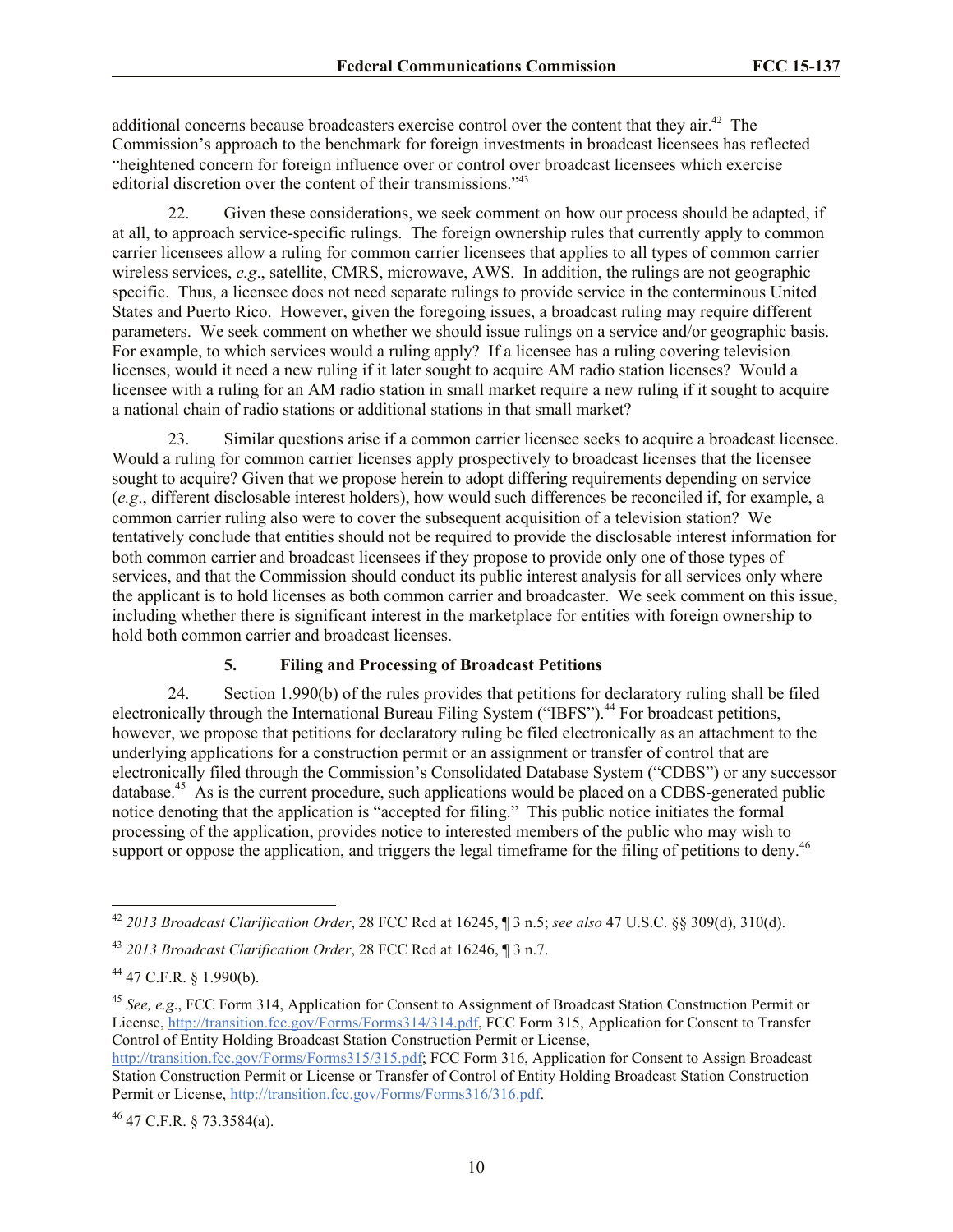additional concerns because broadcasters exercise control over the content that they air.<sup>42</sup> The Commission's approach to the benchmark for foreign investments in broadcast licensees has reflected "heightened concern for foreign influence over or control over broadcast licensees which exercise editorial discretion over the content of their transmissions."<sup>43</sup>

22. Given these considerations, we seek comment on how our process should be adapted, if at all, to approach service-specific rulings. The foreign ownership rules that currently apply to common carrier licensees allow a ruling for common carrier licensees that applies to all types of common carrier wireless services, *e.g*., satellite, CMRS, microwave, AWS. In addition, the rulings are not geographic specific. Thus, a licensee does not need separate rulings to provide service in the conterminous United States and Puerto Rico. However, given the foregoing issues, a broadcast ruling may require different parameters. We seek comment on whether we should issue rulings on a service and/or geographic basis. For example, to which services would a ruling apply? If a licensee has a ruling covering television licenses, would it need a new ruling if it later sought to acquire AM radio station licenses? Would a licensee with a ruling for an AM radio station in small market require a new ruling if it sought to acquire a national chain of radio stations or additional stations in that small market?

23. Similar questions arise if a common carrier licensee seeks to acquire a broadcast licensee. Would a ruling for common carrier licenses apply prospectively to broadcast licenses that the licensee sought to acquire? Given that we propose herein to adopt differing requirements depending on service (*e.g*., different disclosable interest holders), how would such differences be reconciled if, for example, a common carrier ruling also were to cover the subsequent acquisition of a television station? We tentatively conclude that entities should not be required to provide the disclosable interest information for both common carrier and broadcast licensees if they propose to provide only one of those types of services, and that the Commission should conduct its public interest analysis for all services only where the applicant is to hold licenses as both common carrier and broadcaster. We seek comment on this issue, including whether there is significant interest in the marketplace for entities with foreign ownership to hold both common carrier and broadcast licenses.

#### **5. Filing and Processing of Broadcast Petitions**

24. Section 1.990(b) of the rules provides that petitions for declaratory ruling shall be filed electronically through the International Bureau Filing System ("IBFS").<sup>44</sup> For broadcast petitions, however, we propose that petitions for declaratory ruling be filed electronically as an attachment to the underlying applications for a construction permit or an assignment or transfer of control that are electronically filed through the Commission's Consolidated Database System ("CDBS") or any successor database.<sup>45</sup> As is the current procedure, such applications would be placed on a CDBS-generated public notice denoting that the application is "accepted for filing." This public notice initiates the formal processing of the application, provides notice to interested members of the public who may wish to support or oppose the application, and triggers the legal timeframe for the filing of petitions to deny.<sup>46</sup>

l

<sup>45</sup> *See, e.g*., FCC Form 314, Application for Consent to Assignment of Broadcast Station Construction Permit or License, http://transition.fcc.gov/Forms/Forms314/314.pdf, FCC Form 315, Application for Consent to Transfer Control of Entity Holding Broadcast Station Construction Permit or License,

http://transition.fcc.gov/Forms/Forms315/315.pdf; FCC Form 316, Application for Consent to Assign Broadcast Station Construction Permit or License or Transfer of Control of Entity Holding Broadcast Station Construction Permit or License, http://transition.fcc.gov/Forms/Forms316/316.pdf.

 $^{46}$  47 C.F.R. § 73.3584(a).

<sup>42</sup> *2013 Broadcast Clarification Order*, 28 FCC Rcd at 16245, ¶ 3 n.5; *see also* 47 U.S.C. §§ 309(d), 310(d).

<sup>43</sup> *2013 Broadcast Clarification Order*, 28 FCC Rcd at 16246, ¶ 3 n.7.

<sup>44</sup> 47 C.F.R. § 1.990(b).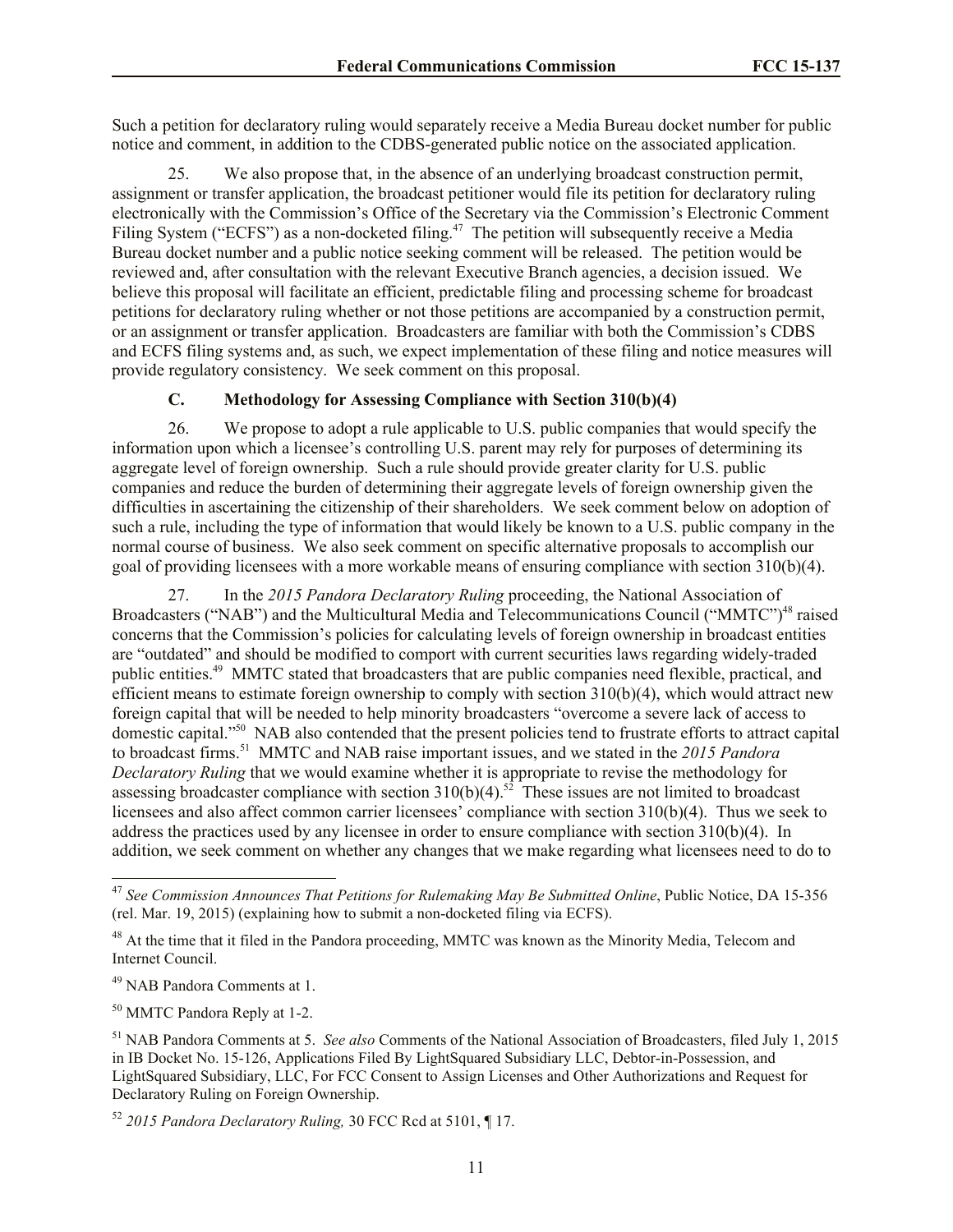Such a petition for declaratory ruling would separately receive a Media Bureau docket number for public notice and comment, in addition to the CDBS-generated public notice on the associated application.

25. We also propose that, in the absence of an underlying broadcast construction permit, assignment or transfer application, the broadcast petitioner would file its petition for declaratory ruling electronically with the Commission's Office of the Secretary via the Commission's Electronic Comment Filing System ("ECFS") as a non-docketed filing.<sup>47</sup> The petition will subsequently receive a Media Bureau docket number and a public notice seeking comment will be released. The petition would be reviewed and, after consultation with the relevant Executive Branch agencies, a decision issued. We believe this proposal will facilitate an efficient, predictable filing and processing scheme for broadcast petitions for declaratory ruling whether or not those petitions are accompanied by a construction permit, or an assignment or transfer application. Broadcasters are familiar with both the Commission's CDBS and ECFS filing systems and, as such, we expect implementation of these filing and notice measures will provide regulatory consistency. We seek comment on this proposal.

#### **C. Methodology for Assessing Compliance with Section 310(b)(4)**

26. We propose to adopt a rule applicable to U.S. public companies that would specify the information upon which a licensee's controlling U.S. parent may rely for purposes of determining its aggregate level of foreign ownership. Such a rule should provide greater clarity for U.S. public companies and reduce the burden of determining their aggregate levels of foreign ownership given the difficulties in ascertaining the citizenship of their shareholders. We seek comment below on adoption of such a rule, including the type of information that would likely be known to a U.S. public company in the normal course of business. We also seek comment on specific alternative proposals to accomplish our goal of providing licensees with a more workable means of ensuring compliance with section 310(b)(4).

27. In the *2015 Pandora Declaratory Ruling* proceeding, the National Association of Broadcasters ("NAB") and the Multicultural Media and Telecommunications Council ("MMTC")<sup>48</sup> raised concerns that the Commission's policies for calculating levels of foreign ownership in broadcast entities are "outdated" and should be modified to comport with current securities laws regarding widely-traded public entities.<sup>49</sup> MMTC stated that broadcasters that are public companies need flexible, practical, and efficient means to estimate foreign ownership to comply with section 310(b)(4), which would attract new foreign capital that will be needed to help minority broadcasters "overcome a severe lack of access to domestic capital."<sup>50</sup> NAB also contended that the present policies tend to frustrate efforts to attract capital to broadcast firms.<sup>51</sup> MMTC and NAB raise important issues, and we stated in the *2015 Pandora Declaratory Ruling* that we would examine whether it is appropriate to revise the methodology for assessing broadcaster compliance with section  $310(b)(4)$ .<sup>52</sup> These issues are not limited to broadcast licensees and also affect common carrier licensees' compliance with section 310(b)(4). Thus we seek to address the practices used by any licensee in order to ensure compliance with section 310(b)(4). In addition, we seek comment on whether any changes that we make regarding what licensees need to do to

l

<sup>50</sup> MMTC Pandora Reply at 1-2.

<sup>47</sup> *See Commission Announces That Petitions for Rulemaking May Be Submitted Online*, Public Notice, DA 15-356 (rel. Mar. 19, 2015) (explaining how to submit a non-docketed filing via ECFS).

<sup>&</sup>lt;sup>48</sup> At the time that it filed in the Pandora proceeding, MMTC was known as the Minority Media, Telecom and Internet Council.

<sup>49</sup> NAB Pandora Comments at 1.

<sup>51</sup> NAB Pandora Comments at 5. *See also* Comments of the National Association of Broadcasters, filed July 1, 2015 in IB Docket No. 15-126, Applications Filed By LightSquared Subsidiary LLC, Debtor-in-Possession, and LightSquared Subsidiary, LLC, For FCC Consent to Assign Licenses and Other Authorizations and Request for Declaratory Ruling on Foreign Ownership.

<sup>52</sup> *2015 Pandora Declaratory Ruling,* 30 FCC Rcd at 5101, ¶ 17.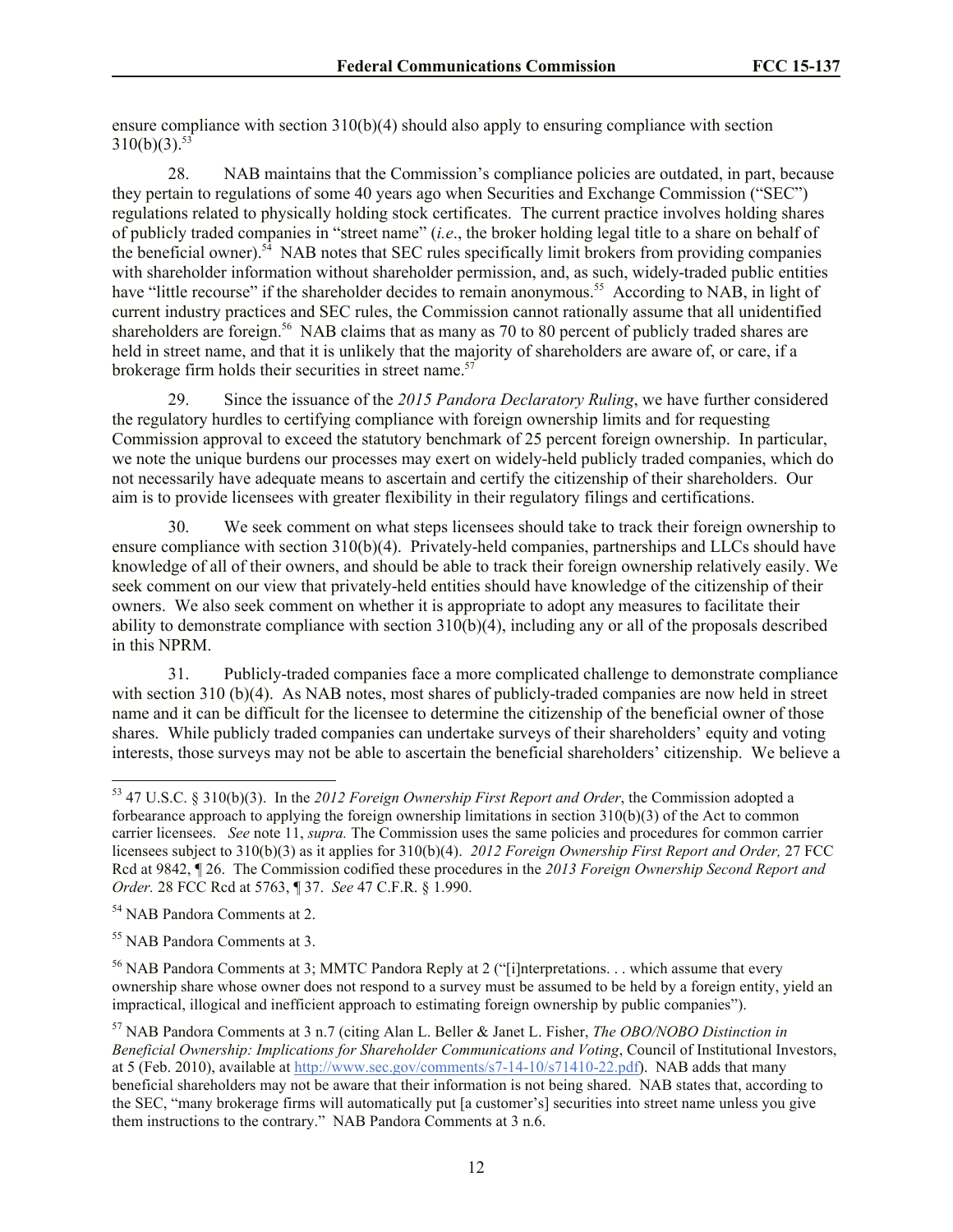ensure compliance with section 310(b)(4) should also apply to ensuring compliance with section  $310(b)(3).$ <sup>53</sup>

28. NAB maintains that the Commission's compliance policies are outdated, in part, because they pertain to regulations of some 40 years ago when Securities and Exchange Commission ("SEC") regulations related to physically holding stock certificates. The current practice involves holding shares of publicly traded companies in "street name" (*i.e*., the broker holding legal title to a share on behalf of the beneficial owner).<sup>54</sup> NAB notes that SEC rules specifically limit brokers from providing companies with shareholder information without shareholder permission, and, as such, widely-traded public entities have "little recourse" if the shareholder decides to remain anonymous.<sup>55</sup> According to NAB, in light of current industry practices and SEC rules, the Commission cannot rationally assume that all unidentified shareholders are foreign.<sup>56</sup> NAB claims that as many as 70 to 80 percent of publicly traded shares are held in street name, and that it is unlikely that the majority of shareholders are aware of, or care, if a brokerage firm holds their securities in street name.<sup>57</sup>

29. Since the issuance of the *2015 Pandora Declaratory Ruling*, we have further considered the regulatory hurdles to certifying compliance with foreign ownership limits and for requesting Commission approval to exceed the statutory benchmark of 25 percent foreign ownership. In particular, we note the unique burdens our processes may exert on widely-held publicly traded companies, which do not necessarily have adequate means to ascertain and certify the citizenship of their shareholders. Our aim is to provide licensees with greater flexibility in their regulatory filings and certifications.

30. We seek comment on what steps licensees should take to track their foreign ownership to ensure compliance with section 310(b)(4). Privately-held companies, partnerships and LLCs should have knowledge of all of their owners, and should be able to track their foreign ownership relatively easily. We seek comment on our view that privately-held entities should have knowledge of the citizenship of their owners. We also seek comment on whether it is appropriate to adopt any measures to facilitate their ability to demonstrate compliance with section  $310(b)(4)$ , including any or all of the proposals described in this NPRM.

31. Publicly-traded companies face a more complicated challenge to demonstrate compliance with section 310 (b)(4). As NAB notes, most shares of publicly-traded companies are now held in street name and it can be difficult for the licensee to determine the citizenship of the beneficial owner of those shares. While publicly traded companies can undertake surveys of their shareholders' equity and voting interests, those surveys may not be able to ascertain the beneficial shareholders' citizenship. We believe a

<sup>54</sup> NAB Pandora Comments at 2.

l

<sup>55</sup> NAB Pandora Comments at 3.

<sup>56</sup> NAB Pandora Comments at 3; MMTC Pandora Reply at 2 ("[i]nterpretations. . . which assume that every ownership share whose owner does not respond to a survey must be assumed to be held by a foreign entity, yield an impractical, illogical and inefficient approach to estimating foreign ownership by public companies").

<sup>53</sup> 47 U.S.C. § 310(b)(3). In the *2012 Foreign Ownership First Report and Order*, the Commission adopted a forbearance approach to applying the foreign ownership limitations in section 310(b)(3) of the Act to common carrier licensees. *See* note 11, *supra.* The Commission uses the same policies and procedures for common carrier licensees subject to 310(b)(3) as it applies for 310(b)(4). *2012 Foreign Ownership First Report and Order,* 27 FCC Rcd at 9842, ¶ 26. The Commission codified these procedures in the *2013 Foreign Ownership Second Report and Order.* 28 FCC Rcd at 5763, ¶ 37. *See* 47 C.F.R. § 1.990.

<sup>57</sup> NAB Pandora Comments at 3 n.7 (citing Alan L. Beller & Janet L. Fisher, *The OBO/NOBO Distinction in Beneficial Ownership: Implications for Shareholder Communications and Voting*, Council of Institutional Investors, at 5 (Feb. 2010), available at http://www.sec.gov/comments/s7-14-10/s71410-22.pdf). NAB adds that many beneficial shareholders may not be aware that their information is not being shared. NAB states that, according to the SEC, "many brokerage firms will automatically put [a customer's] securities into street name unless you give them instructions to the contrary." NAB Pandora Comments at 3 n.6.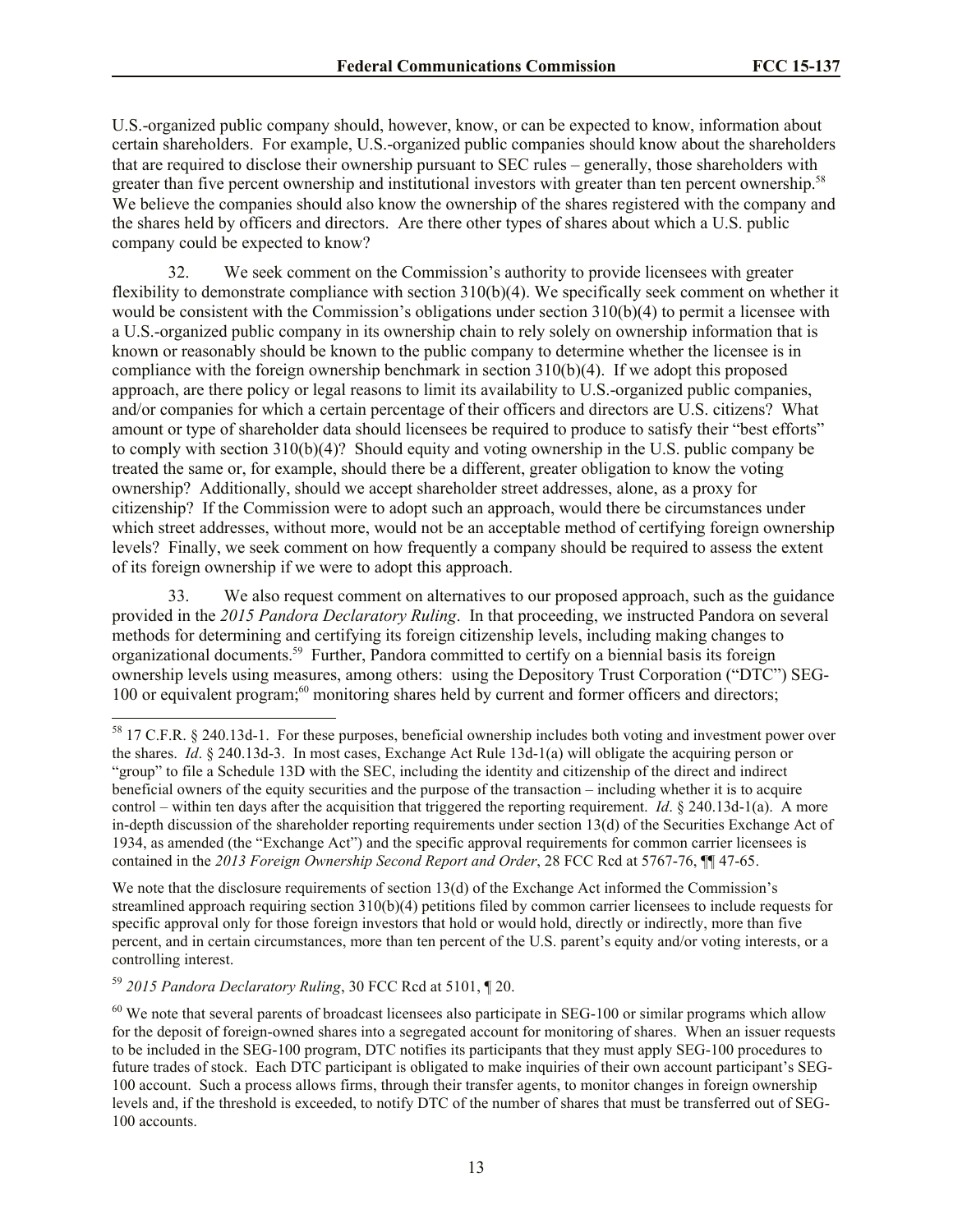U.S.-organized public company should, however, know, or can be expected to know, information about certain shareholders. For example, U.S.-organized public companies should know about the shareholders that are required to disclose their ownership pursuant to SEC rules – generally, those shareholders with greater than five percent ownership and institutional investors with greater than ten percent ownership.<sup>58</sup> We believe the companies should also know the ownership of the shares registered with the company and the shares held by officers and directors. Are there other types of shares about which a U.S. public company could be expected to know?

32. We seek comment on the Commission's authority to provide licensees with greater flexibility to demonstrate compliance with section 310(b)(4). We specifically seek comment on whether it would be consistent with the Commission's obligations under section 310(b)(4) to permit a licensee with a U.S.-organized public company in its ownership chain to rely solely on ownership information that is known or reasonably should be known to the public company to determine whether the licensee is in compliance with the foreign ownership benchmark in section  $310(b)(4)$ . If we adopt this proposed approach, are there policy or legal reasons to limit its availability to U.S.-organized public companies, and/or companies for which a certain percentage of their officers and directors are U.S. citizens? What amount or type of shareholder data should licensees be required to produce to satisfy their "best efforts" to comply with section 310(b)(4)? Should equity and voting ownership in the U.S. public company be treated the same or, for example, should there be a different, greater obligation to know the voting ownership? Additionally, should we accept shareholder street addresses, alone, as a proxy for citizenship? If the Commission were to adopt such an approach, would there be circumstances under which street addresses, without more, would not be an acceptable method of certifying foreign ownership levels? Finally, we seek comment on how frequently a company should be required to assess the extent of its foreign ownership if we were to adopt this approach.

33. We also request comment on alternatives to our proposed approach, such as the guidance provided in the *2015 Pandora Declaratory Ruling*. In that proceeding, we instructed Pandora on several methods for determining and certifying its foreign citizenship levels, including making changes to organizational documents.<sup>59</sup> Further, Pandora committed to certify on a biennial basis its foreign ownership levels using measures, among others: using the Depository Trust Corporation ("DTC") SEG-100 or equivalent program;<sup>60</sup> monitoring shares held by current and former officers and directors;

We note that the disclosure requirements of section 13(d) of the Exchange Act informed the Commission's streamlined approach requiring section 310(b)(4) petitions filed by common carrier licensees to include requests for specific approval only for those foreign investors that hold or would hold, directly or indirectly, more than five percent, and in certain circumstances, more than ten percent of the U.S. parent's equity and/or voting interests, or a controlling interest.

<sup>59</sup> *2015 Pandora Declaratory Ruling*, 30 FCC Rcd at 5101, ¶ 20.

<sup>&</sup>lt;sup>58</sup> 17 C.F.R. § 240.13d-1. For these purposes, beneficial ownership includes both voting and investment power over the shares. *Id*. § 240.13d-3. In most cases, Exchange Act Rule 13d-1(a) will obligate the acquiring person or "group" to file a Schedule 13D with the SEC, including the identity and citizenship of the direct and indirect beneficial owners of the equity securities and the purpose of the transaction – including whether it is to acquire control – within ten days after the acquisition that triggered the reporting requirement. *Id*. § 240.13d-1(a). A more in-depth discussion of the shareholder reporting requirements under section 13(d) of the Securities Exchange Act of 1934, as amended (the "Exchange Act") and the specific approval requirements for common carrier licensees is contained in the *2013 Foreign Ownership Second Report and Order*, 28 FCC Rcd at 5767-76, ¶¶ 47-65.

<sup>&</sup>lt;sup>60</sup> We note that several parents of broadcast licensees also participate in SEG-100 or similar programs which allow for the deposit of foreign-owned shares into a segregated account for monitoring of shares. When an issuer requests to be included in the SEG-100 program, DTC notifies its participants that they must apply SEG-100 procedures to future trades of stock. Each DTC participant is obligated to make inquiries of their own account participant's SEG-100 account. Such a process allows firms, through their transfer agents, to monitor changes in foreign ownership levels and, if the threshold is exceeded, to notify DTC of the number of shares that must be transferred out of SEG-100 accounts.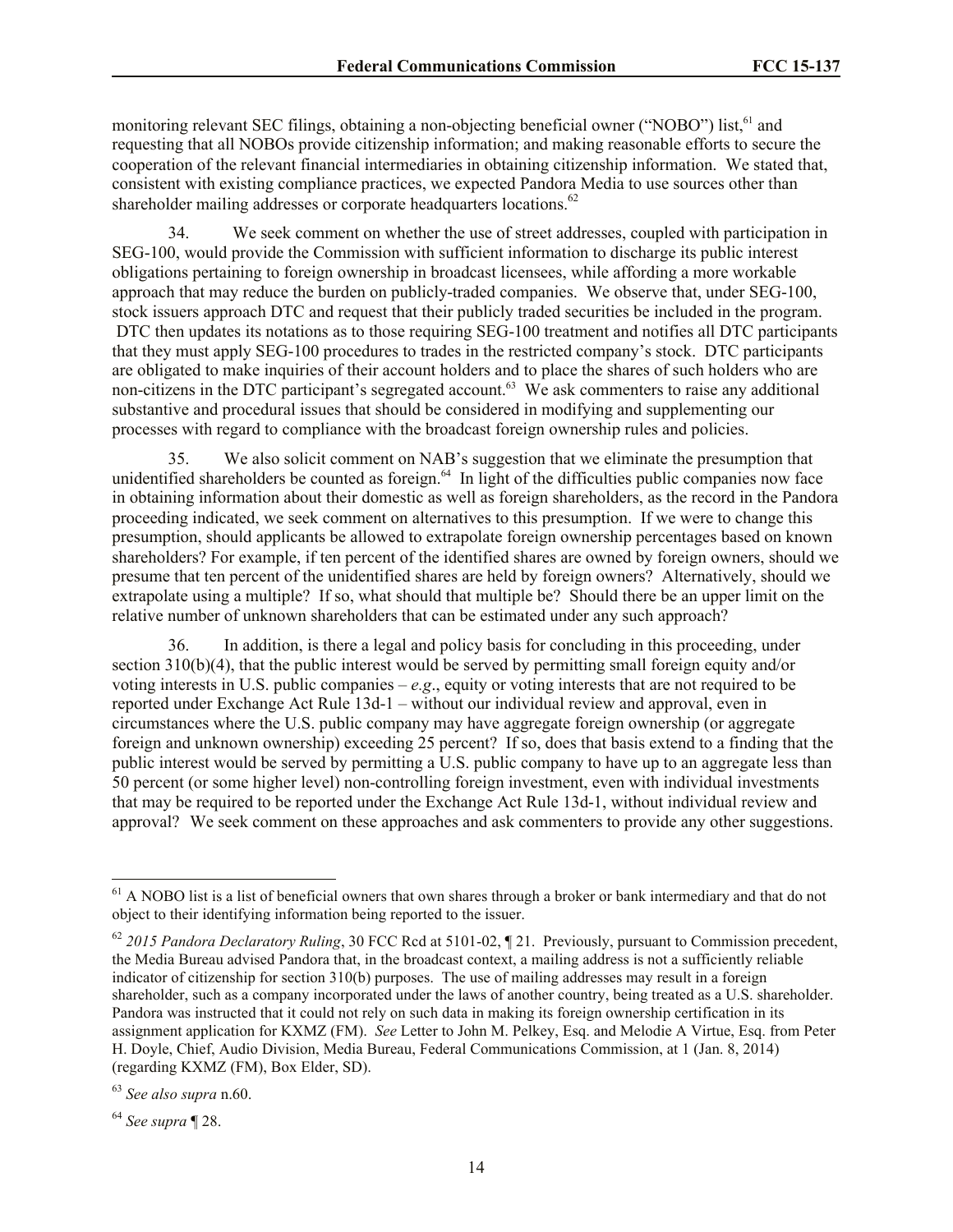monitoring relevant SEC filings, obtaining a non-objecting beneficial owner ("NOBO") list,<sup>61</sup> and requesting that all NOBOs provide citizenship information; and making reasonable efforts to secure the cooperation of the relevant financial intermediaries in obtaining citizenship information. We stated that, consistent with existing compliance practices, we expected Pandora Media to use sources other than shareholder mailing addresses or corporate headquarters locations.<sup>62</sup>

34. We seek comment on whether the use of street addresses, coupled with participation in SEG-100, would provide the Commission with sufficient information to discharge its public interest obligations pertaining to foreign ownership in broadcast licensees, while affording a more workable approach that may reduce the burden on publicly-traded companies. We observe that, under SEG-100, stock issuers approach DTC and request that their publicly traded securities be included in the program. DTC then updates its notations as to those requiring SEG-100 treatment and notifies all DTC participants that they must apply SEG-100 procedures to trades in the restricted company's stock. DTC participants are obligated to make inquiries of their account holders and to place the shares of such holders who are non-citizens in the DTC participant's segregated account.<sup>63</sup> We ask commenters to raise any additional substantive and procedural issues that should be considered in modifying and supplementing our processes with regard to compliance with the broadcast foreign ownership rules and policies.

35. We also solicit comment on NAB's suggestion that we eliminate the presumption that unidentified shareholders be counted as foreign.<sup>64</sup> In light of the difficulties public companies now face in obtaining information about their domestic as well as foreign shareholders, as the record in the Pandora proceeding indicated, we seek comment on alternatives to this presumption. If we were to change this presumption, should applicants be allowed to extrapolate foreign ownership percentages based on known shareholders? For example, if ten percent of the identified shares are owned by foreign owners, should we presume that ten percent of the unidentified shares are held by foreign owners? Alternatively, should we extrapolate using a multiple? If so, what should that multiple be? Should there be an upper limit on the relative number of unknown shareholders that can be estimated under any such approach?

36. In addition, is there a legal and policy basis for concluding in this proceeding, under section 310(b)(4), that the public interest would be served by permitting small foreign equity and/or voting interests in U.S. public companies –  $e.g.,$  equity or voting interests that are not required to be reported under Exchange Act Rule 13d-1 – without our individual review and approval, even in circumstances where the U.S. public company may have aggregate foreign ownership (or aggregate foreign and unknown ownership) exceeding 25 percent? If so, does that basis extend to a finding that the public interest would be served by permitting a U.S. public company to have up to an aggregate less than 50 percent (or some higher level) non-controlling foreign investment, even with individual investments that may be required to be reported under the Exchange Act Rule 13d-1, without individual review and approval? We seek comment on these approaches and ask commenters to provide any other suggestions.

 $<sup>61</sup>$  A NOBO list is a list of beneficial owners that own shares through a broker or bank intermediary and that do not</sup> object to their identifying information being reported to the issuer.

<sup>62</sup> *2015 Pandora Declaratory Ruling*, 30 FCC Rcd at 5101-02, ¶ 21. Previously, pursuant to Commission precedent, the Media Bureau advised Pandora that, in the broadcast context, a mailing address is not a sufficiently reliable indicator of citizenship for section 310(b) purposes. The use of mailing addresses may result in a foreign shareholder, such as a company incorporated under the laws of another country, being treated as a U.S. shareholder. Pandora was instructed that it could not rely on such data in making its foreign ownership certification in its assignment application for KXMZ (FM). *See* Letter to John M. Pelkey, Esq. and Melodie A Virtue, Esq. from Peter H. Doyle, Chief, Audio Division, Media Bureau, Federal Communications Commission, at 1 (Jan. 8, 2014) (regarding KXMZ (FM), Box Elder, SD).

<sup>63</sup> *See also supra* n.60.

<sup>64</sup> *See supra* ¶ 28.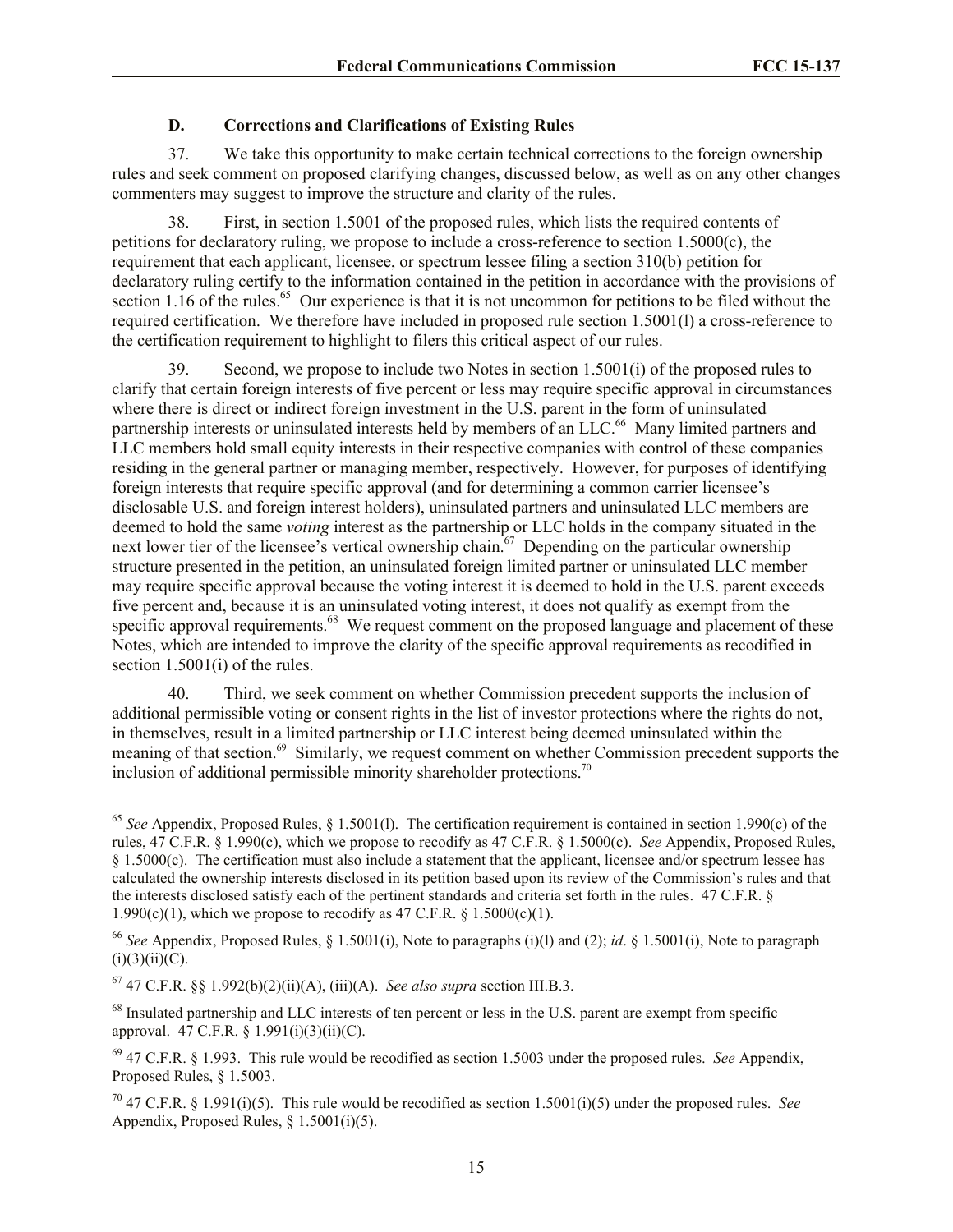# **D. Corrections and Clarifications of Existing Rules**

37. We take this opportunity to make certain technical corrections to the foreign ownership rules and seek comment on proposed clarifying changes, discussed below, as well as on any other changes commenters may suggest to improve the structure and clarity of the rules.

38. First, in section 1.5001 of the proposed rules, which lists the required contents of petitions for declaratory ruling, we propose to include a cross-reference to section 1.5000(c), the requirement that each applicant, licensee, or spectrum lessee filing a section 310(b) petition for declaratory ruling certify to the information contained in the petition in accordance with the provisions of section 1.16 of the rules.<sup>65</sup> Our experience is that it is not uncommon for petitions to be filed without the required certification. We therefore have included in proposed rule section 1.5001(l) a cross-reference to the certification requirement to highlight to filers this critical aspect of our rules.

39. Second, we propose to include two Notes in section 1.5001(i) of the proposed rules to clarify that certain foreign interests of five percent or less may require specific approval in circumstances where there is direct or indirect foreign investment in the U.S. parent in the form of uninsulated partnership interests or uninsulated interests held by members of an LLC.<sup>66</sup> Many limited partners and LLC members hold small equity interests in their respective companies with control of these companies residing in the general partner or managing member, respectively. However, for purposes of identifying foreign interests that require specific approval (and for determining a common carrier licensee's disclosable U.S. and foreign interest holders), uninsulated partners and uninsulated LLC members are deemed to hold the same *voting* interest as the partnership or LLC holds in the company situated in the next lower tier of the licensee's vertical ownership chain.<sup>67</sup> Depending on the particular ownership structure presented in the petition, an uninsulated foreign limited partner or uninsulated LLC member may require specific approval because the voting interest it is deemed to hold in the U.S. parent exceeds five percent and, because it is an uninsulated voting interest, it does not qualify as exempt from the specific approval requirements.<sup>68</sup> We request comment on the proposed language and placement of these Notes, which are intended to improve the clarity of the specific approval requirements as recodified in section 1.5001(i) of the rules.

40. Third, we seek comment on whether Commission precedent supports the inclusion of additional permissible voting or consent rights in the list of investor protections where the rights do not, in themselves, result in a limited partnership or LLC interest being deemed uninsulated within the meaning of that section.<sup>69</sup> Similarly, we request comment on whether Commission precedent supports the inclusion of additional permissible minority shareholder protections.<sup>70</sup>

<sup>65</sup> *See* Appendix, Proposed Rules, § 1.5001(l). The certification requirement is contained in section 1.990(c) of the rules, 47 C.F.R. § 1.990(c), which we propose to recodify as 47 C.F.R. § 1.5000(c). *See* Appendix, Proposed Rules, § 1.5000(c). The certification must also include a statement that the applicant, licensee and/or spectrum lessee has calculated the ownership interests disclosed in its petition based upon its review of the Commission's rules and that the interests disclosed satisfy each of the pertinent standards and criteria set forth in the rules. 47 C.F.R. § 1.990(c)(1), which we propose to recodify as 47 C.F.R.  $\frac{1.5000(c)}{1}$ .

<sup>66</sup> *See* Appendix, Proposed Rules, § 1.5001(i), Note to paragraphs (i)(l) and (2); *id*. § 1.5001(i), Note to paragraph  $(i)(3)(ii)(C).$ 

<sup>67</sup> 47 C.F.R. §§ 1.992(b)(2)(ii)(A), (iii)(A). *See also supra* section III.B.3.

<sup>&</sup>lt;sup>68</sup> Insulated partnership and LLC interests of ten percent or less in the U.S. parent are exempt from specific approval. 47 C.F.R. § 1.991(i)(3)(ii)(C).

<sup>69</sup> 47 C.F.R. § 1.993. This rule would be recodified as section 1.5003 under the proposed rules. *See* Appendix, Proposed Rules, § 1.5003.

<sup>&</sup>lt;sup>70</sup> 47 C.F.R. § 1.991(i)(5). This rule would be recodified as section 1.5001(i)(5) under the proposed rules. *See* Appendix, Proposed Rules, § 1.5001(i)(5).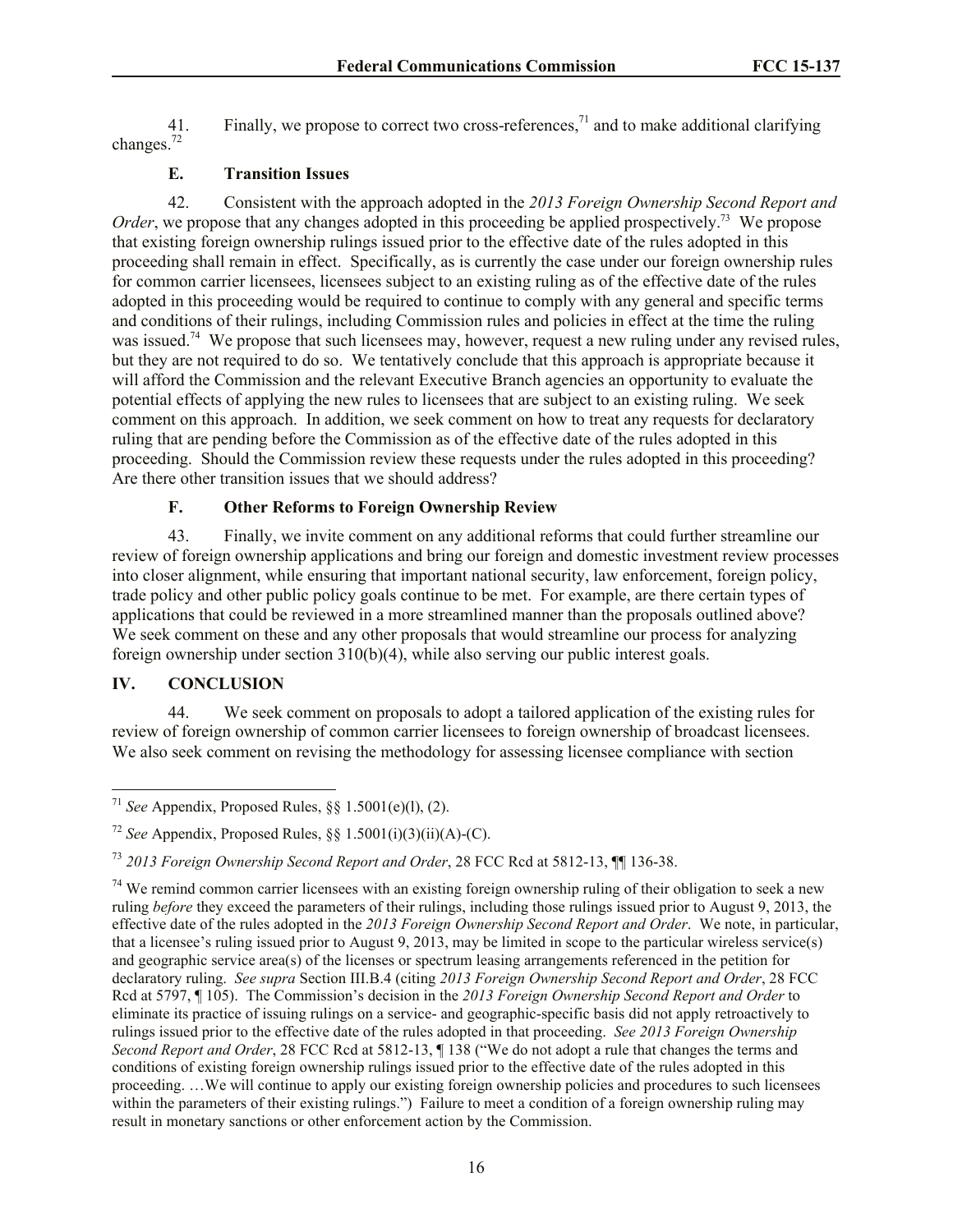41. Finally, we propose to correct two cross-references,<sup>71</sup> and to make additional clarifying changes.<sup>72</sup>

# **E. Transition Issues**

42. Consistent with the approach adopted in the *2013 Foreign Ownership Second Report and*  Order, we propose that any changes adopted in this proceeding be applied prospectively.<sup>73</sup> We propose that existing foreign ownership rulings issued prior to the effective date of the rules adopted in this proceeding shall remain in effect. Specifically, as is currently the case under our foreign ownership rules for common carrier licensees, licensees subject to an existing ruling as of the effective date of the rules adopted in this proceeding would be required to continue to comply with any general and specific terms and conditions of their rulings, including Commission rules and policies in effect at the time the ruling was issued.<sup>74</sup> We propose that such licensees may, however, request a new ruling under any revised rules, but they are not required to do so. We tentatively conclude that this approach is appropriate because it will afford the Commission and the relevant Executive Branch agencies an opportunity to evaluate the potential effects of applying the new rules to licensees that are subject to an existing ruling. We seek comment on this approach. In addition, we seek comment on how to treat any requests for declaratory ruling that are pending before the Commission as of the effective date of the rules adopted in this proceeding. Should the Commission review these requests under the rules adopted in this proceeding? Are there other transition issues that we should address?

# **F. Other Reforms to Foreign Ownership Review**

43. Finally, we invite comment on any additional reforms that could further streamline our review of foreign ownership applications and bring our foreign and domestic investment review processes into closer alignment, while ensuring that important national security, law enforcement, foreign policy, trade policy and other public policy goals continue to be met. For example, are there certain types of applications that could be reviewed in a more streamlined manner than the proposals outlined above? We seek comment on these and any other proposals that would streamline our process for analyzing foreign ownership under section 310(b)(4), while also serving our public interest goals.

# **IV. CONCLUSION**

l

44. We seek comment on proposals to adopt a tailored application of the existing rules for review of foreign ownership of common carrier licensees to foreign ownership of broadcast licensees. We also seek comment on revising the methodology for assessing licensee compliance with section

<sup>&</sup>lt;sup>71</sup> *See* Appendix, Proposed Rules,  $\S\S 1.5001(e)(1)$ , (2).

<sup>72</sup> *See* Appendix, Proposed Rules, §§ 1.5001(i)(3)(ii)(A)-(C).

<sup>73</sup> *2013 Foreign Ownership Second Report and Order*, 28 FCC Rcd at 5812-13, ¶¶ 136-38.

 $74$  We remind common carrier licensees with an existing foreign ownership ruling of their obligation to seek a new ruling *before* they exceed the parameters of their rulings, including those rulings issued prior to August 9, 2013, the effective date of the rules adopted in the *2013 Foreign Ownership Second Report and Order*. We note, in particular, that a licensee's ruling issued prior to August 9, 2013, may be limited in scope to the particular wireless service(s) and geographic service area(s) of the licenses or spectrum leasing arrangements referenced in the petition for declaratory ruling. *See supra* Section III.B.4 (citing *2013 Foreign Ownership Second Report and Order*, 28 FCC Rcd at 5797, ¶ 105). The Commission's decision in the *2013 Foreign Ownership Second Report and Order* to eliminate its practice of issuing rulings on a service- and geographic-specific basis did not apply retroactively to rulings issued prior to the effective date of the rules adopted in that proceeding. *See 2013 Foreign Ownership Second Report and Order*, 28 FCC Rcd at 5812-13, ¶ 138 ("We do not adopt a rule that changes the terms and conditions of existing foreign ownership rulings issued prior to the effective date of the rules adopted in this proceeding. …We will continue to apply our existing foreign ownership policies and procedures to such licensees within the parameters of their existing rulings.") Failure to meet a condition of a foreign ownership ruling may result in monetary sanctions or other enforcement action by the Commission.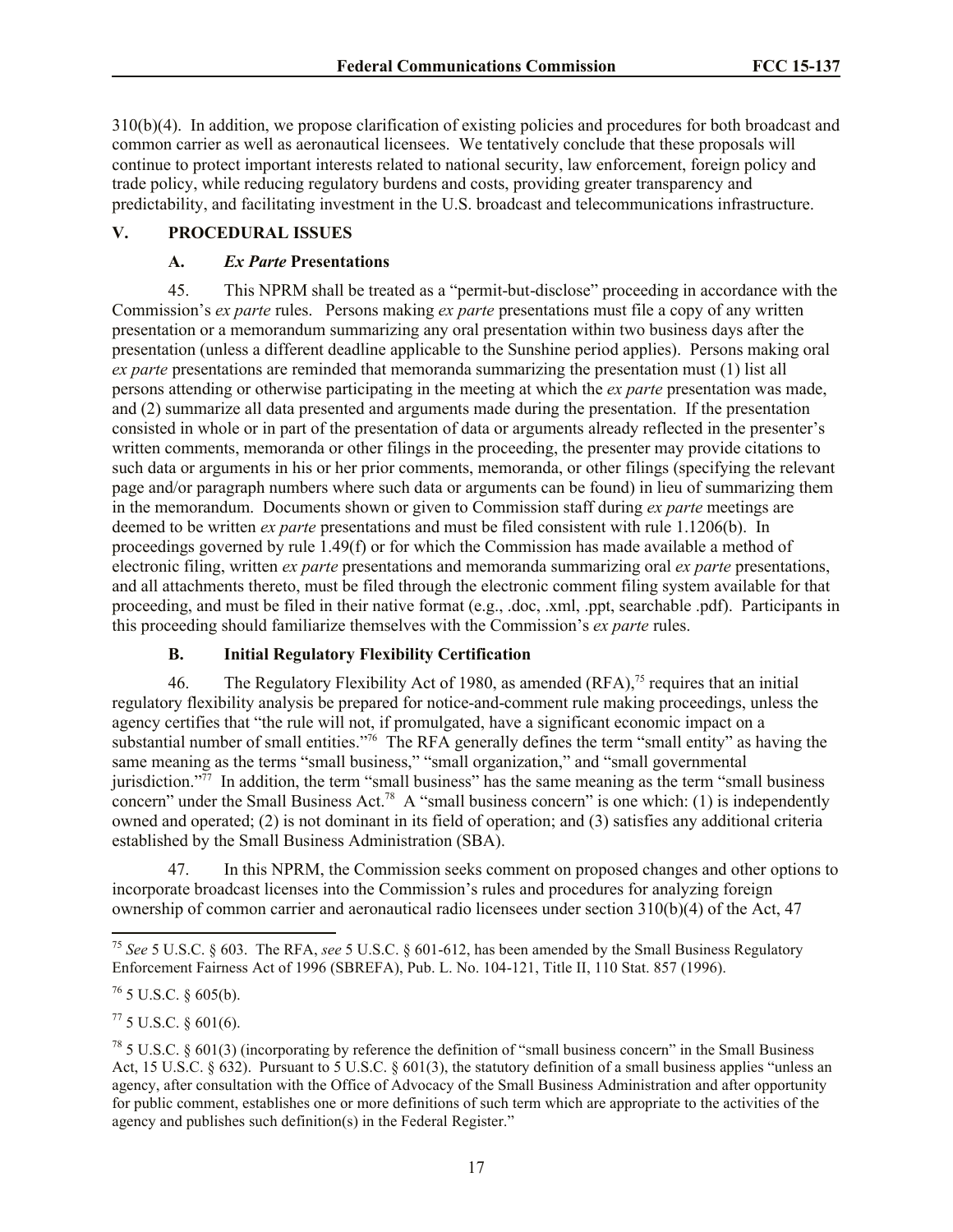310(b)(4). In addition, we propose clarification of existing policies and procedures for both broadcast and common carrier as well as aeronautical licensees. We tentatively conclude that these proposals will continue to protect important interests related to national security, law enforcement, foreign policy and trade policy, while reducing regulatory burdens and costs, providing greater transparency and predictability, and facilitating investment in the U.S. broadcast and telecommunications infrastructure.

# **V. PROCEDURAL ISSUES**

# **A.** *Ex Parte* **Presentations**

45. This NPRM shall be treated as a "permit-but-disclose" proceeding in accordance with the Commission's *ex parte* rules. Persons making *ex parte* presentations must file a copy of any written presentation or a memorandum summarizing any oral presentation within two business days after the presentation (unless a different deadline applicable to the Sunshine period applies). Persons making oral *ex parte* presentations are reminded that memoranda summarizing the presentation must (1) list all persons attending or otherwise participating in the meeting at which the *ex parte* presentation was made, and (2) summarize all data presented and arguments made during the presentation. If the presentation consisted in whole or in part of the presentation of data or arguments already reflected in the presenter's written comments, memoranda or other filings in the proceeding, the presenter may provide citations to such data or arguments in his or her prior comments, memoranda, or other filings (specifying the relevant page and/or paragraph numbers where such data or arguments can be found) in lieu of summarizing them in the memorandum. Documents shown or given to Commission staff during *ex parte* meetings are deemed to be written *ex parte* presentations and must be filed consistent with rule 1.1206(b). In proceedings governed by rule 1.49(f) or for which the Commission has made available a method of electronic filing, written *ex parte* presentations and memoranda summarizing oral *ex parte* presentations, and all attachments thereto, must be filed through the electronic comment filing system available for that proceeding, and must be filed in their native format (e.g., .doc, .xml, .ppt, searchable .pdf). Participants in this proceeding should familiarize themselves with the Commission's *ex parte* rules.

# **B. Initial Regulatory Flexibility Certification**

46. The Regulatory Flexibility Act of 1980, as amended  $(RFA)$ ,<sup>75</sup> requires that an initial regulatory flexibility analysis be prepared for notice-and-comment rule making proceedings, unless the agency certifies that "the rule will not, if promulgated, have a significant economic impact on a substantial number of small entities.<sup>776</sup> The RFA generally defines the term "small entity" as having the same meaning as the terms "small business," "small organization," and "small governmental jurisdiction."<sup>77</sup> In addition, the term "small business" has the same meaning as the term "small business" concern" under the Small Business Act.<sup>78</sup> A "small business concern" is one which: (1) is independently owned and operated; (2) is not dominant in its field of operation; and (3) satisfies any additional criteria established by the Small Business Administration (SBA).

47. In this NPRM, the Commission seeks comment on proposed changes and other options to incorporate broadcast licenses into the Commission's rules and procedures for analyzing foreign ownership of common carrier and aeronautical radio licensees under section 310(b)(4) of the Act, 47

l

 $^{77}$  5 U.S.C. § 601(6).

<sup>75</sup> *See* 5 U.S.C. § 603. The RFA, *see* 5 U.S.C. § 601-612, has been amended by the Small Business Regulatory Enforcement Fairness Act of 1996 (SBREFA), Pub. L. No. 104-121, Title II, 110 Stat. 857 (1996).

 $76$  5 U.S.C. § 605(b).

 $^{78}$  5 U.S.C. § 601(3) (incorporating by reference the definition of "small business concern" in the Small Business Act, 15 U.S.C.  $\S 632$ ). Pursuant to 5 U.S.C.  $\S 601(3)$ , the statutory definition of a small business applies "unless an agency, after consultation with the Office of Advocacy of the Small Business Administration and after opportunity for public comment, establishes one or more definitions of such term which are appropriate to the activities of the agency and publishes such definition(s) in the Federal Register."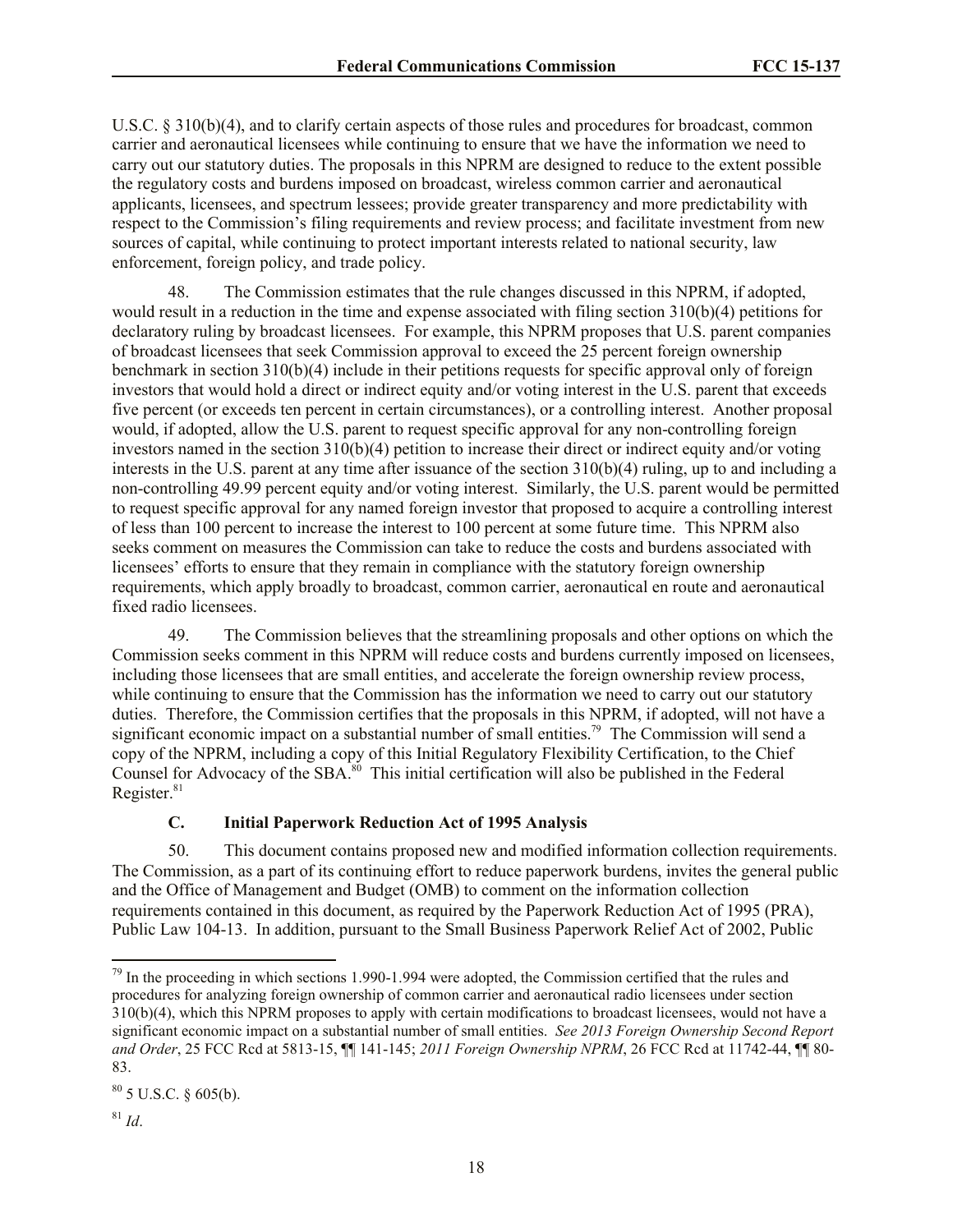U.S.C. § 310(b)(4), and to clarify certain aspects of those rules and procedures for broadcast, common carrier and aeronautical licensees while continuing to ensure that we have the information we need to carry out our statutory duties. The proposals in this NPRM are designed to reduce to the extent possible the regulatory costs and burdens imposed on broadcast, wireless common carrier and aeronautical applicants, licensees, and spectrum lessees; provide greater transparency and more predictability with respect to the Commission's filing requirements and review process; and facilitate investment from new sources of capital, while continuing to protect important interests related to national security, law enforcement, foreign policy, and trade policy.

48. The Commission estimates that the rule changes discussed in this NPRM, if adopted, would result in a reduction in the time and expense associated with filing section 310(b)(4) petitions for declaratory ruling by broadcast licensees. For example, this NPRM proposes that U.S. parent companies of broadcast licensees that seek Commission approval to exceed the 25 percent foreign ownership benchmark in section 310(b)(4) include in their petitions requests for specific approval only of foreign investors that would hold a direct or indirect equity and/or voting interest in the U.S. parent that exceeds five percent (or exceeds ten percent in certain circumstances), or a controlling interest. Another proposal would, if adopted, allow the U.S. parent to request specific approval for any non-controlling foreign investors named in the section 310(b)(4) petition to increase their direct or indirect equity and/or voting interests in the U.S. parent at any time after issuance of the section 310(b)(4) ruling, up to and including a non-controlling 49.99 percent equity and/or voting interest. Similarly, the U.S. parent would be permitted to request specific approval for any named foreign investor that proposed to acquire a controlling interest of less than 100 percent to increase the interest to 100 percent at some future time. This NPRM also seeks comment on measures the Commission can take to reduce the costs and burdens associated with licensees' efforts to ensure that they remain in compliance with the statutory foreign ownership requirements, which apply broadly to broadcast, common carrier, aeronautical en route and aeronautical fixed radio licensees.

49. The Commission believes that the streamlining proposals and other options on which the Commission seeks comment in this NPRM will reduce costs and burdens currently imposed on licensees, including those licensees that are small entities, and accelerate the foreign ownership review process, while continuing to ensure that the Commission has the information we need to carry out our statutory duties. Therefore, the Commission certifies that the proposals in this NPRM, if adopted, will not have a significant economic impact on a substantial number of small entities.<sup>79</sup> The Commission will send a copy of the NPRM, including a copy of this Initial Regulatory Flexibility Certification, to the Chief Counsel for Advocacy of the SBA.<sup>80</sup> This initial certification will also be published in the Federal Register.<sup>81</sup>

#### **C. Initial Paperwork Reduction Act of 1995 Analysis**

50. This document contains proposed new and modified information collection requirements. The Commission, as a part of its continuing effort to reduce paperwork burdens, invites the general public and the Office of Management and Budget (OMB) to comment on the information collection requirements contained in this document, as required by the Paperwork Reduction Act of 1995 (PRA), Public Law 104-13. In addition, pursuant to the Small Business Paperwork Relief Act of 2002, Public

 $79$  In the proceeding in which sections 1.990-1.994 were adopted, the Commission certified that the rules and procedures for analyzing foreign ownership of common carrier and aeronautical radio licensees under section 310(b)(4), which this NPRM proposes to apply with certain modifications to broadcast licensees, would not have a significant economic impact on a substantial number of small entities. *See 2013 Foreign Ownership Second Report and Order*, 25 FCC Rcd at 5813-15, ¶¶ 141-145; *2011 Foreign Ownership NPRM*, 26 FCC Rcd at 11742-44, ¶¶ 80- 83.

 $80$  5 U.S.C. § 605(b).

 $81$  *Id.*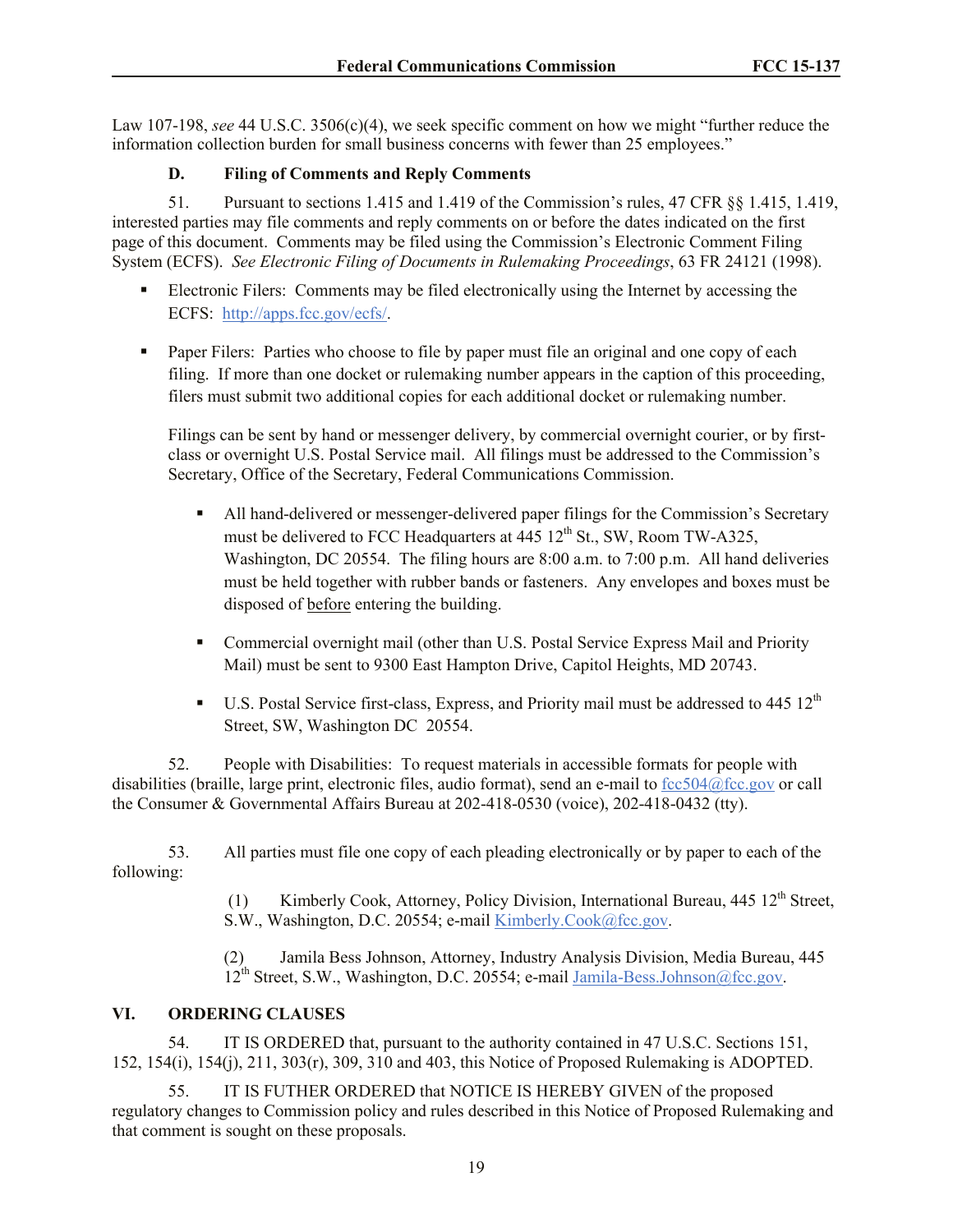Law 107-198, *see* 44 U.S.C. 3506(c)(4), we seek specific comment on how we might "further reduce the information collection burden for small business concerns with fewer than 25 employees."

# **D. Fil**i**ng of Comments and Reply Comments**

51. Pursuant to sections 1.415 and 1.419 of the Commission's rules, 47 CFR §§ 1.415, 1.419, interested parties may file comments and reply comments on or before the dates indicated on the first page of this document. Comments may be filed using the Commission's Electronic Comment Filing System (ECFS). *See Electronic Filing of Documents in Rulemaking Proceedings*, 63 FR 24121 (1998).

- Electronic Filers: Comments may be filed electronically using the Internet by accessing the ECFS: http://apps.fcc.gov/ecfs/.
- Paper Filers: Parties who choose to file by paper must file an original and one copy of each filing. If more than one docket or rulemaking number appears in the caption of this proceeding, filers must submit two additional copies for each additional docket or rulemaking number.

Filings can be sent by hand or messenger delivery, by commercial overnight courier, or by firstclass or overnight U.S. Postal Service mail. All filings must be addressed to the Commission's Secretary, Office of the Secretary, Federal Communications Commission.

- All hand-delivered or messenger-delivered paper filings for the Commission's Secretary must be delivered to FCC Headquarters at  $445 \, 12^{th}$  St., SW, Room TW-A325, Washington, DC 20554. The filing hours are 8:00 a.m. to 7:00 p.m. All hand deliveries must be held together with rubber bands or fasteners. Any envelopes and boxes must be disposed of before entering the building.
- Commercial overnight mail (other than U.S. Postal Service Express Mail and Priority Mail) must be sent to 9300 East Hampton Drive, Capitol Heights, MD 20743.
- U.S. Postal Service first-class, Express, and Priority mail must be addressed to  $445 \frac{12^{th}}{125}$ Street, SW, Washington DC 20554.

52. People with Disabilities: To request materials in accessible formats for people with disabilities (braille, large print, electronic files, audio format), send an e-mail to fcc504@fcc.gov or call the Consumer & Governmental Affairs Bureau at 202-418-0530 (voice), 202-418-0432 (tty).

53. All parties must file one copy of each pleading electronically or by paper to each of the following:

> (1) Kimberly Cook, Attorney, Policy Division, International Bureau, 445 12<sup>th</sup> Street, S.W., Washington, D.C. 20554; e-mail Kimberly.Cook@fcc.gov.

(2) Jamila Bess Johnson, Attorney, Industry Analysis Division, Media Bureau, 445 12<sup>th</sup> Street, S.W., Washington, D.C. 20554; e-mail Jamila-Bess.Johnson@fcc.gov.

# **VI. ORDERING CLAUSES**

54. IT IS ORDERED that, pursuant to the authority contained in 47 U.S.C. Sections 151, 152, 154(i), 154(j), 211, 303(r), 309, 310 and 403, this Notice of Proposed Rulemaking is ADOPTED.

55. IT IS FUTHER ORDERED that NOTICE IS HEREBY GIVEN of the proposed regulatory changes to Commission policy and rules described in this Notice of Proposed Rulemaking and that comment is sought on these proposals.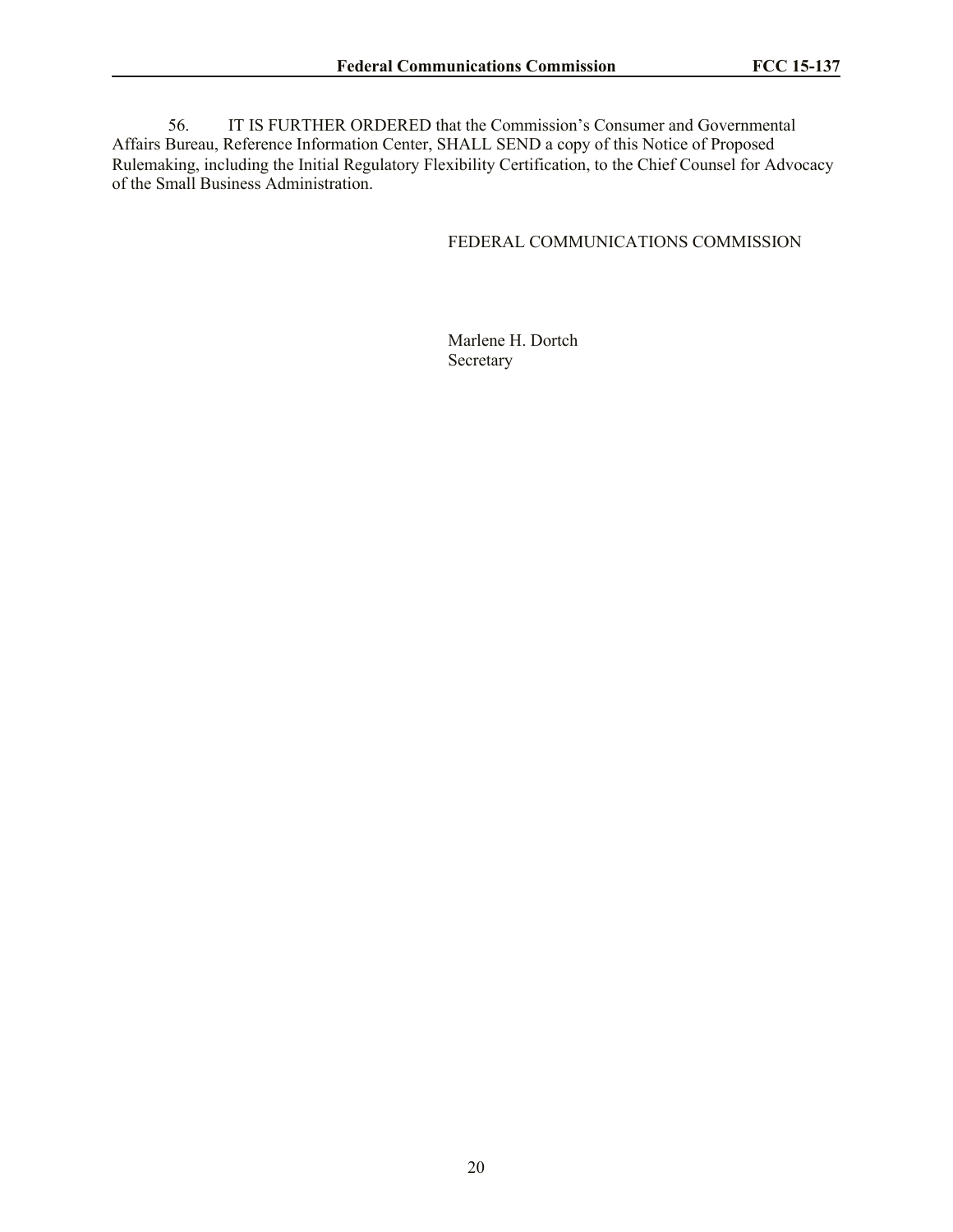56. IT IS FURTHER ORDERED that the Commission's Consumer and Governmental Affairs Bureau, Reference Information Center, SHALL SEND a copy of this Notice of Proposed Rulemaking, including the Initial Regulatory Flexibility Certification, to the Chief Counsel for Advocacy of the Small Business Administration.

# FEDERAL COMMUNICATIONS COMMISSION

Marlene H. Dortch Secretary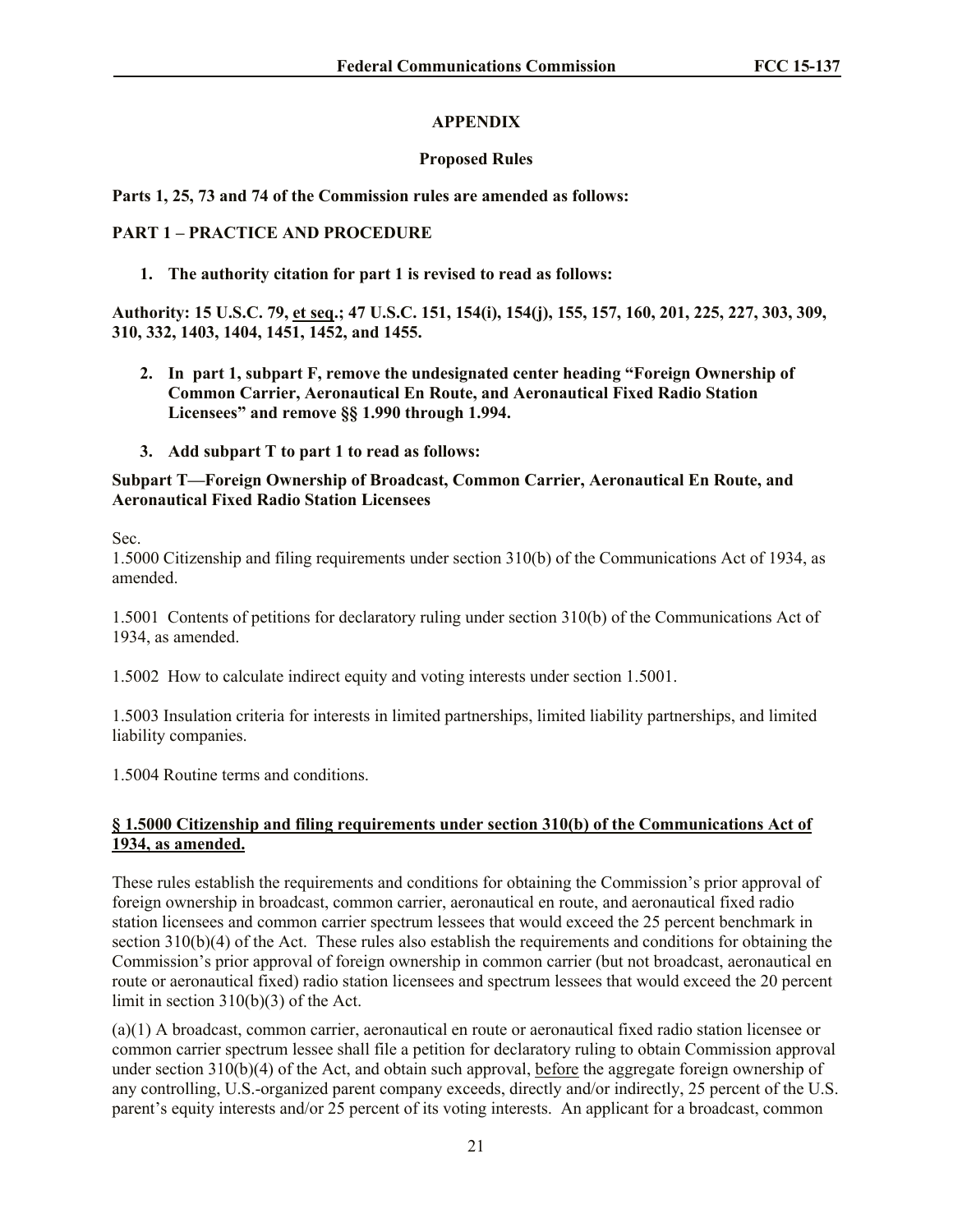# **APPENDIX**

# **Proposed Rules**

# **Parts 1, 25, 73 and 74 of the Commission rules are amended as follows:**

# **PART 1 – PRACTICE AND PROCEDURE**

**1. The authority citation for part 1 is revised to read as follows:**

**Authority: 15 U.S.C. 79, et seq.; 47 U.S.C. 151, 154(i), 154(j), 155, 157, 160, 201, 225, 227, 303, 309, 310, 332, 1403, 1404, 1451, 1452, and 1455.**

- **2. In part 1, subpart F, remove the undesignated center heading "Foreign Ownership of Common Carrier, Aeronautical En Route, and Aeronautical Fixed Radio Station Licensees" and remove §§ 1.990 through 1.994.**
- **3. Add subpart T to part 1 to read as follows:**

# **Subpart T—Foreign Ownership of Broadcast, Common Carrier, Aeronautical En Route, and Aeronautical Fixed Radio Station Licensees**

Sec.

1.5000 Citizenship and filing requirements under section 310(b) of the Communications Act of 1934, as amended.

1.5001 Contents of petitions for declaratory ruling under section 310(b) of the Communications Act of 1934, as amended.

1.5002 How to calculate indirect equity and voting interests under section 1.5001.

1.5003 Insulation criteria for interests in limited partnerships, limited liability partnerships, and limited liability companies.

1.5004 Routine terms and conditions.

# **§ 1.5000 Citizenship and filing requirements under section 310(b) of the Communications Act of 1934, as amended.**

These rules establish the requirements and conditions for obtaining the Commission's prior approval of foreign ownership in broadcast, common carrier, aeronautical en route, and aeronautical fixed radio station licensees and common carrier spectrum lessees that would exceed the 25 percent benchmark in section 310(b)(4) of the Act. These rules also establish the requirements and conditions for obtaining the Commission's prior approval of foreign ownership in common carrier (but not broadcast, aeronautical en route or aeronautical fixed) radio station licensees and spectrum lessees that would exceed the 20 percent limit in section 310(b)(3) of the Act.

(a)(1) A broadcast, common carrier, aeronautical en route or aeronautical fixed radio station licensee or common carrier spectrum lessee shall file a petition for declaratory ruling to obtain Commission approval under section 310(b)(4) of the Act, and obtain such approval, before the aggregate foreign ownership of any controlling, U.S.-organized parent company exceeds, directly and/or indirectly, 25 percent of the U.S. parent's equity interests and/or 25 percent of its voting interests. An applicant for a broadcast, common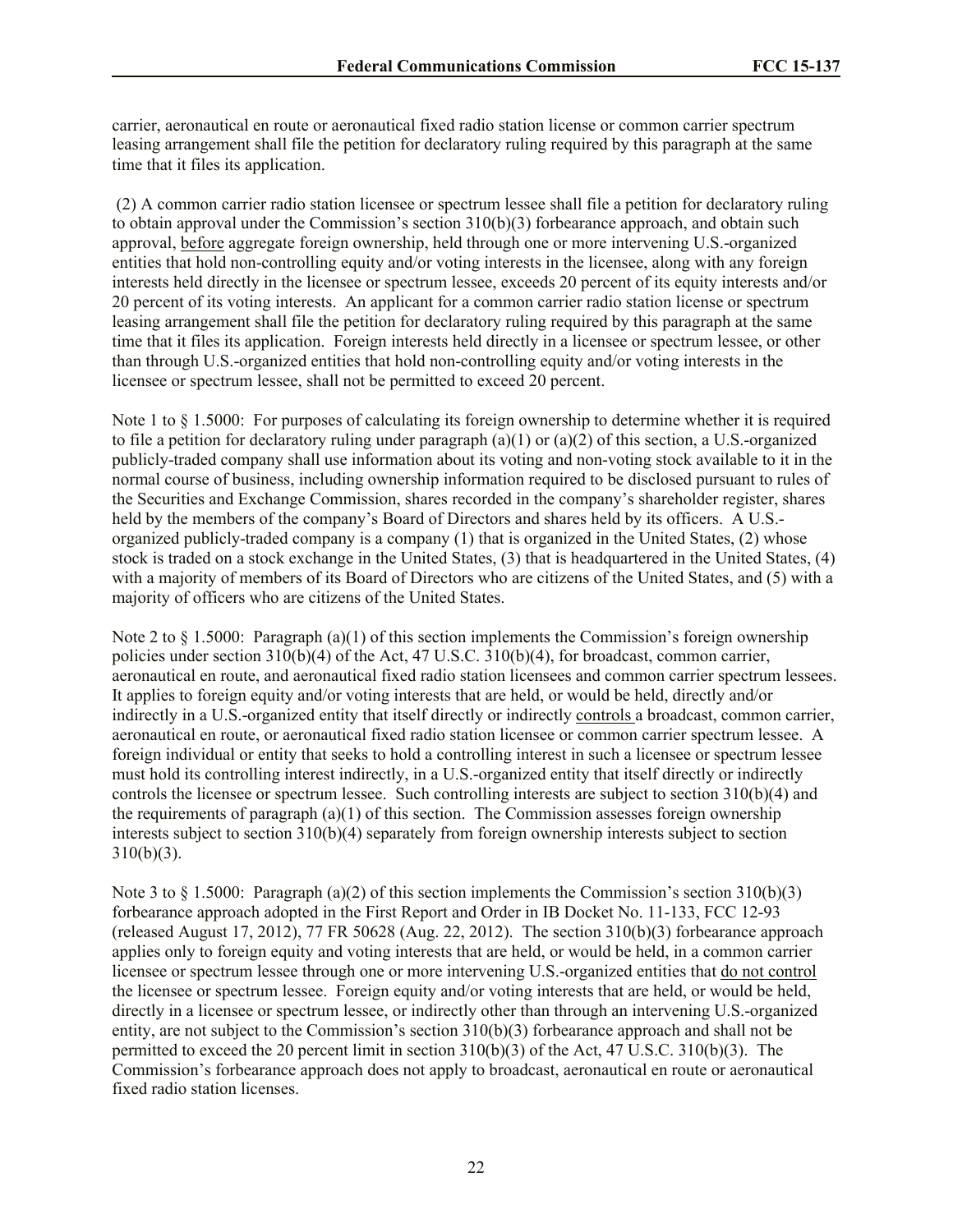carrier, aeronautical en route or aeronautical fixed radio station license or common carrier spectrum leasing arrangement shall file the petition for declaratory ruling required by this paragraph at the same time that it files its application.

(2) A common carrier radio station licensee or spectrum lessee shall file a petition for declaratory ruling to obtain approval under the Commission's section 310(b)(3) forbearance approach, and obtain such approval, before aggregate foreign ownership, held through one or more intervening U.S.-organized entities that hold non-controlling equity and/or voting interests in the licensee, along with any foreign interests held directly in the licensee or spectrum lessee, exceeds 20 percent of its equity interests and/or 20 percent of its voting interests. An applicant for a common carrier radio station license or spectrum leasing arrangement shall file the petition for declaratory ruling required by this paragraph at the same time that it files its application. Foreign interests held directly in a licensee or spectrum lessee, or other than through U.S.-organized entities that hold non-controlling equity and/or voting interests in the licensee or spectrum lessee, shall not be permitted to exceed 20 percent.

Note 1 to § 1.5000: For purposes of calculating its foreign ownership to determine whether it is required to file a petition for declaratory ruling under paragraph (a)(1) or (a)(2) of this section, a U.S.-organized publicly-traded company shall use information about its voting and non-voting stock available to it in the normal course of business, including ownership information required to be disclosed pursuant to rules of the Securities and Exchange Commission, shares recorded in the company's shareholder register, shares held by the members of the company's Board of Directors and shares held by its officers. A U.S. organized publicly-traded company is a company (1) that is organized in the United States, (2) whose stock is traded on a stock exchange in the United States, (3) that is headquartered in the United States, (4) with a majority of members of its Board of Directors who are citizens of the United States, and (5) with a majority of officers who are citizens of the United States.

Note 2 to  $\S 1.5000$ : Paragraph (a)(1) of this section implements the Commission's foreign ownership policies under section 310(b)(4) of the Act, 47 U.S.C. 310(b)(4), for broadcast, common carrier, aeronautical en route, and aeronautical fixed radio station licensees and common carrier spectrum lessees. It applies to foreign equity and/or voting interests that are held, or would be held, directly and/or indirectly in a U.S.-organized entity that itself directly or indirectly controls a broadcast, common carrier, aeronautical en route, or aeronautical fixed radio station licensee or common carrier spectrum lessee. A foreign individual or entity that seeks to hold a controlling interest in such a licensee or spectrum lessee must hold its controlling interest indirectly, in a U.S.-organized entity that itself directly or indirectly controls the licensee or spectrum lessee. Such controlling interests are subject to section 310(b)(4) and the requirements of paragraph (a)(1) of this section. The Commission assesses foreign ownership interests subject to section 310(b)(4) separately from foreign ownership interests subject to section 310(b)(3).

Note 3 to § 1.5000: Paragraph (a)(2) of this section implements the Commission's section 310(b)(3) forbearance approach adopted in the First Report and Order in IB Docket No. 11-133, FCC 12-93 (released August 17, 2012), 77 FR 50628 (Aug. 22, 2012). The section 310(b)(3) forbearance approach applies only to foreign equity and voting interests that are held, or would be held, in a common carrier licensee or spectrum lessee through one or more intervening U.S.-organized entities that do not control the licensee or spectrum lessee. Foreign equity and/or voting interests that are held, or would be held, directly in a licensee or spectrum lessee, or indirectly other than through an intervening U.S.-organized entity, are not subject to the Commission's section 310(b)(3) forbearance approach and shall not be permitted to exceed the 20 percent limit in section 310(b)(3) of the Act, 47 U.S.C. 310(b)(3). The Commission's forbearance approach does not apply to broadcast, aeronautical en route or aeronautical fixed radio station licenses.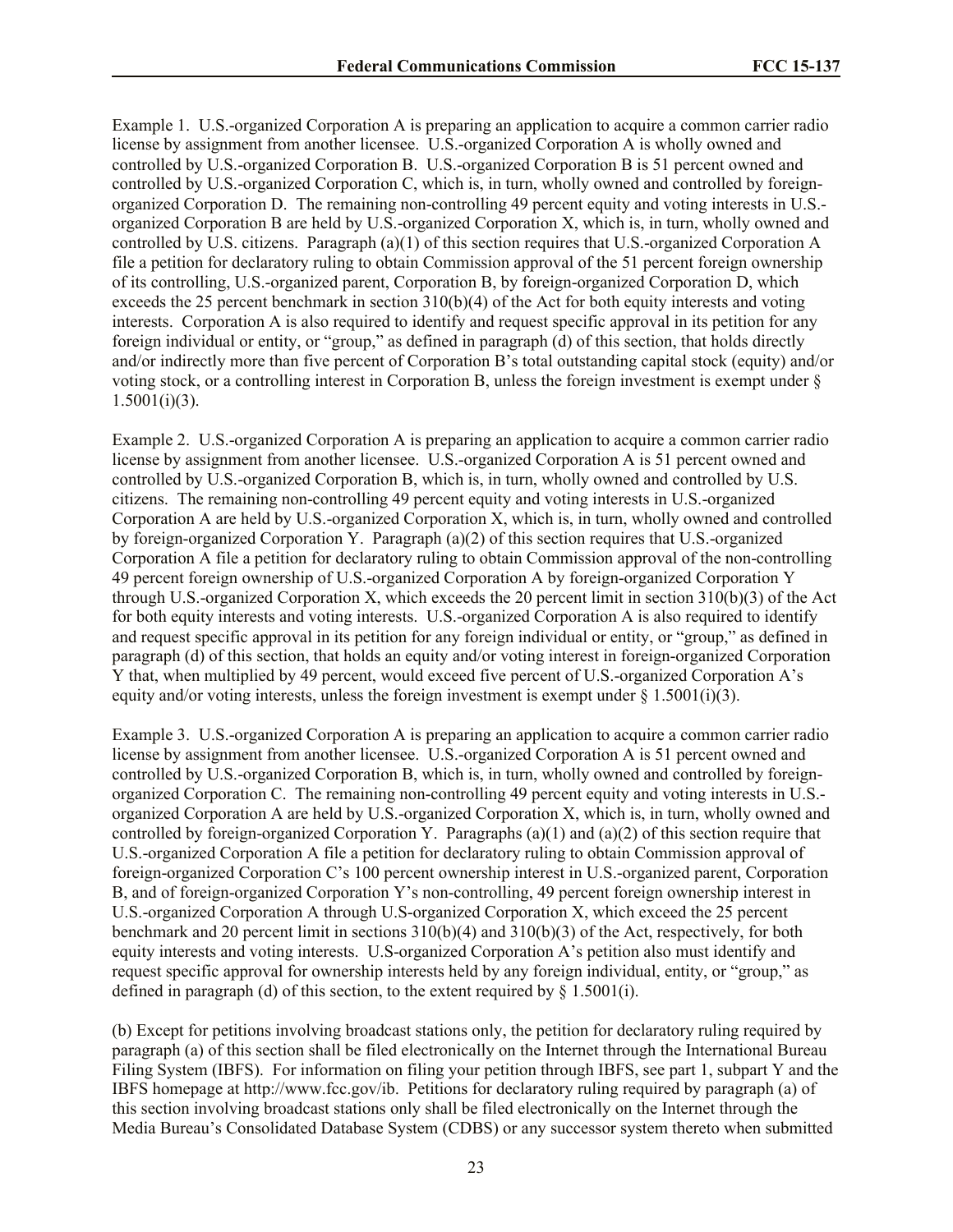Example 1. U.S.-organized Corporation A is preparing an application to acquire a common carrier radio license by assignment from another licensee. U.S.-organized Corporation A is wholly owned and controlled by U.S.-organized Corporation B. U.S.-organized Corporation B is 51 percent owned and controlled by U.S.-organized Corporation C, which is, in turn, wholly owned and controlled by foreignorganized Corporation D. The remaining non-controlling 49 percent equity and voting interests in U.S. organized Corporation B are held by U.S.-organized Corporation X, which is, in turn, wholly owned and controlled by U.S. citizens. Paragraph (a)(1) of this section requires that U.S.-organized Corporation A file a petition for declaratory ruling to obtain Commission approval of the 51 percent foreign ownership of its controlling, U.S.-organized parent, Corporation B, by foreign-organized Corporation D, which exceeds the 25 percent benchmark in section 310(b)(4) of the Act for both equity interests and voting interests. Corporation A is also required to identify and request specific approval in its petition for any foreign individual or entity, or "group," as defined in paragraph (d) of this section, that holds directly and/or indirectly more than five percent of Corporation B's total outstanding capital stock (equity) and/or voting stock, or a controlling interest in Corporation B, unless the foreign investment is exempt under §  $1.5001(i)(3)$ .

Example 2. U.S.-organized Corporation A is preparing an application to acquire a common carrier radio license by assignment from another licensee. U.S.-organized Corporation A is 51 percent owned and controlled by U.S.-organized Corporation B, which is, in turn, wholly owned and controlled by U.S. citizens. The remaining non-controlling 49 percent equity and voting interests in U.S.-organized Corporation A are held by U.S.-organized Corporation X, which is, in turn, wholly owned and controlled by foreign-organized Corporation Y. Paragraph (a)(2) of this section requires that U.S.-organized Corporation A file a petition for declaratory ruling to obtain Commission approval of the non-controlling 49 percent foreign ownership of U.S.-organized Corporation A by foreign-organized Corporation Y through U.S.-organized Corporation X, which exceeds the 20 percent limit in section 310(b)(3) of the Act for both equity interests and voting interests. U.S.-organized Corporation A is also required to identify and request specific approval in its petition for any foreign individual or entity, or "group," as defined in paragraph (d) of this section, that holds an equity and/or voting interest in foreign-organized Corporation Y that, when multiplied by 49 percent, would exceed five percent of U.S.-organized Corporation A's equity and/or voting interests, unless the foreign investment is exempt under  $\S 1.5001(i)(3)$ .

Example 3. U.S.-organized Corporation A is preparing an application to acquire a common carrier radio license by assignment from another licensee. U.S.-organized Corporation A is 51 percent owned and controlled by U.S.-organized Corporation B, which is, in turn, wholly owned and controlled by foreignorganized Corporation C. The remaining non-controlling 49 percent equity and voting interests in U.S. organized Corporation A are held by U.S.-organized Corporation X, which is, in turn, wholly owned and controlled by foreign-organized Corporation Y. Paragraphs  $(a)(1)$  and  $(a)(2)$  of this section require that U.S.-organized Corporation A file a petition for declaratory ruling to obtain Commission approval of foreign-organized Corporation C's 100 percent ownership interest in U.S.-organized parent, Corporation B, and of foreign-organized Corporation Y's non-controlling, 49 percent foreign ownership interest in U.S.-organized Corporation A through U.S-organized Corporation X, which exceed the 25 percent benchmark and 20 percent limit in sections 310(b)(4) and 310(b)(3) of the Act, respectively, for both equity interests and voting interests. U.S-organized Corporation A's petition also must identify and request specific approval for ownership interests held by any foreign individual, entity, or "group," as defined in paragraph (d) of this section, to the extent required by  $\S$  1.5001(i).

(b) Except for petitions involving broadcast stations only, the petition for declaratory ruling required by paragraph (a) of this section shall be filed electronically on the Internet through the International Bureau Filing System (IBFS). For information on filing your petition through IBFS, see part 1, subpart Y and the IBFS homepage at http://www.fcc.gov/ib. Petitions for declaratory ruling required by paragraph (a) of this section involving broadcast stations only shall be filed electronically on the Internet through the Media Bureau's Consolidated Database System (CDBS) or any successor system thereto when submitted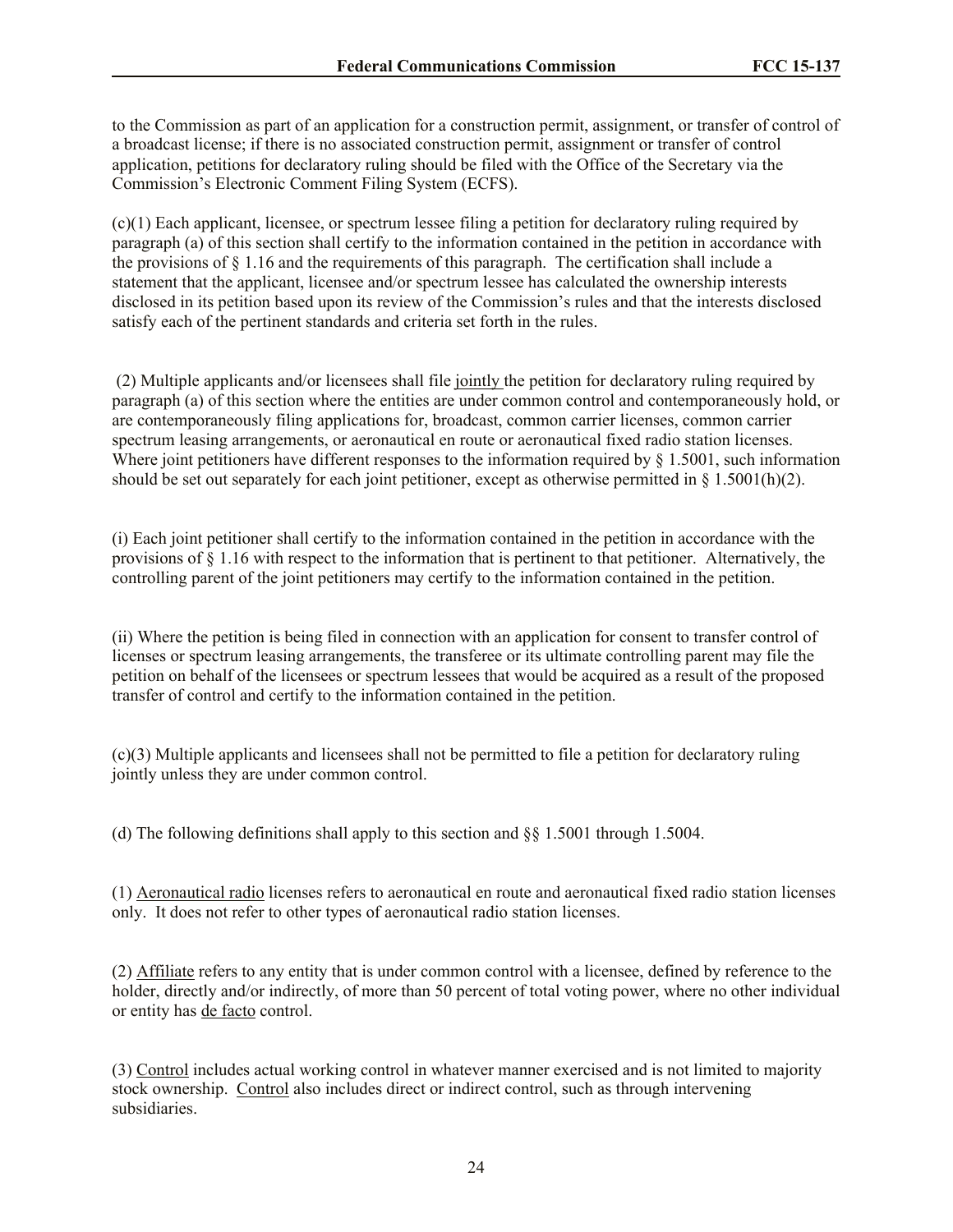to the Commission as part of an application for a construction permit, assignment, or transfer of control of a broadcast license; if there is no associated construction permit, assignment or transfer of control application, petitions for declaratory ruling should be filed with the Office of the Secretary via the Commission's Electronic Comment Filing System (ECFS).

(c)(1) Each applicant, licensee, or spectrum lessee filing a petition for declaratory ruling required by paragraph (a) of this section shall certify to the information contained in the petition in accordance with the provisions of  $\S 1.16$  and the requirements of this paragraph. The certification shall include a statement that the applicant, licensee and/or spectrum lessee has calculated the ownership interests disclosed in its petition based upon its review of the Commission's rules and that the interests disclosed satisfy each of the pertinent standards and criteria set forth in the rules.

(2) Multiple applicants and/or licensees shall file jointly the petition for declaratory ruling required by paragraph (a) of this section where the entities are under common control and contemporaneously hold, or are contemporaneously filing applications for, broadcast, common carrier licenses, common carrier spectrum leasing arrangements, or aeronautical en route or aeronautical fixed radio station licenses. Where joint petitioners have different responses to the information required by  $\S$  1.5001, such information should be set out separately for each joint petitioner, except as otherwise permitted in § 1.5001(h)(2).

(i) Each joint petitioner shall certify to the information contained in the petition in accordance with the provisions of § 1.16 with respect to the information that is pertinent to that petitioner. Alternatively, the controlling parent of the joint petitioners may certify to the information contained in the petition.

(ii) Where the petition is being filed in connection with an application for consent to transfer control of licenses or spectrum leasing arrangements, the transferee or its ultimate controlling parent may file the petition on behalf of the licensees or spectrum lessees that would be acquired as a result of the proposed transfer of control and certify to the information contained in the petition.

(c)(3) Multiple applicants and licensees shall not be permitted to file a petition for declaratory ruling jointly unless they are under common control.

(d) The following definitions shall apply to this section and  $\S$ § 1.5001 through 1.5004.

(1) Aeronautical radio licenses refers to aeronautical en route and aeronautical fixed radio station licenses only. It does not refer to other types of aeronautical radio station licenses.

(2) Affiliate refers to any entity that is under common control with a licensee, defined by reference to the holder, directly and/or indirectly, of more than 50 percent of total voting power, where no other individual or entity has de facto control.

(3) Control includes actual working control in whatever manner exercised and is not limited to majority stock ownership. Control also includes direct or indirect control, such as through intervening subsidiaries.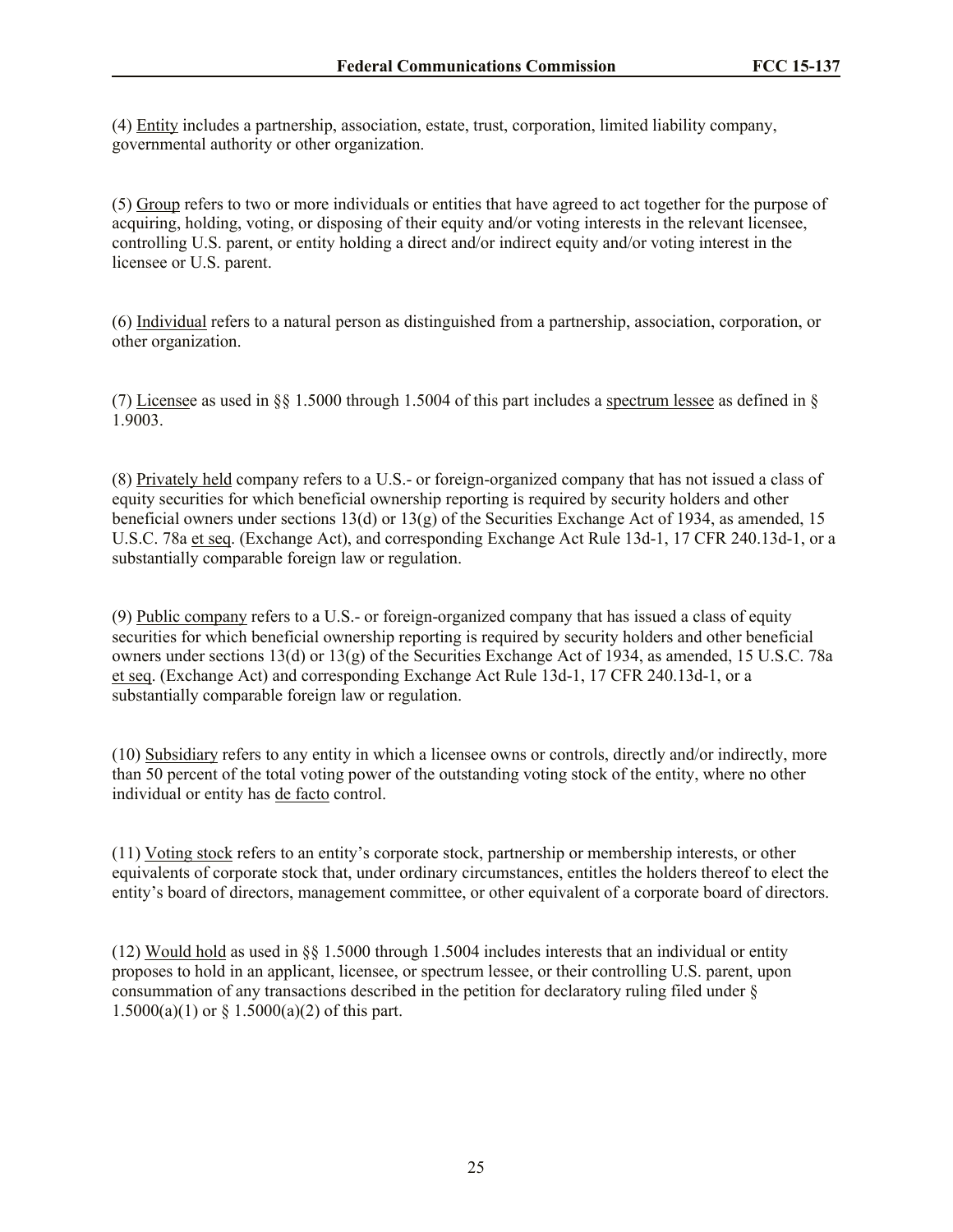(4) Entity includes a partnership, association, estate, trust, corporation, limited liability company, governmental authority or other organization.

(5) Group refers to two or more individuals or entities that have agreed to act together for the purpose of acquiring, holding, voting, or disposing of their equity and/or voting interests in the relevant licensee, controlling U.S. parent, or entity holding a direct and/or indirect equity and/or voting interest in the licensee or U.S. parent.

(6) Individual refers to a natural person as distinguished from a partnership, association, corporation, or other organization.

(7) Licensee as used in §§ 1.5000 through 1.5004 of this part includes a spectrum lessee as defined in § 1.9003.

(8) Privately held company refers to a U.S.- or foreign-organized company that has not issued a class of equity securities for which beneficial ownership reporting is required by security holders and other beneficial owners under sections 13(d) or 13(g) of the Securities Exchange Act of 1934, as amended, 15 U.S.C. 78a et seq. (Exchange Act), and corresponding Exchange Act Rule 13d-1, 17 CFR 240.13d-1, or a substantially comparable foreign law or regulation.

(9) Public company refers to a U.S.- or foreign-organized company that has issued a class of equity securities for which beneficial ownership reporting is required by security holders and other beneficial owners under sections 13(d) or 13(g) of the Securities Exchange Act of 1934, as amended, 15 U.S.C. 78a et seq. (Exchange Act) and corresponding Exchange Act Rule 13d-1, 17 CFR 240.13d-1, or a substantially comparable foreign law or regulation.

(10) Subsidiary refers to any entity in which a licensee owns or controls, directly and/or indirectly, more than 50 percent of the total voting power of the outstanding voting stock of the entity, where no other individual or entity has de facto control.

(11) Voting stock refers to an entity's corporate stock, partnership or membership interests, or other equivalents of corporate stock that, under ordinary circumstances, entitles the holders thereof to elect the entity's board of directors, management committee, or other equivalent of a corporate board of directors.

(12) Would hold as used in §§ 1.5000 through 1.5004 includes interests that an individual or entity proposes to hold in an applicant, licensee, or spectrum lessee, or their controlling U.S. parent, upon consummation of any transactions described in the petition for declaratory ruling filed under §  $1.5000(a)(1)$  or §  $1.5000(a)(2)$  of this part.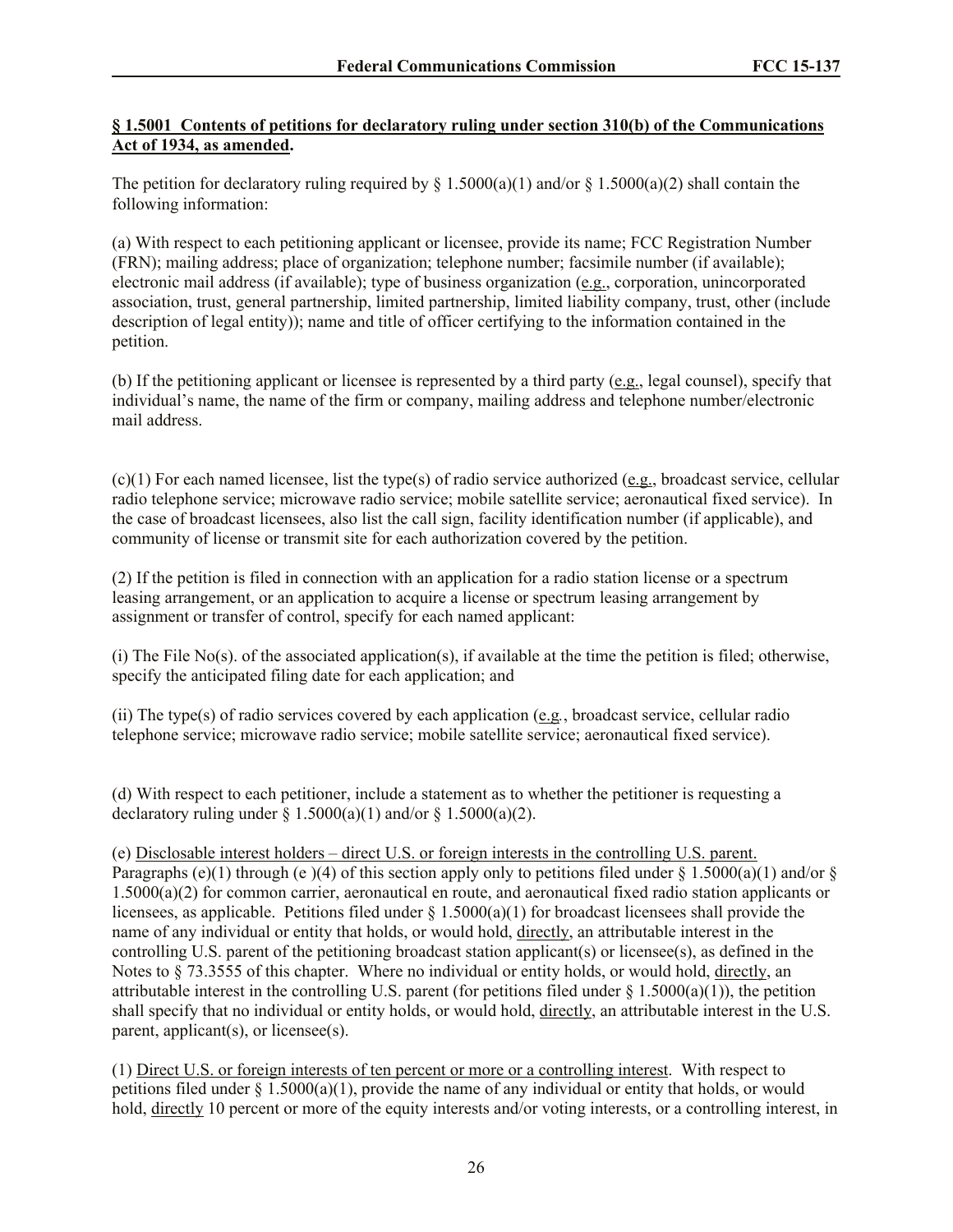# **§ 1.5001 Contents of petitions for declaratory ruling under section 310(b) of the Communications Act of 1934, as amended.**

The petition for declaratory ruling required by  $\S 1.5000(a)(1)$  and/or  $\S 1.5000(a)(2)$  shall contain the following information:

(a) With respect to each petitioning applicant or licensee, provide its name; FCC Registration Number (FRN); mailing address; place of organization; telephone number; facsimile number (if available); electronic mail address (if available); type of business organization (e.g., corporation, unincorporated association, trust, general partnership, limited partnership, limited liability company, trust, other (include description of legal entity)); name and title of officer certifying to the information contained in the petition.

(b) If the petitioning applicant or licensee is represented by a third party (e.g., legal counsel), specify that individual's name, the name of the firm or company, mailing address and telephone number/electronic mail address.

(c)(1) For each named licensee, list the type(s) of radio service authorized (e.g., broadcast service, cellular radio telephone service; microwave radio service; mobile satellite service; aeronautical fixed service). In the case of broadcast licensees, also list the call sign, facility identification number (if applicable), and community of license or transmit site for each authorization covered by the petition.

(2) If the petition is filed in connection with an application for a radio station license or a spectrum leasing arrangement, or an application to acquire a license or spectrum leasing arrangement by assignment or transfer of control, specify for each named applicant:

(i) The File No(s). of the associated application(s), if available at the time the petition is filed; otherwise, specify the anticipated filing date for each application; and

(ii) The type(s) of radio services covered by each application (e.g*.*, broadcast service, cellular radio telephone service; microwave radio service; mobile satellite service; aeronautical fixed service).

(d) With respect to each petitioner, include a statement as to whether the petitioner is requesting a declaratory ruling under  $\S$  1.5000(a)(1) and/or  $\S$  1.5000(a)(2).

(e) Disclosable interest holders – direct U.S. or foreign interests in the controlling U.S. parent. Paragraphs (e)(1) through (e)(4) of this section apply only to petitions filed under § 1.5000(a)(1) and/or § 1.5000(a)(2) for common carrier, aeronautical en route, and aeronautical fixed radio station applicants or licensees, as applicable. Petitions filed under  $\S$  1.5000(a)(1) for broadcast licensees shall provide the name of any individual or entity that holds, or would hold, directly, an attributable interest in the controlling U.S. parent of the petitioning broadcast station applicant(s) or licensee(s), as defined in the Notes to § 73.3555 of this chapter. Where no individual or entity holds, or would hold, directly, an attributable interest in the controlling U.S. parent (for petitions filed under  $\S$  1.5000(a)(1)), the petition shall specify that no individual or entity holds, or would hold, directly, an attributable interest in the U.S. parent, applicant(s), or licensee(s).

(1) Direct U.S. or foreign interests of ten percent or more or a controlling interest. With respect to petitions filed under  $\S 1.5000(a)(1)$ , provide the name of any individual or entity that holds, or would hold, directly 10 percent or more of the equity interests and/or voting interests, or a controlling interest, in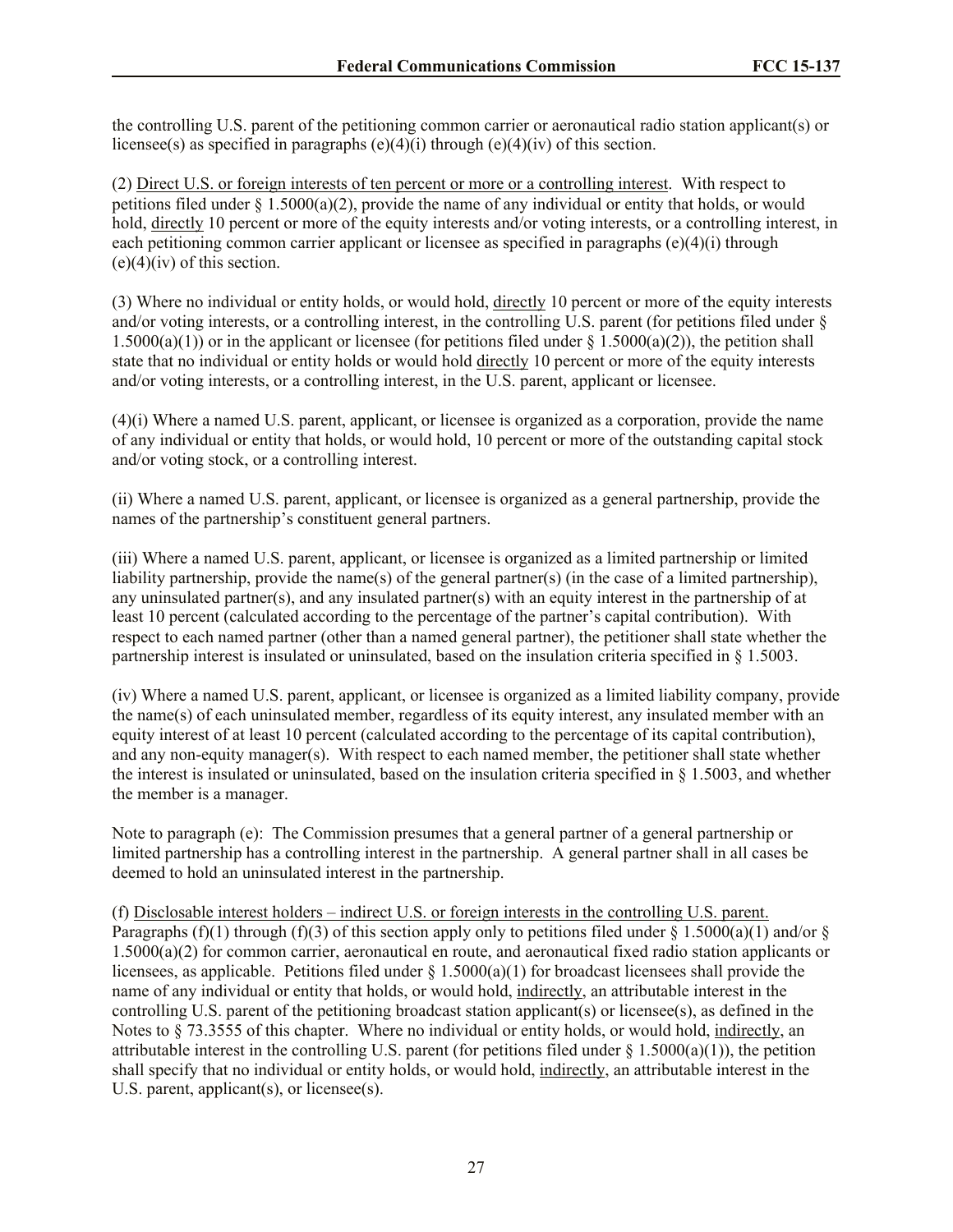the controlling U.S. parent of the petitioning common carrier or aeronautical radio station applicant(s) or licensee(s) as specified in paragraphs  $(e)(4)(i)$  through  $(e)(4)(iv)$  of this section.

(2) Direct U.S. or foreign interests of ten percent or more or a controlling interest. With respect to petitions filed under  $\S 1.5000(a)(2)$ , provide the name of any individual or entity that holds, or would hold, directly 10 percent or more of the equity interests and/or voting interests, or a controlling interest, in each petitioning common carrier applicant or licensee as specified in paragraphs  $(e)(4)(i)$  through  $(e)(4)(iv)$  of this section.

(3) Where no individual or entity holds, or would hold, directly 10 percent or more of the equity interests and/or voting interests, or a controlling interest, in the controlling U.S. parent (for petitions filed under § 1.5000(a)(1)) or in the applicant or licensee (for petitions filed under  $\S$  1.5000(a)(2)), the petition shall state that no individual or entity holds or would hold directly 10 percent or more of the equity interests and/or voting interests, or a controlling interest, in the U.S. parent, applicant or licensee.

(4)(i) Where a named U.S. parent, applicant, or licensee is organized as a corporation, provide the name of any individual or entity that holds, or would hold, 10 percent or more of the outstanding capital stock and/or voting stock, or a controlling interest.

(ii) Where a named U.S. parent, applicant, or licensee is organized as a general partnership, provide the names of the partnership's constituent general partners.

(iii) Where a named U.S. parent, applicant, or licensee is organized as a limited partnership or limited liability partnership, provide the name(s) of the general partner(s) (in the case of a limited partnership), any uninsulated partner(s), and any insulated partner(s) with an equity interest in the partnership of at least 10 percent (calculated according to the percentage of the partner's capital contribution). With respect to each named partner (other than a named general partner), the petitioner shall state whether the partnership interest is insulated or uninsulated, based on the insulation criteria specified in § 1.5003.

(iv) Where a named U.S. parent, applicant, or licensee is organized as a limited liability company, provide the name(s) of each uninsulated member, regardless of its equity interest, any insulated member with an equity interest of at least 10 percent (calculated according to the percentage of its capital contribution), and any non-equity manager(s). With respect to each named member, the petitioner shall state whether the interest is insulated or uninsulated, based on the insulation criteria specified in § 1.5003, and whether the member is a manager.

Note to paragraph (e): The Commission presumes that a general partner of a general partnership or limited partnership has a controlling interest in the partnership. A general partner shall in all cases be deemed to hold an uninsulated interest in the partnership.

(f) Disclosable interest holders – indirect U.S. or foreign interests in the controlling U.S. parent. Paragraphs (f)(1) through (f)(3) of this section apply only to petitions filed under  $\S 1.5000(a)(1)$  and/or  $\S$ 1.5000(a)(2) for common carrier, aeronautical en route, and aeronautical fixed radio station applicants or licensees, as applicable. Petitions filed under § 1.5000(a)(1) for broadcast licensees shall provide the name of any individual or entity that holds, or would hold, indirectly, an attributable interest in the controlling U.S. parent of the petitioning broadcast station applicant(s) or licensee(s), as defined in the Notes to  $\S 73.3555$  of this chapter. Where no individual or entity holds, or would hold, indirectly, an attributable interest in the controlling U.S. parent (for petitions filed under  $\S$  1.5000(a)(1)), the petition shall specify that no individual or entity holds, or would hold, indirectly, an attributable interest in the U.S. parent, applicant(s), or licensee(s).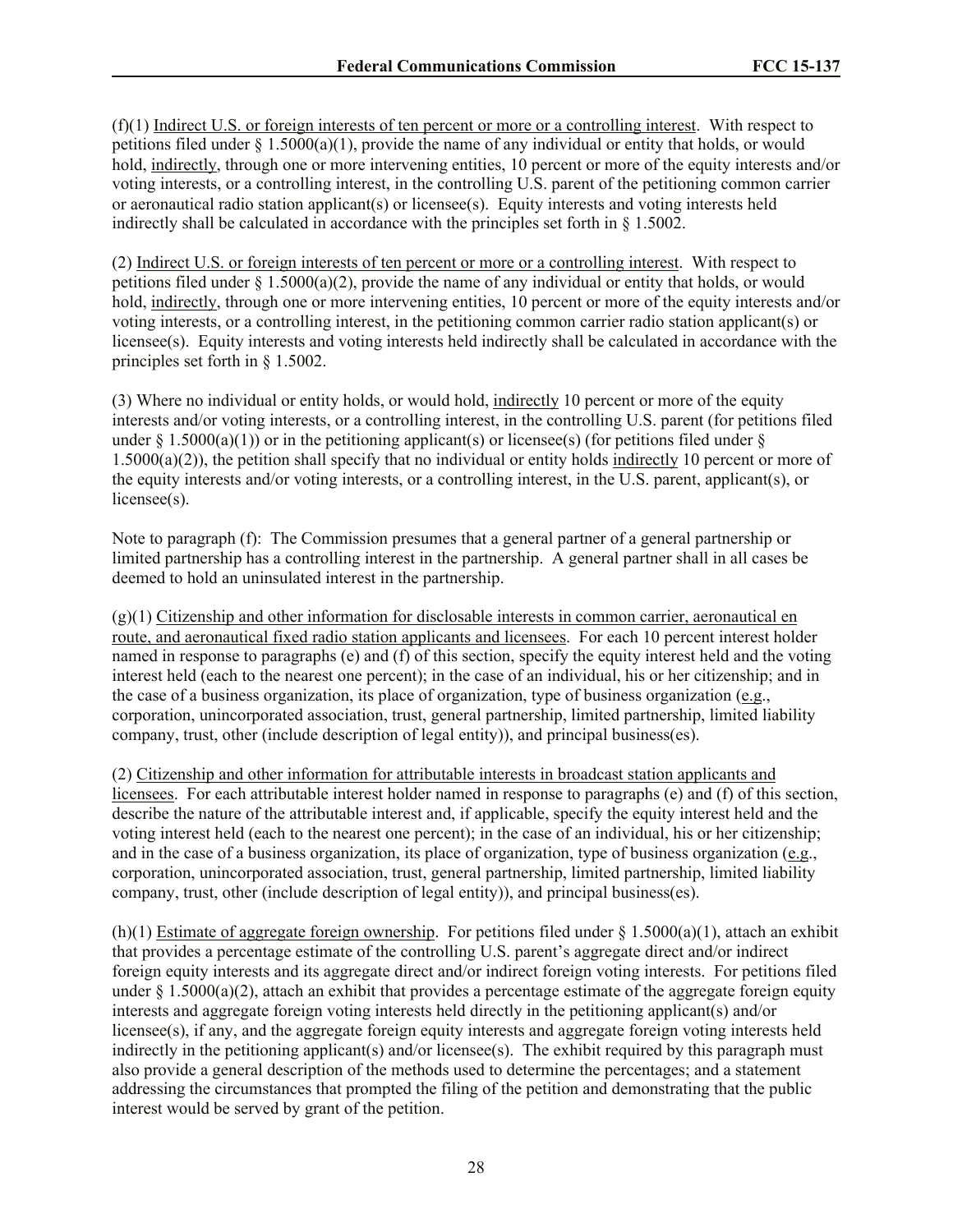(f)(1) Indirect U.S. or foreign interests of ten percent or more or a controlling interest. With respect to petitions filed under  $\S$  1.5000(a)(1), provide the name of any individual or entity that holds, or would hold, indirectly, through one or more intervening entities, 10 percent or more of the equity interests and/or voting interests, or a controlling interest, in the controlling U.S. parent of the petitioning common carrier or aeronautical radio station applicant(s) or licensee(s). Equity interests and voting interests held indirectly shall be calculated in accordance with the principles set forth in § 1.5002.

(2) Indirect U.S. or foreign interests of ten percent or more or a controlling interest. With respect to petitions filed under § 1.5000(a)(2), provide the name of any individual or entity that holds, or would hold, indirectly, through one or more intervening entities, 10 percent or more of the equity interests and/or voting interests, or a controlling interest, in the petitioning common carrier radio station applicant(s) or licensee(s). Equity interests and voting interests held indirectly shall be calculated in accordance with the principles set forth in § 1.5002.

(3) Where no individual or entity holds, or would hold, indirectly 10 percent or more of the equity interests and/or voting interests, or a controlling interest, in the controlling U.S. parent (for petitions filed under  $\S$  1.5000(a)(1)) or in the petitioning applicant(s) or licensee(s) (for petitions filed under  $\S$ 1.5000(a)(2)), the petition shall specify that no individual or entity holds indirectly 10 percent or more of the equity interests and/or voting interests, or a controlling interest, in the U.S. parent, applicant(s), or licensee(s).

Note to paragraph (f): The Commission presumes that a general partner of a general partnership or limited partnership has a controlling interest in the partnership. A general partner shall in all cases be deemed to hold an uninsulated interest in the partnership.

(g)(1) Citizenship and other information for disclosable interests in common carrier, aeronautical en route, and aeronautical fixed radio station applicants and licensees. For each 10 percent interest holder named in response to paragraphs (e) and (f) of this section, specify the equity interest held and the voting interest held (each to the nearest one percent); in the case of an individual, his or her citizenship; and in the case of a business organization, its place of organization, type of business organization (e.g., corporation, unincorporated association, trust, general partnership, limited partnership, limited liability company, trust, other (include description of legal entity)), and principal business(es).

(2) Citizenship and other information for attributable interests in broadcast station applicants and licensees. For each attributable interest holder named in response to paragraphs (e) and (f) of this section, describe the nature of the attributable interest and, if applicable, specify the equity interest held and the voting interest held (each to the nearest one percent); in the case of an individual, his or her citizenship; and in the case of a business organization, its place of organization, type of business organization (e.g., corporation, unincorporated association, trust, general partnership, limited partnership, limited liability company, trust, other (include description of legal entity)), and principal business(es).

(h)(1) Estimate of aggregate foreign ownership. For petitions filed under  $\S 1.5000(a)(1)$ , attach an exhibit that provides a percentage estimate of the controlling U.S. parent's aggregate direct and/or indirect foreign equity interests and its aggregate direct and/or indirect foreign voting interests. For petitions filed under  $\S 1.5000(a)(2)$ , attach an exhibit that provides a percentage estimate of the aggregate foreign equity interests and aggregate foreign voting interests held directly in the petitioning applicant(s) and/or licensee(s), if any, and the aggregate foreign equity interests and aggregate foreign voting interests held indirectly in the petitioning applicant(s) and/or licensee(s). The exhibit required by this paragraph must also provide a general description of the methods used to determine the percentages; and a statement addressing the circumstances that prompted the filing of the petition and demonstrating that the public interest would be served by grant of the petition.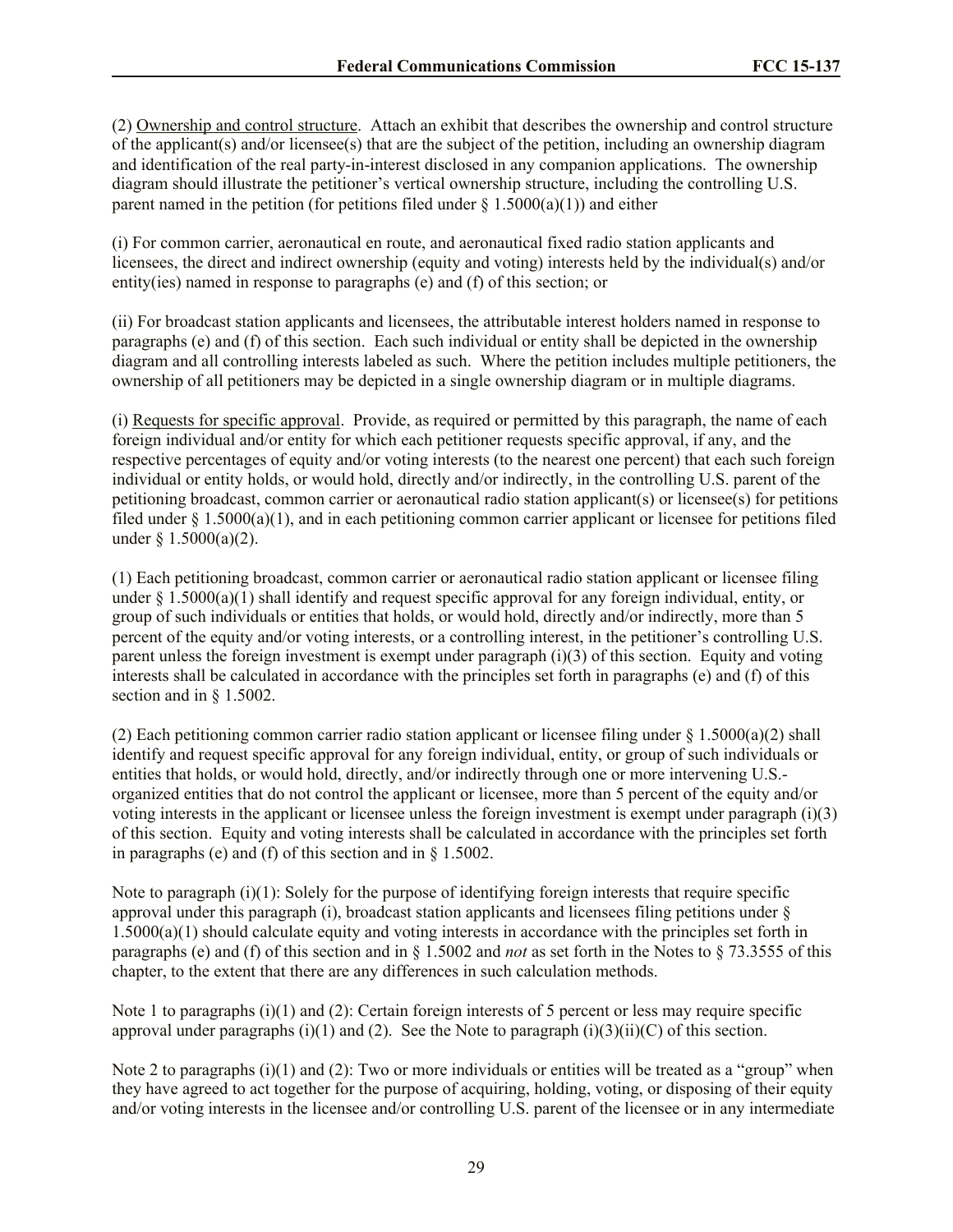(2) Ownership and control structure. Attach an exhibit that describes the ownership and control structure of the applicant(s) and/or licensee(s) that are the subject of the petition, including an ownership diagram and identification of the real party-in-interest disclosed in any companion applications. The ownership diagram should illustrate the petitioner's vertical ownership structure, including the controlling U.S. parent named in the petition (for petitions filed under  $\S 1.5000(a)(1)$ ) and either

(i) For common carrier, aeronautical en route, and aeronautical fixed radio station applicants and licensees, the direct and indirect ownership (equity and voting) interests held by the individual(s) and/or entity(ies) named in response to paragraphs (e) and (f) of this section; or

(ii) For broadcast station applicants and licensees, the attributable interest holders named in response to paragraphs (e) and (f) of this section. Each such individual or entity shall be depicted in the ownership diagram and all controlling interests labeled as such. Where the petition includes multiple petitioners, the ownership of all petitioners may be depicted in a single ownership diagram or in multiple diagrams.

(i) Requests for specific approval. Provide, as required or permitted by this paragraph, the name of each foreign individual and/or entity for which each petitioner requests specific approval, if any, and the respective percentages of equity and/or voting interests (to the nearest one percent) that each such foreign individual or entity holds, or would hold, directly and/or indirectly, in the controlling U.S. parent of the petitioning broadcast, common carrier or aeronautical radio station applicant(s) or licensee(s) for petitions filed under  $\S 1.5000(a)(1)$ , and in each petitioning common carrier applicant or licensee for petitions filed under § 1.5000(a)(2).

(1) Each petitioning broadcast, common carrier or aeronautical radio station applicant or licensee filing under  $\S 1.5000(a)(1)$  shall identify and request specific approval for any foreign individual, entity, or group of such individuals or entities that holds, or would hold, directly and/or indirectly, more than 5 percent of the equity and/or voting interests, or a controlling interest, in the petitioner's controlling U.S. parent unless the foreign investment is exempt under paragraph  $(i)(3)$  of this section. Equity and voting interests shall be calculated in accordance with the principles set forth in paragraphs (e) and (f) of this section and in § 1.5002.

(2) Each petitioning common carrier radio station applicant or licensee filing under  $\S$  1.5000(a)(2) shall identify and request specific approval for any foreign individual, entity, or group of such individuals or entities that holds, or would hold, directly, and/or indirectly through one or more intervening U.S. organized entities that do not control the applicant or licensee, more than 5 percent of the equity and/or voting interests in the applicant or licensee unless the foreign investment is exempt under paragraph (i)(3) of this section. Equity and voting interests shall be calculated in accordance with the principles set forth in paragraphs (e) and (f) of this section and in § 1.5002.

Note to paragraph  $(i)(1)$ : Solely for the purpose of identifying foreign interests that require specific approval under this paragraph (i), broadcast station applicants and licensees filing petitions under  $\S$ 1.5000(a)(1) should calculate equity and voting interests in accordance with the principles set forth in paragraphs (e) and (f) of this section and in § 1.5002 and *not* as set forth in the Notes to § 73.3555 of this chapter, to the extent that there are any differences in such calculation methods.

Note 1 to paragraphs (i)(1) and (2): Certain foreign interests of 5 percent or less may require specific approval under paragraphs (i)(1) and (2). See the Note to paragraph (i)(3)(ii)(C) of this section.

Note 2 to paragraphs (i)(1) and (2): Two or more individuals or entities will be treated as a "group" when they have agreed to act together for the purpose of acquiring, holding, voting, or disposing of their equity and/or voting interests in the licensee and/or controlling U.S. parent of the licensee or in any intermediate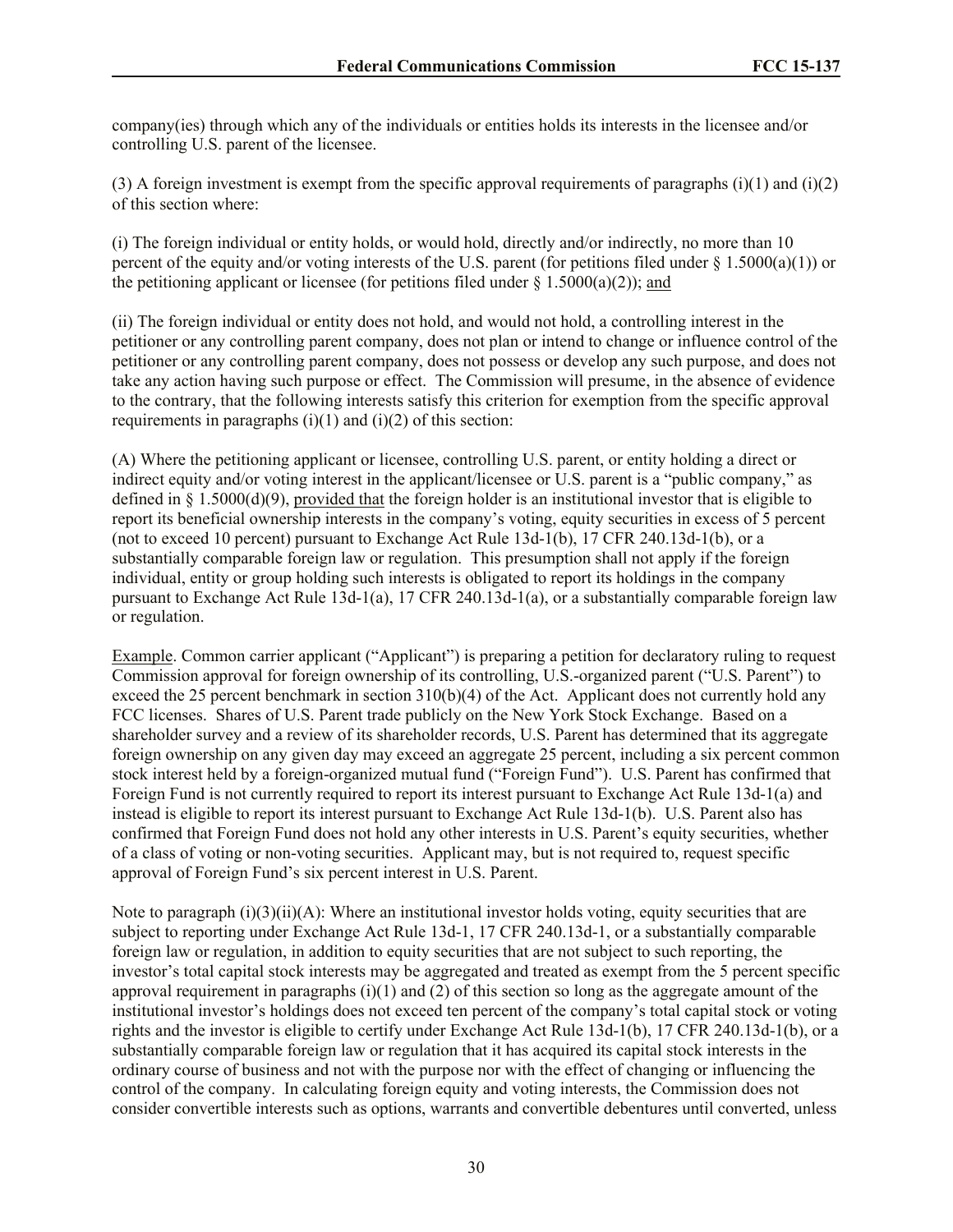company(ies) through which any of the individuals or entities holds its interests in the licensee and/or controlling U.S. parent of the licensee.

(3) A foreign investment is exempt from the specific approval requirements of paragraphs (i)(1) and (i)(2) of this section where:

(i) The foreign individual or entity holds, or would hold, directly and/or indirectly, no more than 10 percent of the equity and/or voting interests of the U.S. parent (for petitions filed under  $\S 1.5000(a)(1)$ ) or the petitioning applicant or licensee (for petitions filed under  $\S$  1.5000(a)(2)); and

(ii) The foreign individual or entity does not hold, and would not hold, a controlling interest in the petitioner or any controlling parent company, does not plan or intend to change or influence control of the petitioner or any controlling parent company, does not possess or develop any such purpose, and does not take any action having such purpose or effect. The Commission will presume, in the absence of evidence to the contrary, that the following interests satisfy this criterion for exemption from the specific approval requirements in paragraphs  $(i)(1)$  and  $(i)(2)$  of this section:

(A) Where the petitioning applicant or licensee, controlling U.S. parent, or entity holding a direct or indirect equity and/or voting interest in the applicant/licensee or U.S. parent is a "public company," as defined in  $\S 1.5000(d)(9)$ , provided that the foreign holder is an institutional investor that is eligible to report its beneficial ownership interests in the company's voting, equity securities in excess of 5 percent (not to exceed 10 percent) pursuant to Exchange Act Rule 13d-1(b), 17 CFR 240.13d-1(b), or a substantially comparable foreign law or regulation. This presumption shall not apply if the foreign individual, entity or group holding such interests is obligated to report its holdings in the company pursuant to Exchange Act Rule 13d-1(a), 17 CFR 240.13d-1(a), or a substantially comparable foreign law or regulation.

Example. Common carrier applicant ("Applicant") is preparing a petition for declaratory ruling to request Commission approval for foreign ownership of its controlling, U.S.-organized parent ("U.S. Parent") to exceed the 25 percent benchmark in section  $310(b)(4)$  of the Act. Applicant does not currently hold any FCC licenses. Shares of U.S. Parent trade publicly on the New York Stock Exchange. Based on a shareholder survey and a review of its shareholder records, U.S. Parent has determined that its aggregate foreign ownership on any given day may exceed an aggregate 25 percent, including a six percent common stock interest held by a foreign-organized mutual fund ("Foreign Fund"). U.S. Parent has confirmed that Foreign Fund is not currently required to report its interest pursuant to Exchange Act Rule 13d-1(a) and instead is eligible to report its interest pursuant to Exchange Act Rule 13d-1(b). U.S. Parent also has confirmed that Foreign Fund does not hold any other interests in U.S. Parent's equity securities, whether of a class of voting or non-voting securities. Applicant may, but is not required to, request specific approval of Foreign Fund's six percent interest in U.S. Parent.

Note to paragraph  $(i)(3)(ii)(A)$ : Where an institutional investor holds voting, equity securities that are subject to reporting under Exchange Act Rule 13d-1, 17 CFR 240.13d-1, or a substantially comparable foreign law or regulation, in addition to equity securities that are not subject to such reporting, the investor's total capital stock interests may be aggregated and treated as exempt from the 5 percent specific approval requirement in paragraphs  $(i)(1)$  and  $(2)$  of this section so long as the aggregate amount of the institutional investor's holdings does not exceed ten percent of the company's total capital stock or voting rights and the investor is eligible to certify under Exchange Act Rule 13d-1(b), 17 CFR 240.13d-1(b), or a substantially comparable foreign law or regulation that it has acquired its capital stock interests in the ordinary course of business and not with the purpose nor with the effect of changing or influencing the control of the company. In calculating foreign equity and voting interests, the Commission does not consider convertible interests such as options, warrants and convertible debentures until converted, unless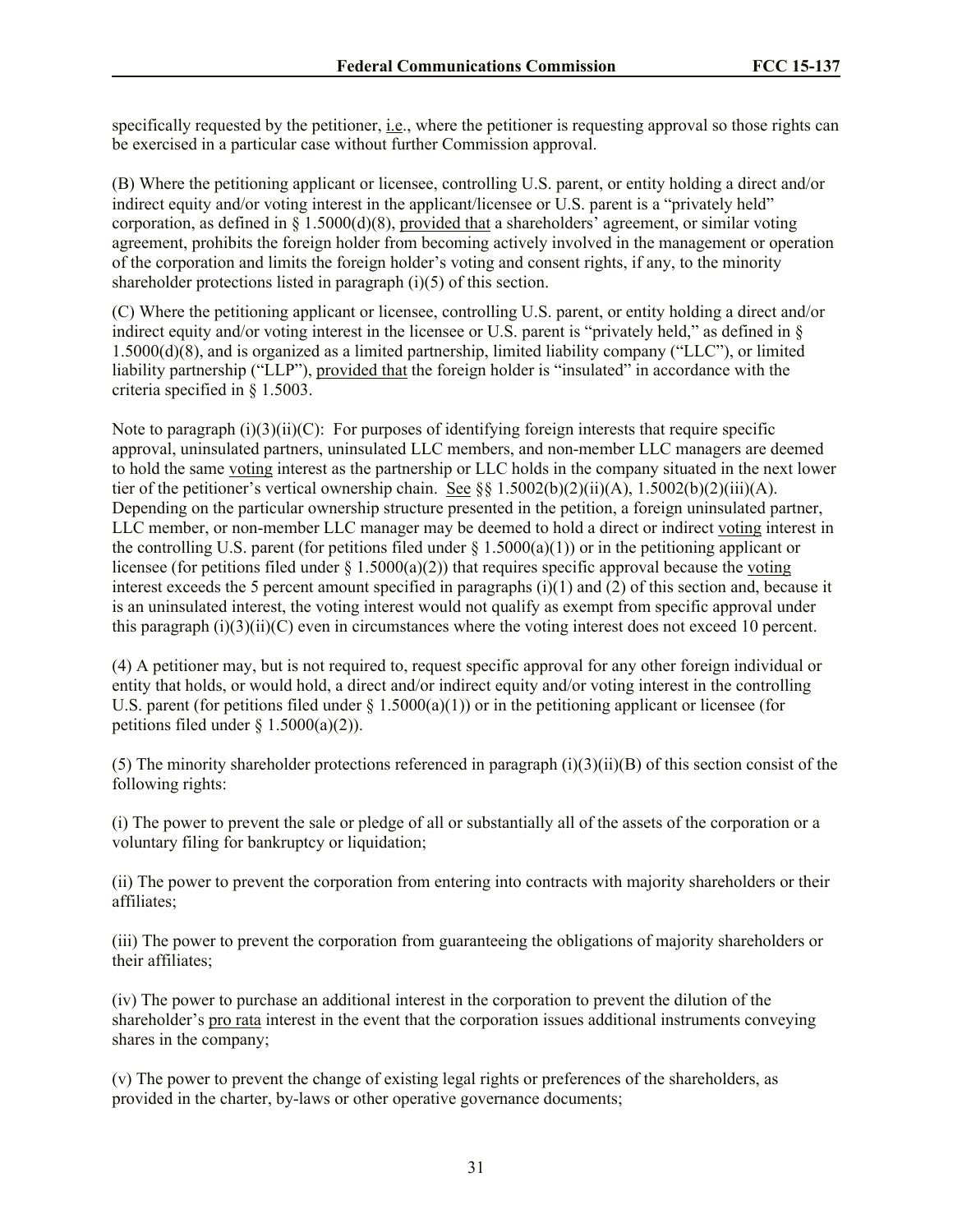specifically requested by the petitioner, i.e., where the petitioner is requesting approval so those rights can be exercised in a particular case without further Commission approval.

(B) Where the petitioning applicant or licensee, controlling U.S. parent, or entity holding a direct and/or indirect equity and/or voting interest in the applicant/licensee or U.S. parent is a "privately held" corporation, as defined in § 1.5000(d)(8), provided that a shareholders' agreement, or similar voting agreement, prohibits the foreign holder from becoming actively involved in the management or operation of the corporation and limits the foreign holder's voting and consent rights, if any, to the minority shareholder protections listed in paragraph (i)(5) of this section.

(C) Where the petitioning applicant or licensee, controlling U.S. parent, or entity holding a direct and/or indirect equity and/or voting interest in the licensee or U.S. parent is "privately held," as defined in § 1.5000(d)(8), and is organized as a limited partnership, limited liability company ("LLC"), or limited liability partnership ("LLP"), provided that the foreign holder is "insulated" in accordance with the criteria specified in § 1.5003.

Note to paragraph  $(i)(3)(ii)(C)$ : For purposes of identifying foreign interests that require specific approval, uninsulated partners, uninsulated LLC members, and non-member LLC managers are deemed to hold the same voting interest as the partnership or LLC holds in the company situated in the next lower tier of the petitioner's vertical ownership chain. See §§ 1.5002(b)(2)(ii)(A), 1.5002(b)(2)(iii)(A). Depending on the particular ownership structure presented in the petition, a foreign uninsulated partner, LLC member, or non-member LLC manager may be deemed to hold a direct or indirect voting interest in the controlling U.S. parent (for petitions filed under  $\S 1.5000(a)(1)$ ) or in the petitioning applicant or licensee (for petitions filed under  $\S$  1.5000(a)(2)) that requires specific approval because the voting interest exceeds the 5 percent amount specified in paragraphs (i)(1) and (2) of this section and, because it is an uninsulated interest, the voting interest would not qualify as exempt from specific approval under this paragraph  $(i)(3)(ii)(C)$  even in circumstances where the voting interest does not exceed 10 percent.

(4) A petitioner may, but is not required to, request specific approval for any other foreign individual or entity that holds, or would hold, a direct and/or indirect equity and/or voting interest in the controlling U.S. parent (for petitions filed under  $\S$  1.5000(a)(1)) or in the petitioning applicant or licensee (for petitions filed under  $\S$  1.5000(a)(2)).

(5) The minority shareholder protections referenced in paragraph  $(i)(3)(ii)(B)$  of this section consist of the following rights:

(i) The power to prevent the sale or pledge of all or substantially all of the assets of the corporation or a voluntary filing for bankruptcy or liquidation;

(ii) The power to prevent the corporation from entering into contracts with majority shareholders or their affiliates;

(iii) The power to prevent the corporation from guaranteeing the obligations of majority shareholders or their affiliates;

(iv) The power to purchase an additional interest in the corporation to prevent the dilution of the shareholder's pro rata interest in the event that the corporation issues additional instruments conveying shares in the company;

(v) The power to prevent the change of existing legal rights or preferences of the shareholders, as provided in the charter, by-laws or other operative governance documents;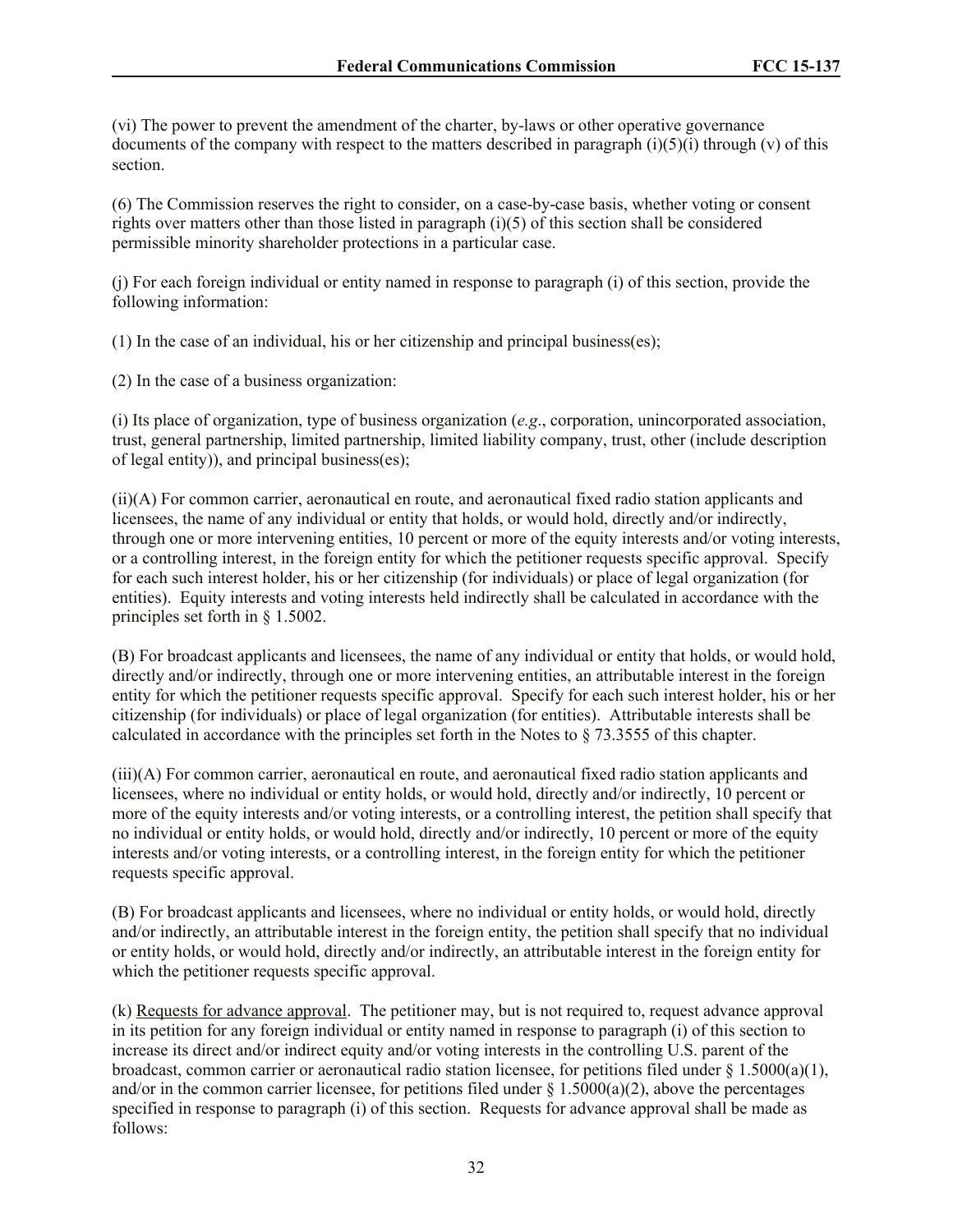(vi) The power to prevent the amendment of the charter, by-laws or other operative governance documents of the company with respect to the matters described in paragraph  $(i)(5)(i)$  through  $(v)$  of this section.

(6) The Commission reserves the right to consider, on a case-by-case basis, whether voting or consent rights over matters other than those listed in paragraph (i)(5) of this section shall be considered permissible minority shareholder protections in a particular case.

(j) For each foreign individual or entity named in response to paragraph (i) of this section, provide the following information:

(1) In the case of an individual, his or her citizenship and principal business(es);

(2) In the case of a business organization:

(i) Its place of organization, type of business organization (*e.g*., corporation, unincorporated association, trust, general partnership, limited partnership, limited liability company, trust, other (include description of legal entity)), and principal business(es);

(ii)(A) For common carrier, aeronautical en route, and aeronautical fixed radio station applicants and licensees, the name of any individual or entity that holds, or would hold, directly and/or indirectly, through one or more intervening entities, 10 percent or more of the equity interests and/or voting interests, or a controlling interest, in the foreign entity for which the petitioner requests specific approval. Specify for each such interest holder, his or her citizenship (for individuals) or place of legal organization (for entities). Equity interests and voting interests held indirectly shall be calculated in accordance with the principles set forth in § 1.5002.

(B) For broadcast applicants and licensees, the name of any individual or entity that holds, or would hold, directly and/or indirectly, through one or more intervening entities, an attributable interest in the foreign entity for which the petitioner requests specific approval. Specify for each such interest holder, his or her citizenship (for individuals) or place of legal organization (for entities). Attributable interests shall be calculated in accordance with the principles set forth in the Notes to § 73.3555 of this chapter.

(iii)(A) For common carrier, aeronautical en route, and aeronautical fixed radio station applicants and licensees, where no individual or entity holds, or would hold, directly and/or indirectly, 10 percent or more of the equity interests and/or voting interests, or a controlling interest, the petition shall specify that no individual or entity holds, or would hold, directly and/or indirectly, 10 percent or more of the equity interests and/or voting interests, or a controlling interest, in the foreign entity for which the petitioner requests specific approval.

(B) For broadcast applicants and licensees, where no individual or entity holds, or would hold, directly and/or indirectly, an attributable interest in the foreign entity, the petition shall specify that no individual or entity holds, or would hold, directly and/or indirectly, an attributable interest in the foreign entity for which the petitioner requests specific approval.

(k) Requests for advance approval. The petitioner may, but is not required to, request advance approval in its petition for any foreign individual or entity named in response to paragraph (i) of this section to increase its direct and/or indirect equity and/or voting interests in the controlling U.S. parent of the broadcast, common carrier or aeronautical radio station licensee, for petitions filed under § 1.5000(a)(1), and/or in the common carrier licensee, for petitions filed under  $\S$  1.5000(a)(2), above the percentages specified in response to paragraph (i) of this section. Requests for advance approval shall be made as follows: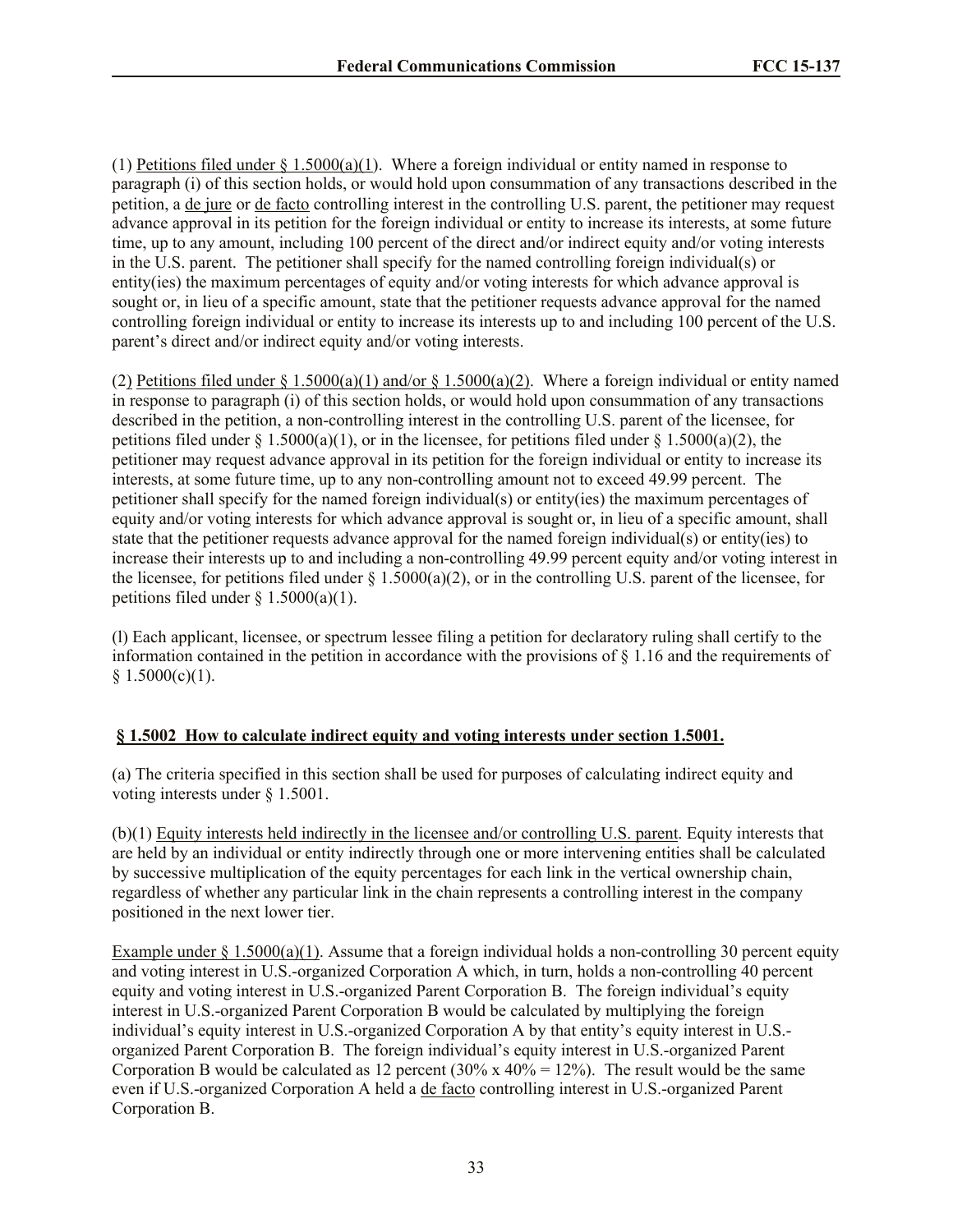(1) Petitions filed under  $\S 1.5000(a)(1)$ . Where a foreign individual or entity named in response to paragraph (i) of this section holds, or would hold upon consummation of any transactions described in the petition, a de jure or de facto controlling interest in the controlling U.S. parent, the petitioner may request advance approval in its petition for the foreign individual or entity to increase its interests, at some future time, up to any amount, including 100 percent of the direct and/or indirect equity and/or voting interests in the U.S. parent. The petitioner shall specify for the named controlling foreign individual(s) or entity(ies) the maximum percentages of equity and/or voting interests for which advance approval is sought or, in lieu of a specific amount, state that the petitioner requests advance approval for the named controlling foreign individual or entity to increase its interests up to and including 100 percent of the U.S. parent's direct and/or indirect equity and/or voting interests.

(2) Petitions filed under  $\S 1.5000(a)(1)$  and/or  $\S 1.5000(a)(2)$ . Where a foreign individual or entity named in response to paragraph (i) of this section holds, or would hold upon consummation of any transactions described in the petition, a non-controlling interest in the controlling U.S. parent of the licensee, for petitions filed under  $\S 1.5000(a)(1)$ , or in the licensee, for petitions filed under  $\S 1.5000(a)(2)$ , the petitioner may request advance approval in its petition for the foreign individual or entity to increase its interests, at some future time, up to any non-controlling amount not to exceed 49.99 percent. The petitioner shall specify for the named foreign individual(s) or entity(ies) the maximum percentages of equity and/or voting interests for which advance approval is sought or, in lieu of a specific amount, shall state that the petitioner requests advance approval for the named foreign individual(s) or entity(ies) to increase their interests up to and including a non-controlling 49.99 percent equity and/or voting interest in the licensee, for petitions filed under  $\S 1.5000(a)(2)$ , or in the controlling U.S. parent of the licensee, for petitions filed under  $\S$  1.5000(a)(1).

(l) Each applicant, licensee, or spectrum lessee filing a petition for declaratory ruling shall certify to the information contained in the petition in accordance with the provisions of § 1.16 and the requirements of  $§ 1.5000(c)(1).$ 

# **§ 1.5002 How to calculate indirect equity and voting interests under section 1.5001.**

(a) The criteria specified in this section shall be used for purposes of calculating indirect equity and voting interests under § 1.5001.

(b)(1) Equity interests held indirectly in the licensee and/or controlling U.S. parent. Equity interests that are held by an individual or entity indirectly through one or more intervening entities shall be calculated by successive multiplication of the equity percentages for each link in the vertical ownership chain, regardless of whether any particular link in the chain represents a controlling interest in the company positioned in the next lower tier.

Example under  $\S 1.5000(a)(1)$ . Assume that a foreign individual holds a non-controlling 30 percent equity and voting interest in U.S.-organized Corporation A which, in turn, holds a non-controlling 40 percent equity and voting interest in U.S.-organized Parent Corporation B. The foreign individual's equity interest in U.S.-organized Parent Corporation B would be calculated by multiplying the foreign individual's equity interest in U.S.-organized Corporation A by that entity's equity interest in U.S. organized Parent Corporation B. The foreign individual's equity interest in U.S.-organized Parent Corporation B would be calculated as 12 percent (30% x 40% = 12%). The result would be the same even if U.S.-organized Corporation A held a de facto controlling interest in U.S.-organized Parent Corporation B.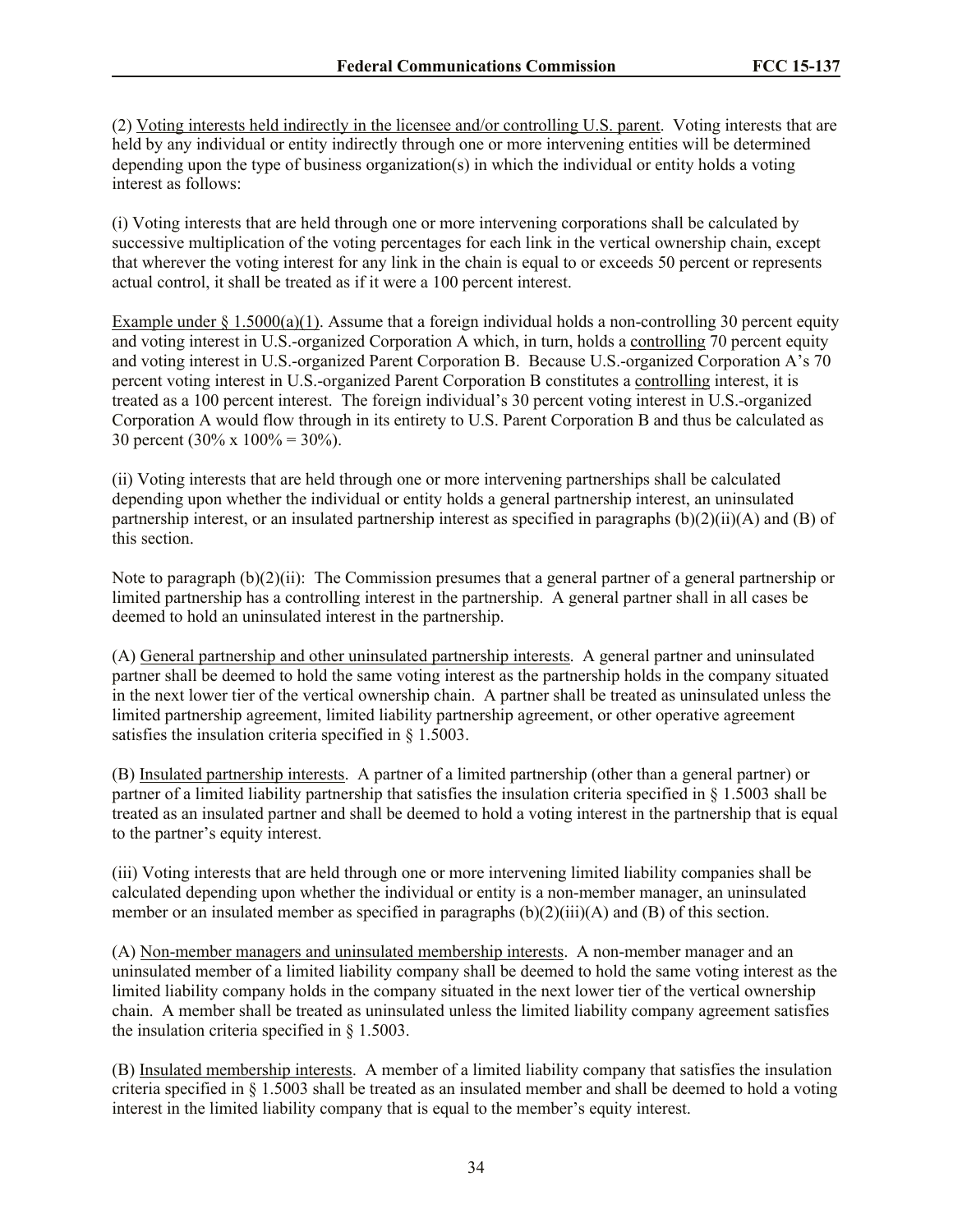(2) Voting interests held indirectly in the licensee and/or controlling U.S. parent. Voting interests that are held by any individual or entity indirectly through one or more intervening entities will be determined depending upon the type of business organization(s) in which the individual or entity holds a voting interest as follows:

(i) Voting interests that are held through one or more intervening corporations shall be calculated by successive multiplication of the voting percentages for each link in the vertical ownership chain, except that wherever the voting interest for any link in the chain is equal to or exceeds 50 percent or represents actual control, it shall be treated as if it were a 100 percent interest.

Example under  $\S 1.5000(a)(1)$ . Assume that a foreign individual holds a non-controlling 30 percent equity and voting interest in U.S.-organized Corporation A which, in turn, holds a controlling 70 percent equity and voting interest in U.S.-organized Parent Corporation B. Because U.S.-organized Corporation A's 70 percent voting interest in U.S.-organized Parent Corporation B constitutes a controlling interest, it is treated as a 100 percent interest. The foreign individual's 30 percent voting interest in U.S.-organized Corporation A would flow through in its entirety to U.S. Parent Corporation B and thus be calculated as 30 percent (30% x  $100% = 30%$ ).

(ii) Voting interests that are held through one or more intervening partnerships shall be calculated depending upon whether the individual or entity holds a general partnership interest, an uninsulated partnership interest, or an insulated partnership interest as specified in paragraphs (b)(2)(ii)(A) and (B) of this section.

Note to paragraph (b)(2)(ii): The Commission presumes that a general partner of a general partnership or limited partnership has a controlling interest in the partnership. A general partner shall in all cases be deemed to hold an uninsulated interest in the partnership.

(A) General partnership and other uninsulated partnership interests. A general partner and uninsulated partner shall be deemed to hold the same voting interest as the partnership holds in the company situated in the next lower tier of the vertical ownership chain. A partner shall be treated as uninsulated unless the limited partnership agreement, limited liability partnership agreement, or other operative agreement satisfies the insulation criteria specified in § 1.5003.

(B) Insulated partnership interests. A partner of a limited partnership (other than a general partner) or partner of a limited liability partnership that satisfies the insulation criteria specified in  $\S$  1.5003 shall be treated as an insulated partner and shall be deemed to hold a voting interest in the partnership that is equal to the partner's equity interest.

(iii) Voting interests that are held through one or more intervening limited liability companies shall be calculated depending upon whether the individual or entity is a non-member manager, an uninsulated member or an insulated member as specified in paragraphs  $(b)(2)(iii)(A)$  and  $(B)$  of this section.

(A) Non-member managers and uninsulated membership interests. A non-member manager and an uninsulated member of a limited liability company shall be deemed to hold the same voting interest as the limited liability company holds in the company situated in the next lower tier of the vertical ownership chain. A member shall be treated as uninsulated unless the limited liability company agreement satisfies the insulation criteria specified in § 1.5003.

(B) Insulated membership interests. A member of a limited liability company that satisfies the insulation criteria specified in § 1.5003 shall be treated as an insulated member and shall be deemed to hold a voting interest in the limited liability company that is equal to the member's equity interest.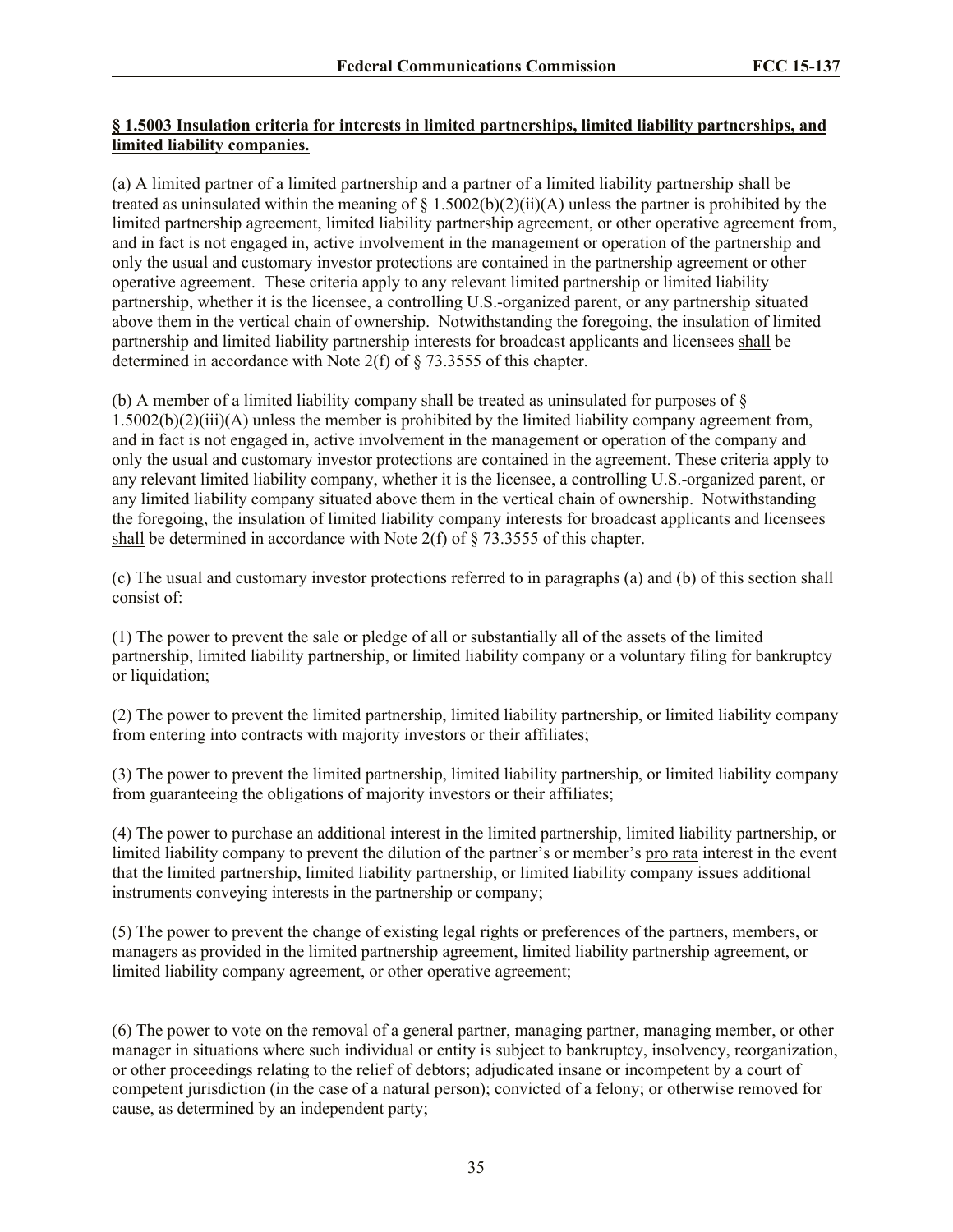# **§ 1.5003 Insulation criteria for interests in limited partnerships, limited liability partnerships, and limited liability companies.**

(a) A limited partner of a limited partnership and a partner of a limited liability partnership shall be treated as uninsulated within the meaning of  $\S$  1.5002(b)(2)(ii)(A) unless the partner is prohibited by the limited partnership agreement, limited liability partnership agreement, or other operative agreement from, and in fact is not engaged in, active involvement in the management or operation of the partnership and only the usual and customary investor protections are contained in the partnership agreement or other operative agreement. These criteria apply to any relevant limited partnership or limited liability partnership, whether it is the licensee, a controlling U.S.-organized parent, or any partnership situated above them in the vertical chain of ownership. Notwithstanding the foregoing, the insulation of limited partnership and limited liability partnership interests for broadcast applicants and licensees shall be determined in accordance with Note 2(f) of § 73.3555 of this chapter.

(b) A member of a limited liability company shall be treated as uninsulated for purposes of  $\S$  $1.5002(b)(2)(iii)(A)$  unless the member is prohibited by the limited liability company agreement from, and in fact is not engaged in, active involvement in the management or operation of the company and only the usual and customary investor protections are contained in the agreement. These criteria apply to any relevant limited liability company, whether it is the licensee, a controlling U.S.-organized parent, or any limited liability company situated above them in the vertical chain of ownership. Notwithstanding the foregoing, the insulation of limited liability company interests for broadcast applicants and licensees shall be determined in accordance with Note 2(f) of § 73.3555 of this chapter.

(c) The usual and customary investor protections referred to in paragraphs (a) and (b) of this section shall consist of:

(1) The power to prevent the sale or pledge of all or substantially all of the assets of the limited partnership, limited liability partnership, or limited liability company or a voluntary filing for bankruptcy or liquidation;

(2) The power to prevent the limited partnership, limited liability partnership, or limited liability company from entering into contracts with majority investors or their affiliates;

(3) The power to prevent the limited partnership, limited liability partnership, or limited liability company from guaranteeing the obligations of majority investors or their affiliates;

(4) The power to purchase an additional interest in the limited partnership, limited liability partnership, or limited liability company to prevent the dilution of the partner's or member's pro rata interest in the event that the limited partnership, limited liability partnership, or limited liability company issues additional instruments conveying interests in the partnership or company;

(5) The power to prevent the change of existing legal rights or preferences of the partners, members, or managers as provided in the limited partnership agreement, limited liability partnership agreement, or limited liability company agreement, or other operative agreement;

(6) The power to vote on the removal of a general partner, managing partner, managing member, or other manager in situations where such individual or entity is subject to bankruptcy, insolvency, reorganization, or other proceedings relating to the relief of debtors; adjudicated insane or incompetent by a court of competent jurisdiction (in the case of a natural person); convicted of a felony; or otherwise removed for cause, as determined by an independent party;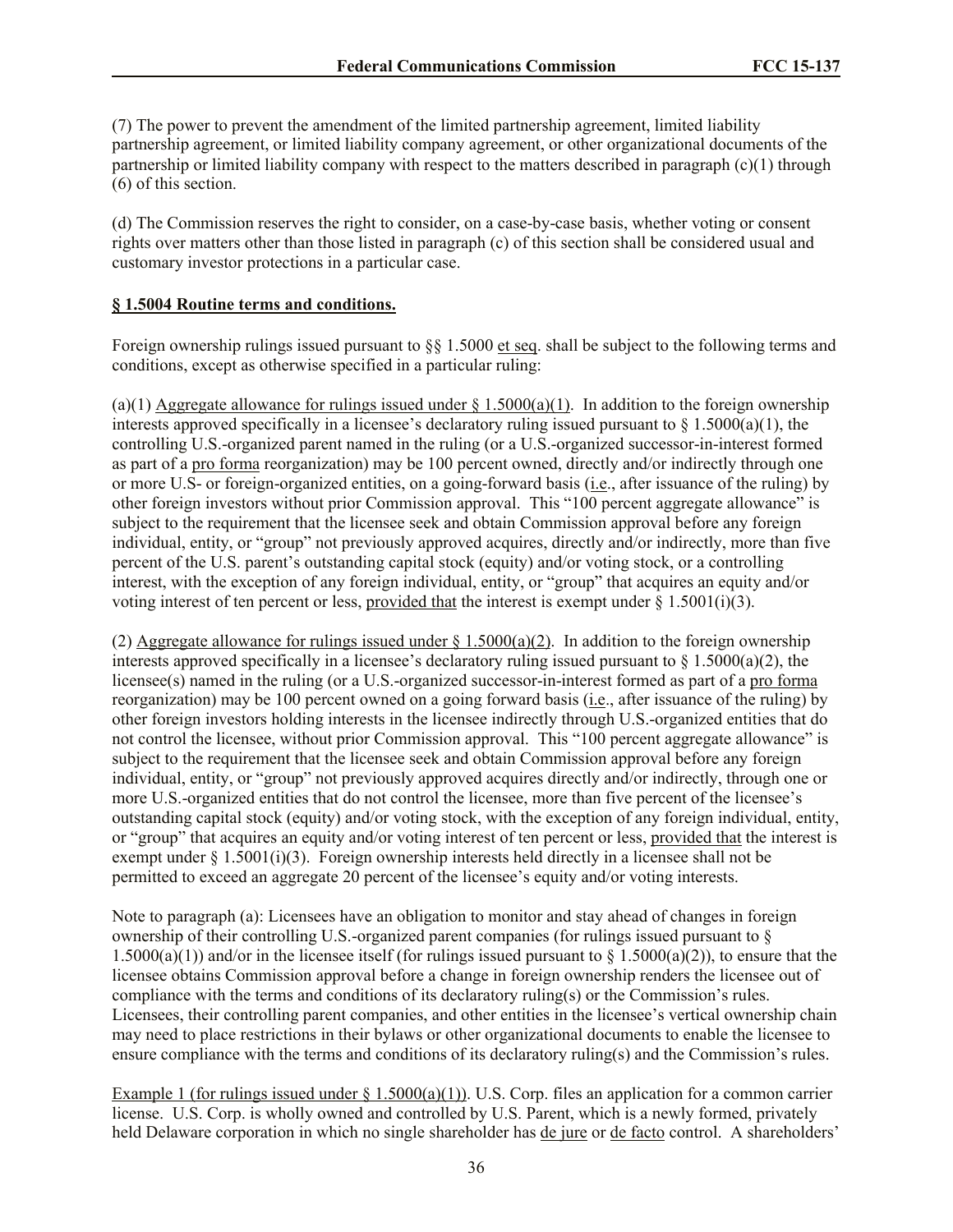(7) The power to prevent the amendment of the limited partnership agreement, limited liability partnership agreement, or limited liability company agreement, or other organizational documents of the partnership or limited liability company with respect to the matters described in paragraph (c)(1) through (6) of this section.

(d) The Commission reserves the right to consider, on a case-by-case basis, whether voting or consent rights over matters other than those listed in paragraph (c) of this section shall be considered usual and customary investor protections in a particular case.

## **§ 1.5004 Routine terms and conditions.**

Foreign ownership rulings issued pursuant to  $\S$  1.5000 et seq. shall be subject to the following terms and conditions, except as otherwise specified in a particular ruling:

(a)(1) Aggregate allowance for rulings issued under  $\S 1.5000(a)(1)$ . In addition to the foreign ownership interests approved specifically in a licensee's declaratory ruling issued pursuant to  $\S$  1.5000(a)(1), the controlling U.S.-organized parent named in the ruling (or a U.S.-organized successor-in-interest formed as part of a pro forma reorganization) may be 100 percent owned, directly and/or indirectly through one or more U.S- or foreign-organized entities, on a going-forward basis (i.e., after issuance of the ruling) by other foreign investors without prior Commission approval. This "100 percent aggregate allowance" is subject to the requirement that the licensee seek and obtain Commission approval before any foreign individual, entity, or "group" not previously approved acquires, directly and/or indirectly, more than five percent of the U.S. parent's outstanding capital stock (equity) and/or voting stock, or a controlling interest, with the exception of any foreign individual, entity, or "group" that acquires an equity and/or voting interest of ten percent or less, provided that the interest is exempt under  $\S 1.5001(i)(3)$ .

(2) Aggregate allowance for rulings issued under  $\S 1.5000(a)(2)$ . In addition to the foreign ownership interests approved specifically in a licensee's declaratory ruling issued pursuant to  $\frac{1.5000(a)}{2}$ , the licensee(s) named in the ruling (or a U.S.-organized successor-in-interest formed as part of a pro forma reorganization) may be 100 percent owned on a going forward basis (i.e., after issuance of the ruling) by other foreign investors holding interests in the licensee indirectly through U.S.-organized entities that do not control the licensee, without prior Commission approval. This "100 percent aggregate allowance" is subject to the requirement that the licensee seek and obtain Commission approval before any foreign individual, entity, or "group" not previously approved acquires directly and/or indirectly, through one or more U.S.-organized entities that do not control the licensee, more than five percent of the licensee's outstanding capital stock (equity) and/or voting stock, with the exception of any foreign individual, entity, or "group" that acquires an equity and/or voting interest of ten percent or less, provided that the interest is exempt under § 1.5001(i)(3). Foreign ownership interests held directly in a licensee shall not be permitted to exceed an aggregate 20 percent of the licensee's equity and/or voting interests.

Note to paragraph (a): Licensees have an obligation to monitor and stay ahead of changes in foreign ownership of their controlling U.S.-organized parent companies (for rulings issued pursuant to § 1.5000(a)(1)) and/or in the licensee itself (for rulings issued pursuant to  $\S$  1.5000(a)(2)), to ensure that the licensee obtains Commission approval before a change in foreign ownership renders the licensee out of compliance with the terms and conditions of its declaratory ruling(s) or the Commission's rules. Licensees, their controlling parent companies, and other entities in the licensee's vertical ownership chain may need to place restrictions in their bylaws or other organizational documents to enable the licensee to ensure compliance with the terms and conditions of its declaratory ruling(s) and the Commission's rules.

Example 1 (for rulings issued under § 1.5000(a)(1)). U.S. Corp. files an application for a common carrier license. U.S. Corp. is wholly owned and controlled by U.S. Parent, which is a newly formed, privately held Delaware corporation in which no single shareholder has de jure or de facto control. A shareholders'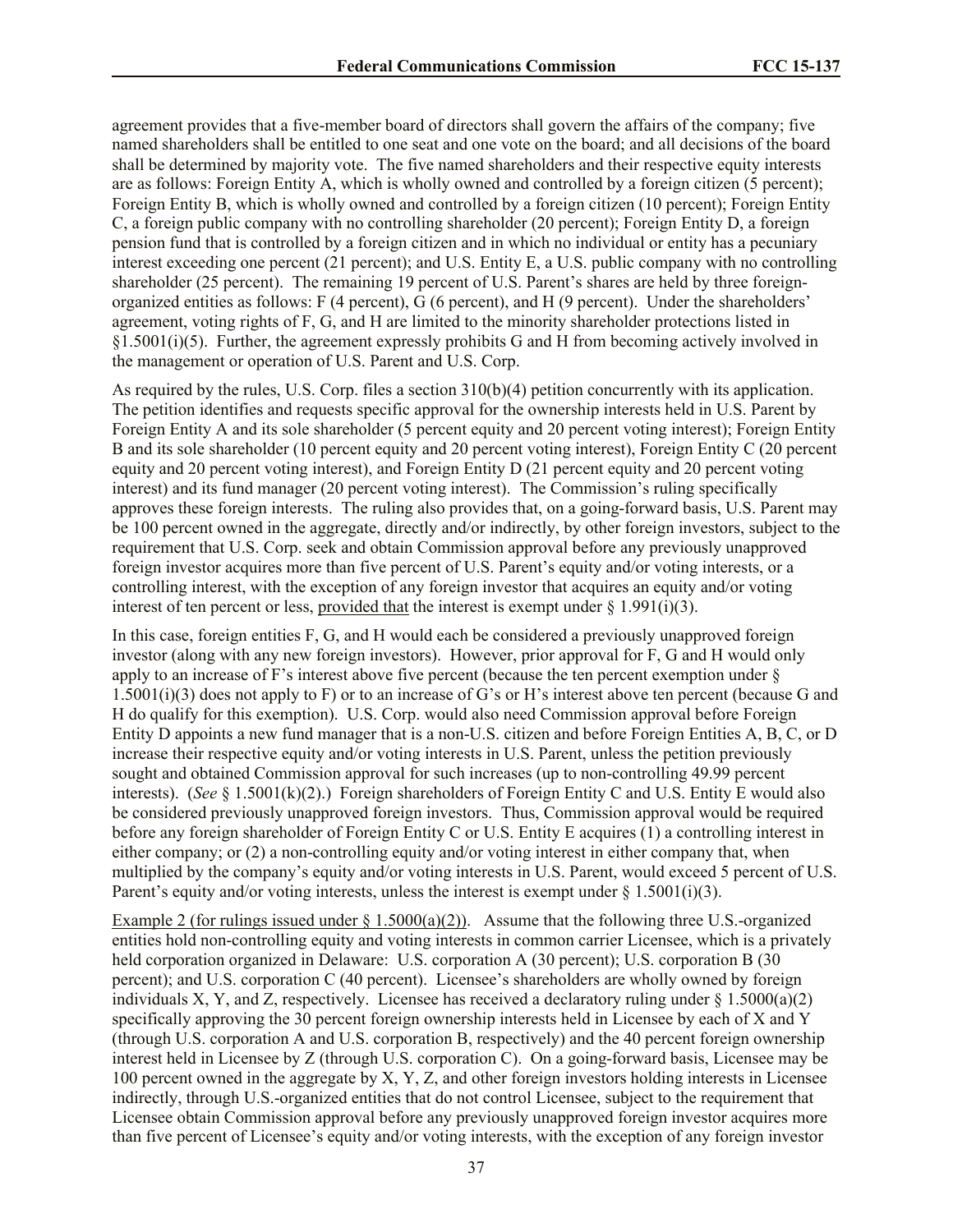agreement provides that a five-member board of directors shall govern the affairs of the company; five named shareholders shall be entitled to one seat and one vote on the board; and all decisions of the board shall be determined by majority vote. The five named shareholders and their respective equity interests are as follows: Foreign Entity A, which is wholly owned and controlled by a foreign citizen (5 percent); Foreign Entity B, which is wholly owned and controlled by a foreign citizen (10 percent); Foreign Entity C, a foreign public company with no controlling shareholder (20 percent); Foreign Entity D, a foreign pension fund that is controlled by a foreign citizen and in which no individual or entity has a pecuniary interest exceeding one percent (21 percent); and U.S. Entity E, a U.S. public company with no controlling shareholder (25 percent). The remaining 19 percent of U.S. Parent's shares are held by three foreignorganized entities as follows: F (4 percent), G (6 percent), and H (9 percent). Under the shareholders' agreement, voting rights of F, G, and H are limited to the minority shareholder protections listed in §1.5001(i)(5). Further, the agreement expressly prohibits G and H from becoming actively involved in the management or operation of U.S. Parent and U.S. Corp.

As required by the rules, U.S. Corp. files a section 310(b)(4) petition concurrently with its application. The petition identifies and requests specific approval for the ownership interests held in U.S. Parent by Foreign Entity A and its sole shareholder (5 percent equity and 20 percent voting interest); Foreign Entity B and its sole shareholder (10 percent equity and 20 percent voting interest), Foreign Entity C (20 percent equity and 20 percent voting interest), and Foreign Entity D (21 percent equity and 20 percent voting interest) and its fund manager (20 percent voting interest). The Commission's ruling specifically approves these foreign interests. The ruling also provides that, on a going-forward basis, U.S. Parent may be 100 percent owned in the aggregate, directly and/or indirectly, by other foreign investors, subject to the requirement that U.S. Corp. seek and obtain Commission approval before any previously unapproved foreign investor acquires more than five percent of U.S. Parent's equity and/or voting interests, or a controlling interest, with the exception of any foreign investor that acquires an equity and/or voting interest of ten percent or less, provided that the interest is exempt under  $\S 1.991(i)(3)$ .

In this case, foreign entities F, G, and H would each be considered a previously unapproved foreign investor (along with any new foreign investors). However, prior approval for F, G and H would only apply to an increase of F's interest above five percent (because the ten percent exemption under §  $1.5001(i)(3)$  does not apply to F) or to an increase of G's or H's interest above ten percent (because G and H do qualify for this exemption). U.S. Corp. would also need Commission approval before Foreign Entity D appoints a new fund manager that is a non-U.S. citizen and before Foreign Entities A, B, C, or D increase their respective equity and/or voting interests in U.S. Parent, unless the petition previously sought and obtained Commission approval for such increases (up to non-controlling 49.99 percent interests). (*See* § 1.5001(k)(2).) Foreign shareholders of Foreign Entity C and U.S. Entity E would also be considered previously unapproved foreign investors. Thus, Commission approval would be required before any foreign shareholder of Foreign Entity C or U.S. Entity E acquires (1) a controlling interest in either company; or (2) a non-controlling equity and/or voting interest in either company that, when multiplied by the company's equity and/or voting interests in U.S. Parent, would exceed 5 percent of U.S. Parent's equity and/or voting interests, unless the interest is exempt under  $\S 1.5001(i)(3)$ .

Example 2 (for rulings issued under  $\S 1.5000(a)(2)$ ). Assume that the following three U.S.-organized entities hold non-controlling equity and voting interests in common carrier Licensee, which is a privately held corporation organized in Delaware: U.S. corporation A (30 percent); U.S. corporation B (30 percent); and U.S. corporation C (40 percent). Licensee's shareholders are wholly owned by foreign individuals X, Y, and Z, respectively. Licensee has received a declaratory ruling under  $\S 1.5000(a)(2)$ specifically approving the 30 percent foreign ownership interests held in Licensee by each of X and Y (through U.S. corporation A and U.S. corporation B, respectively) and the 40 percent foreign ownership interest held in Licensee by Z (through U.S. corporation C). On a going-forward basis, Licensee may be 100 percent owned in the aggregate by X, Y, Z, and other foreign investors holding interests in Licensee indirectly, through U.S.-organized entities that do not control Licensee, subject to the requirement that Licensee obtain Commission approval before any previously unapproved foreign investor acquires more than five percent of Licensee's equity and/or voting interests, with the exception of any foreign investor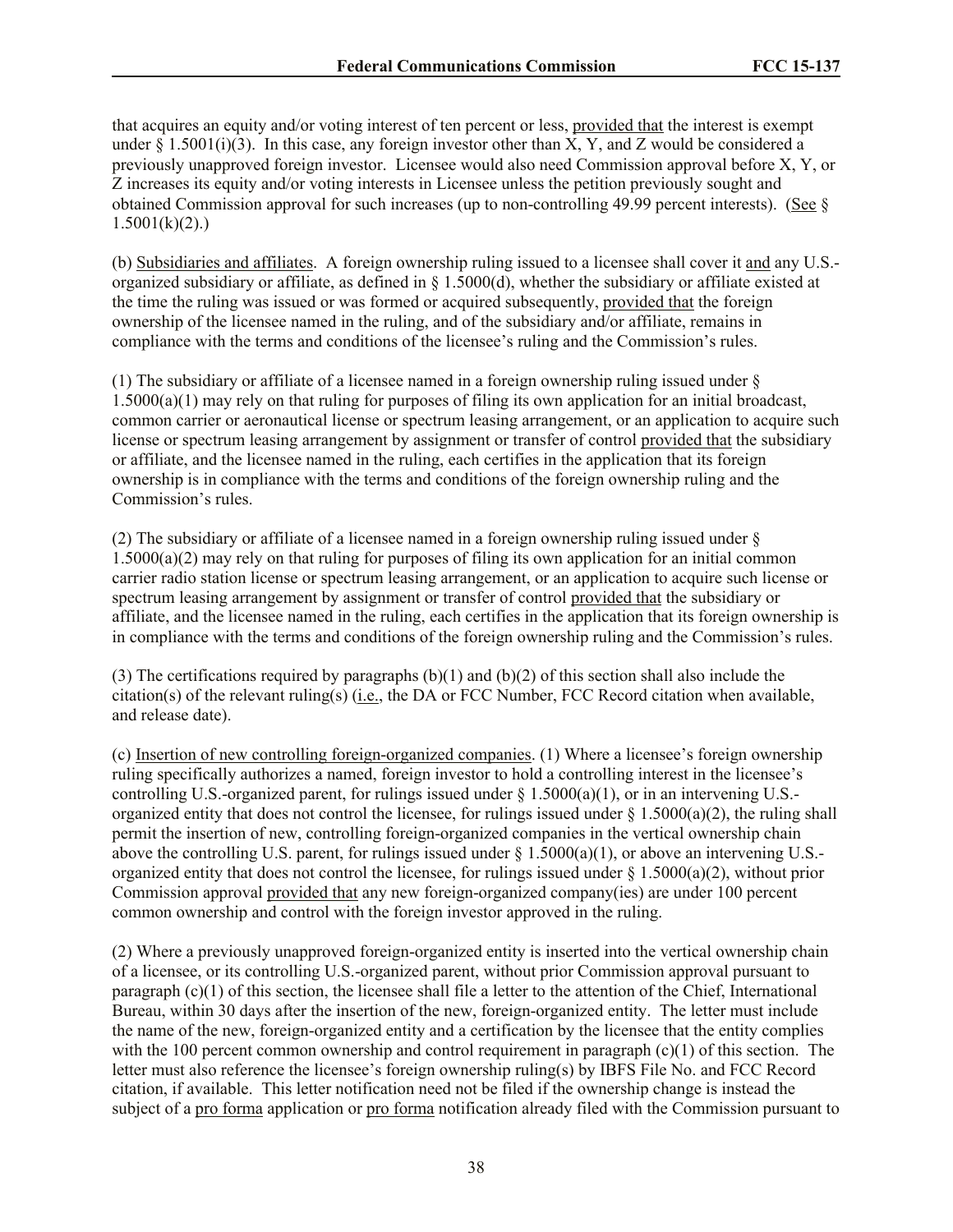that acquires an equity and/or voting interest of ten percent or less, provided that the interest is exempt under  $\S 1.5001(i)(3)$ . In this case, any foreign investor other than X, Y, and Z would be considered a previously unapproved foreign investor. Licensee would also need Commission approval before X, Y, or Z increases its equity and/or voting interests in Licensee unless the petition previously sought and obtained Commission approval for such increases (up to non-controlling 49.99 percent interests). (See §  $1.5001(k)(2)$ .)

(b) Subsidiaries and affiliates. A foreign ownership ruling issued to a licensee shall cover it and any U.S. organized subsidiary or affiliate, as defined in § 1.5000(d), whether the subsidiary or affiliate existed at the time the ruling was issued or was formed or acquired subsequently, provided that the foreign ownership of the licensee named in the ruling, and of the subsidiary and/or affiliate, remains in compliance with the terms and conditions of the licensee's ruling and the Commission's rules.

(1) The subsidiary or affiliate of a licensee named in a foreign ownership ruling issued under §  $1.5000(a)(1)$  may rely on that ruling for purposes of filing its own application for an initial broadcast, common carrier or aeronautical license or spectrum leasing arrangement, or an application to acquire such license or spectrum leasing arrangement by assignment or transfer of control provided that the subsidiary or affiliate, and the licensee named in the ruling, each certifies in the application that its foreign ownership is in compliance with the terms and conditions of the foreign ownership ruling and the Commission's rules.

(2) The subsidiary or affiliate of a licensee named in a foreign ownership ruling issued under § 1.5000(a)(2) may rely on that ruling for purposes of filing its own application for an initial common carrier radio station license or spectrum leasing arrangement, or an application to acquire such license or spectrum leasing arrangement by assignment or transfer of control provided that the subsidiary or affiliate, and the licensee named in the ruling, each certifies in the application that its foreign ownership is in compliance with the terms and conditions of the foreign ownership ruling and the Commission's rules.

(3) The certifications required by paragraphs (b)(1) and (b)(2) of this section shall also include the citation(s) of the relevant ruling(s) (i.e., the DA or FCC Number, FCC Record citation when available, and release date).

(c) Insertion of new controlling foreign-organized companies. (1) Where a licensee's foreign ownership ruling specifically authorizes a named, foreign investor to hold a controlling interest in the licensee's controlling U.S.-organized parent, for rulings issued under  $\S$  1.5000(a)(1), or in an intervening U.S.organized entity that does not control the licensee, for rulings issued under  $\S$  1.5000(a)(2), the ruling shall permit the insertion of new, controlling foreign-organized companies in the vertical ownership chain above the controlling U.S. parent, for rulings issued under  $\S 1.5000(a)(1)$ , or above an intervening U.S.organized entity that does not control the licensee, for rulings issued under  $\S 1.5000(a)(2)$ , without prior Commission approval provided that any new foreign-organized company(ies) are under 100 percent common ownership and control with the foreign investor approved in the ruling.

(2) Where a previously unapproved foreign-organized entity is inserted into the vertical ownership chain of a licensee, or its controlling U.S.-organized parent, without prior Commission approval pursuant to paragraph  $(c)(1)$  of this section, the licensee shall file a letter to the attention of the Chief, International Bureau, within 30 days after the insertion of the new, foreign-organized entity. The letter must include the name of the new, foreign-organized entity and a certification by the licensee that the entity complies with the 100 percent common ownership and control requirement in paragraph  $(c)(1)$  of this section. The letter must also reference the licensee's foreign ownership ruling(s) by IBFS File No. and FCC Record citation, if available. This letter notification need not be filed if the ownership change is instead the subject of a pro forma application or pro forma notification already filed with the Commission pursuant to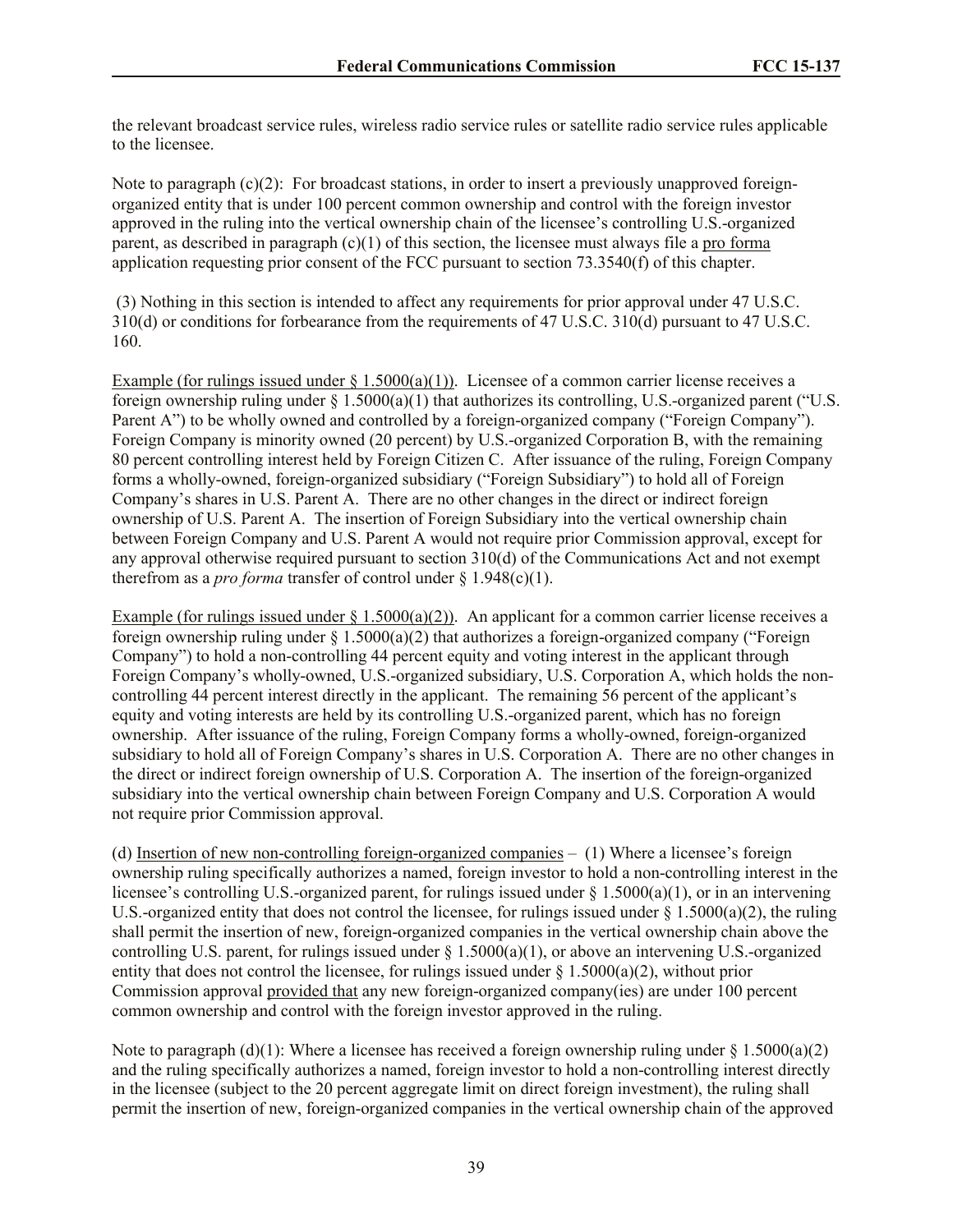the relevant broadcast service rules, wireless radio service rules or satellite radio service rules applicable to the licensee.

Note to paragraph  $(c)(2)$ : For broadcast stations, in order to insert a previously unapproved foreignorganized entity that is under 100 percent common ownership and control with the foreign investor approved in the ruling into the vertical ownership chain of the licensee's controlling U.S.-organized parent, as described in paragraph (c)(1) of this section, the licensee must always file a pro forma application requesting prior consent of the FCC pursuant to section 73.3540(f) of this chapter.

(3) Nothing in this section is intended to affect any requirements for prior approval under 47 U.S.C. 310(d) or conditions for forbearance from the requirements of 47 U.S.C. 310(d) pursuant to 47 U.S.C. 160.

Example (for rulings issued under  $\S 1.5000(a)(1)$ ). Licensee of a common carrier license receives a foreign ownership ruling under  $\S 1.5000(a)(1)$  that authorizes its controlling, U.S.-organized parent ("U.S. Parent A") to be wholly owned and controlled by a foreign-organized company ("Foreign Company"). Foreign Company is minority owned (20 percent) by U.S.-organized Corporation B, with the remaining 80 percent controlling interest held by Foreign Citizen C. After issuance of the ruling, Foreign Company forms a wholly-owned, foreign-organized subsidiary ("Foreign Subsidiary") to hold all of Foreign Company's shares in U.S. Parent A. There are no other changes in the direct or indirect foreign ownership of U.S. Parent A. The insertion of Foreign Subsidiary into the vertical ownership chain between Foreign Company and U.S. Parent A would not require prior Commission approval, except for any approval otherwise required pursuant to section 310(d) of the Communications Act and not exempt therefrom as a *pro forma* transfer of control under  $\S$  1.948(c)(1).

Example (for rulings issued under  $\S 1.5000(a)(2)$ ). An applicant for a common carrier license receives a foreign ownership ruling under  $\S 1.5000(a)(2)$  that authorizes a foreign-organized company ("Foreign Company") to hold a non-controlling 44 percent equity and voting interest in the applicant through Foreign Company's wholly-owned, U.S.-organized subsidiary, U.S. Corporation A, which holds the noncontrolling 44 percent interest directly in the applicant. The remaining 56 percent of the applicant's equity and voting interests are held by its controlling U.S.-organized parent, which has no foreign ownership. After issuance of the ruling, Foreign Company forms a wholly-owned, foreign-organized subsidiary to hold all of Foreign Company's shares in U.S. Corporation A. There are no other changes in the direct or indirect foreign ownership of U.S. Corporation A. The insertion of the foreign-organized subsidiary into the vertical ownership chain between Foreign Company and U.S. Corporation A would not require prior Commission approval.

(d) Insertion of new non-controlling foreign-organized companies *–* (1) Where a licensee's foreign ownership ruling specifically authorizes a named, foreign investor to hold a non-controlling interest in the licensee's controlling U.S.-organized parent, for rulings issued under § 1.5000(a)(1), or in an intervening U.S.-organized entity that does not control the licensee, for rulings issued under  $\S 1.5000(a)(2)$ , the ruling shall permit the insertion of new, foreign-organized companies in the vertical ownership chain above the controlling U.S. parent, for rulings issued under  $\S 1.5000(a)(1)$ , or above an intervening U.S.-organized entity that does not control the licensee, for rulings issued under  $\S$  1.5000(a)(2), without prior Commission approval provided that any new foreign-organized company(ies) are under 100 percent common ownership and control with the foreign investor approved in the ruling.

Note to paragraph (d)(1): Where a licensee has received a foreign ownership ruling under  $\S 1.5000(a)(2)$ and the ruling specifically authorizes a named, foreign investor to hold a non-controlling interest directly in the licensee (subject to the 20 percent aggregate limit on direct foreign investment), the ruling shall permit the insertion of new, foreign-organized companies in the vertical ownership chain of the approved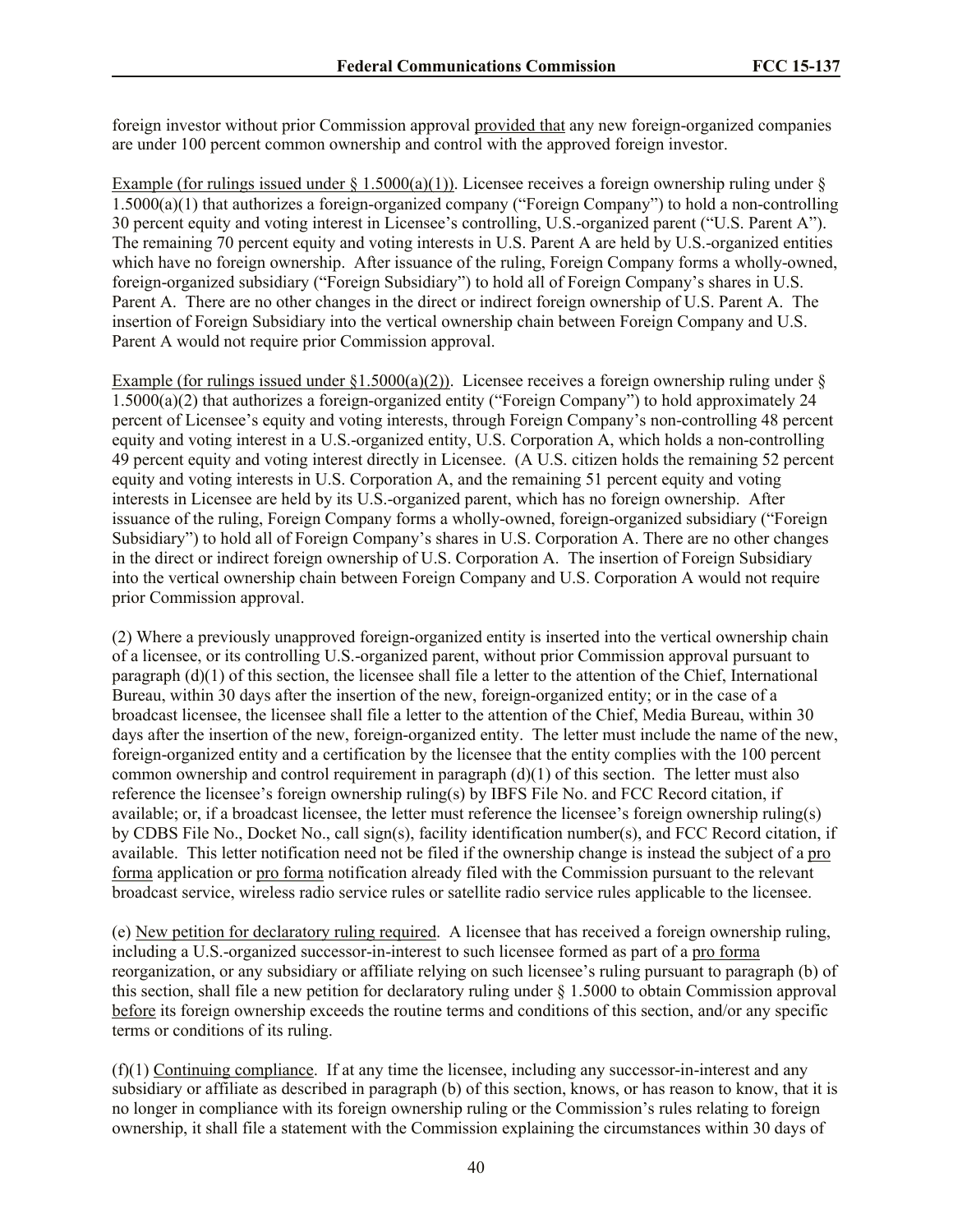foreign investor without prior Commission approval provided that any new foreign-organized companies are under 100 percent common ownership and control with the approved foreign investor.

Example (for rulings issued under § 1.5000(a)(1)). Licensee receives a foreign ownership ruling under § 1.5000(a)(1) that authorizes a foreign-organized company ("Foreign Company") to hold a non-controlling 30 percent equity and voting interest in Licensee's controlling, U.S.-organized parent ("U.S. Parent A"). The remaining 70 percent equity and voting interests in U.S. Parent A are held by U.S.-organized entities which have no foreign ownership. After issuance of the ruling, Foreign Company forms a wholly-owned, foreign-organized subsidiary ("Foreign Subsidiary") to hold all of Foreign Company's shares in U.S. Parent A. There are no other changes in the direct or indirect foreign ownership of U.S. Parent A. The insertion of Foreign Subsidiary into the vertical ownership chain between Foreign Company and U.S. Parent A would not require prior Commission approval.

Example (for rulings issued under  $\S1.5000(a)(2)$ ). Licensee receives a foreign ownership ruling under  $\S$ 1.5000(a)(2) that authorizes a foreign-organized entity ("Foreign Company") to hold approximately 24 percent of Licensee's equity and voting interests, through Foreign Company's non-controlling 48 percent equity and voting interest in a U.S.-organized entity, U.S. Corporation A, which holds a non-controlling 49 percent equity and voting interest directly in Licensee. (A U.S. citizen holds the remaining 52 percent equity and voting interests in U.S. Corporation A, and the remaining 51 percent equity and voting interests in Licensee are held by its U.S.-organized parent, which has no foreign ownership. After issuance of the ruling, Foreign Company forms a wholly-owned, foreign-organized subsidiary ("Foreign Subsidiary") to hold all of Foreign Company's shares in U.S. Corporation A. There are no other changes in the direct or indirect foreign ownership of U.S. Corporation A. The insertion of Foreign Subsidiary into the vertical ownership chain between Foreign Company and U.S. Corporation A would not require prior Commission approval.

(2) Where a previously unapproved foreign-organized entity is inserted into the vertical ownership chain of a licensee, or its controlling U.S.-organized parent, without prior Commission approval pursuant to paragraph (d)(1) of this section, the licensee shall file a letter to the attention of the Chief, International Bureau, within 30 days after the insertion of the new, foreign-organized entity; or in the case of a broadcast licensee, the licensee shall file a letter to the attention of the Chief, Media Bureau, within 30 days after the insertion of the new, foreign-organized entity. The letter must include the name of the new, foreign-organized entity and a certification by the licensee that the entity complies with the 100 percent common ownership and control requirement in paragraph  $(d)(1)$  of this section. The letter must also reference the licensee's foreign ownership ruling(s) by IBFS File No. and FCC Record citation, if available; or, if a broadcast licensee, the letter must reference the licensee's foreign ownership ruling(s) by CDBS File No., Docket No., call sign(s), facility identification number(s), and FCC Record citation, if available. This letter notification need not be filed if the ownership change is instead the subject of a pro forma application or pro forma notification already filed with the Commission pursuant to the relevant broadcast service, wireless radio service rules or satellite radio service rules applicable to the licensee.

(e) New petition for declaratory ruling required. A licensee that has received a foreign ownership ruling, including a U.S.-organized successor-in-interest to such licensee formed as part of a pro forma reorganization, or any subsidiary or affiliate relying on such licensee's ruling pursuant to paragraph (b) of this section, shall file a new petition for declaratory ruling under § 1.5000 to obtain Commission approval before its foreign ownership exceeds the routine terms and conditions of this section, and/or any specific terms or conditions of its ruling.

(f)(1) Continuing compliance. If at any time the licensee, including any successor-in-interest and any subsidiary or affiliate as described in paragraph (b) of this section, knows, or has reason to know, that it is no longer in compliance with its foreign ownership ruling or the Commission's rules relating to foreign ownership, it shall file a statement with the Commission explaining the circumstances within 30 days of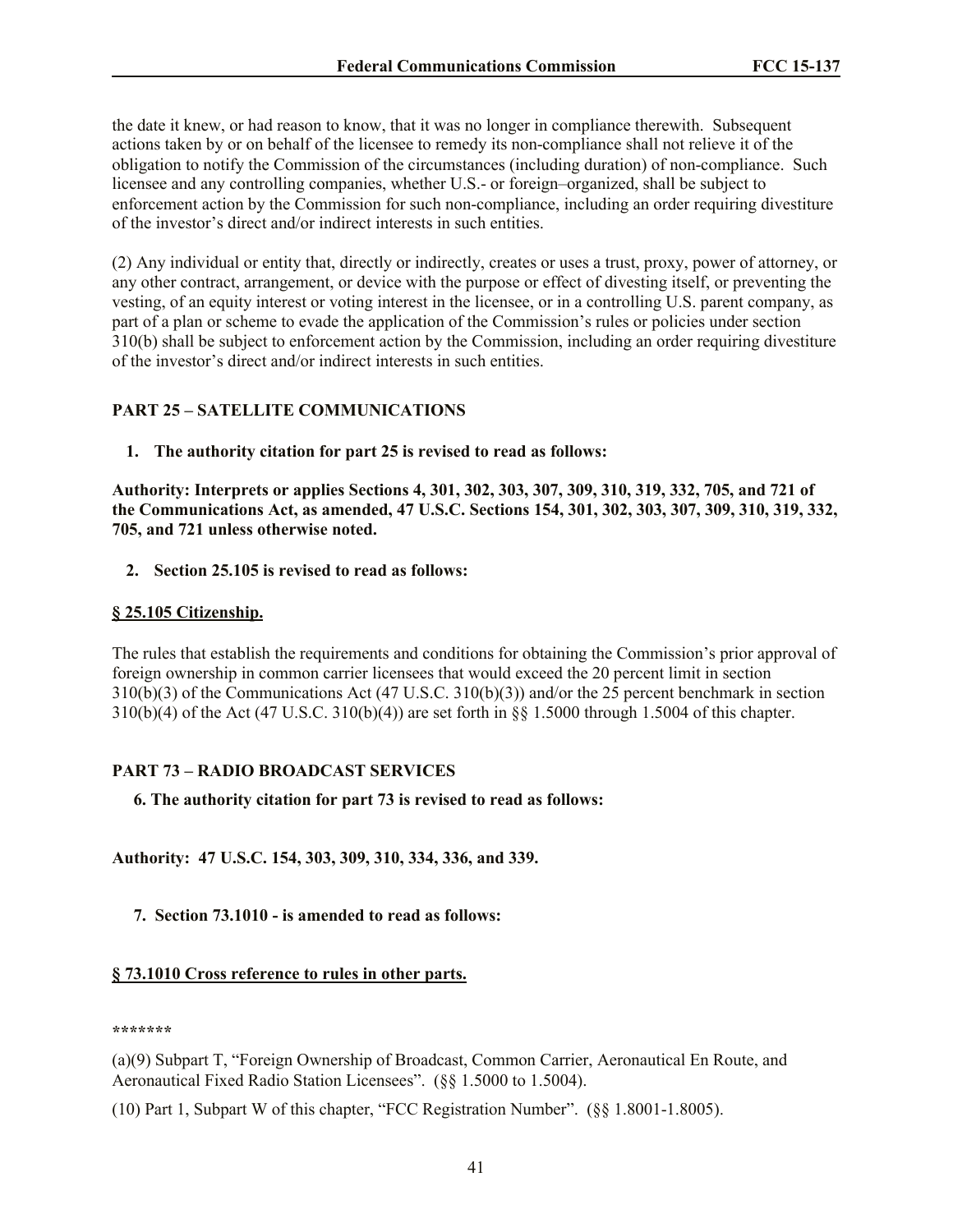the date it knew, or had reason to know, that it was no longer in compliance therewith. Subsequent actions taken by or on behalf of the licensee to remedy its non-compliance shall not relieve it of the obligation to notify the Commission of the circumstances (including duration) of non-compliance. Such licensee and any controlling companies, whether U.S.- or foreign–organized, shall be subject to enforcement action by the Commission for such non-compliance, including an order requiring divestiture of the investor's direct and/or indirect interests in such entities.

(2) Any individual or entity that, directly or indirectly, creates or uses a trust, proxy, power of attorney, or any other contract, arrangement, or device with the purpose or effect of divesting itself, or preventing the vesting, of an equity interest or voting interest in the licensee, or in a controlling U.S. parent company, as part of a plan or scheme to evade the application of the Commission's rules or policies under section 310(b) shall be subject to enforcement action by the Commission, including an order requiring divestiture of the investor's direct and/or indirect interests in such entities.

# **PART 25 – SATELLITE COMMUNICATIONS**

**1. The authority citation for part 25 is revised to read as follows:**

**Authority: Interprets or applies Sections 4, 301, 302, 303, 307, 309, 310, 319, 332, 705, and 721 of the Communications Act, as amended, 47 U.S.C. Sections 154, 301, 302, 303, 307, 309, 310, 319, 332, 705, and 721 unless otherwise noted.**

**2. Section 25.105 is revised to read as follows:**

#### **§ 25.105 Citizenship.**

The rules that establish the requirements and conditions for obtaining the Commission's prior approval of foreign ownership in common carrier licensees that would exceed the 20 percent limit in section 310(b)(3) of the Communications Act (47 U.S.C. 310(b)(3)) and/or the 25 percent benchmark in section 310(b)(4) of the Act (47 U.S.C. 310(b)(4)) are set forth in §§ 1.5000 through 1.5004 of this chapter.

#### **PART 73 – RADIO BROADCAST SERVICES**

 **6. The authority citation for part 73 is revised to read as follows:**

**Authority: 47 U.S.C. 154, 303, 309, 310, 334, 336, and 339.**

#### **7. Section 73.1010 - is amended to read as follows:**

# **§ 73.1010 Cross reference to rules in other parts.**

**\*\*\*\*\*\*\***

(a)(9) Subpart T, "Foreign Ownership of Broadcast, Common Carrier, Aeronautical En Route, and Aeronautical Fixed Radio Station Licensees". (§§ 1.5000 to 1.5004).

(10) Part 1, Subpart W of this chapter, "FCC Registration Number". (§§ 1.8001-1.8005).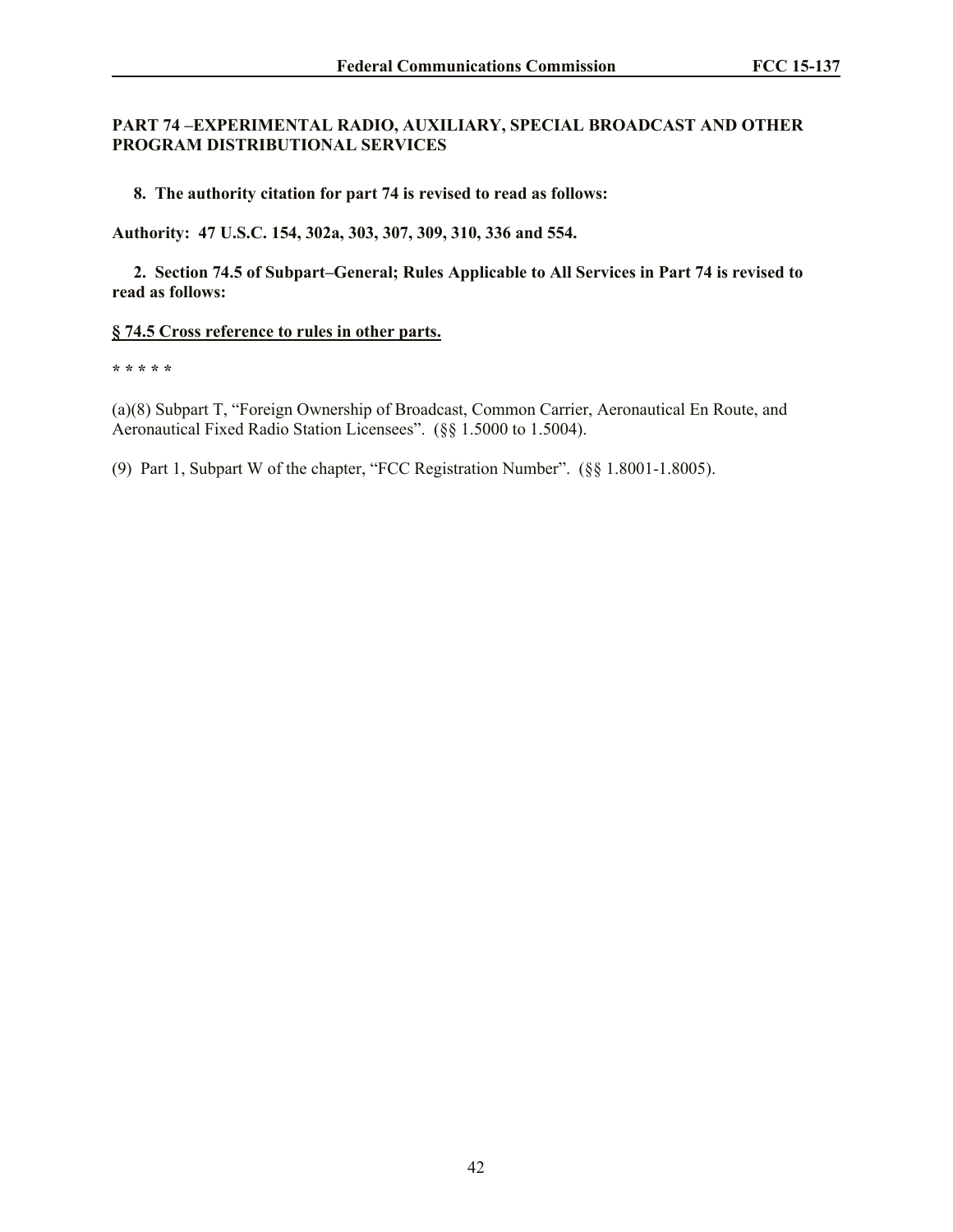## **PART 74 –EXPERIMENTAL RADIO, AUXILIARY, SPECIAL BROADCAST AND OTHER PROGRAM DISTRIBUTIONAL SERVICES**

 **8. The authority citation for part 74 is revised to read as follows:**

**Authority: 47 U.S.C. 154, 302a, 303, 307, 309, 310, 336 and 554.**

 **2. Section 74.5 of Subpart–General; Rules Applicable to All Services in Part 74 is revised to read as follows:**

#### **§ 74.5 Cross reference to rules in other parts.**

**\* \* \* \* \***

(a)(8) Subpart T, "Foreign Ownership of Broadcast, Common Carrier, Aeronautical En Route, and Aeronautical Fixed Radio Station Licensees". (§§ 1.5000 to 1.5004).

(9) Part 1, Subpart W of the chapter, "FCC Registration Number". (§§ 1.8001-1.8005).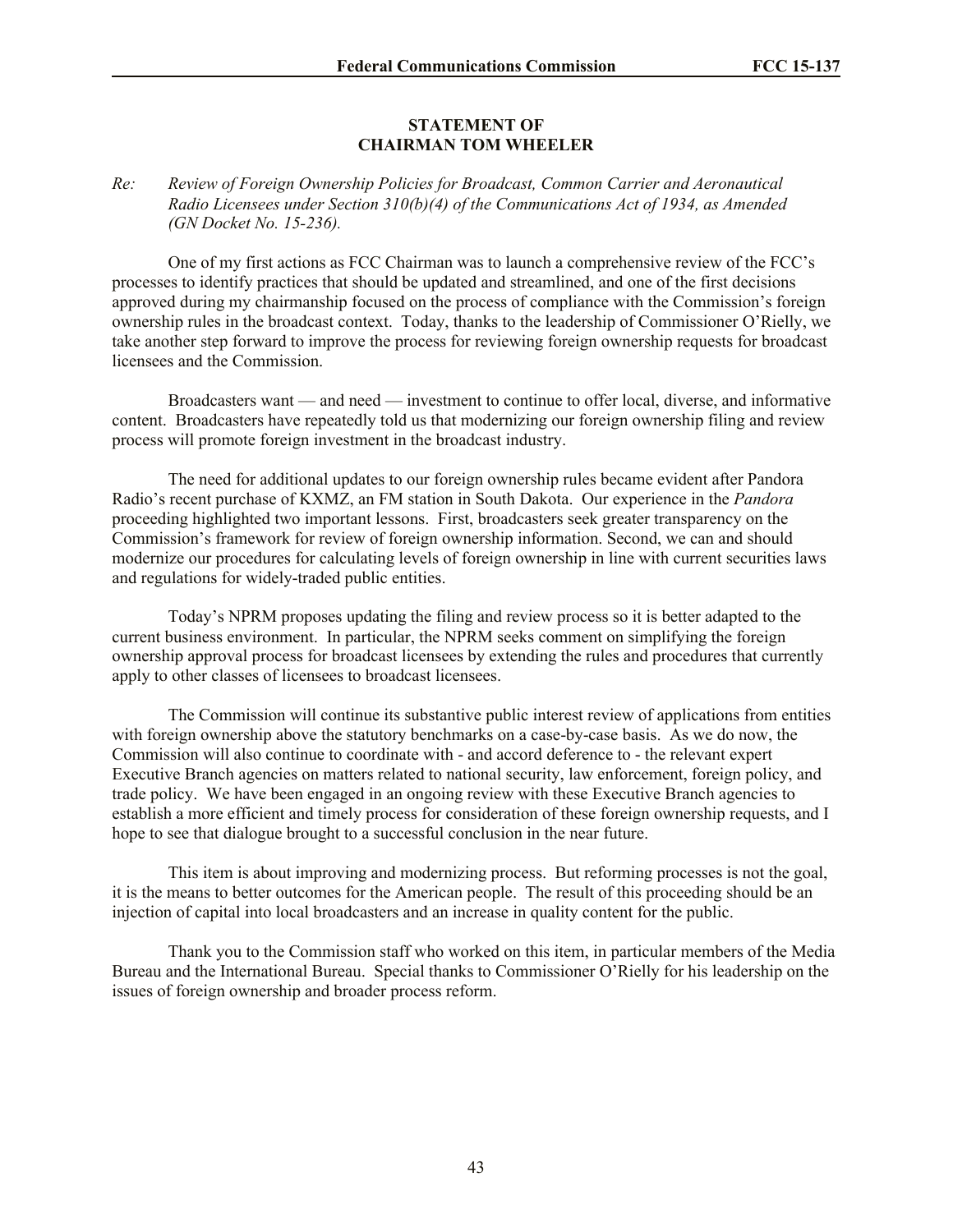# **STATEMENT OF CHAIRMAN TOM WHEELER**

## *Re: Review of Foreign Ownership Policies for Broadcast, Common Carrier and Aeronautical Radio Licensees under Section 310(b)(4) of the Communications Act of 1934, as Amended (GN Docket No. 15-236).*

One of my first actions as FCC Chairman was to launch a comprehensive review of the FCC's processes to identify practices that should be updated and streamlined, and one of the first decisions approved during my chairmanship focused on the process of compliance with the Commission's foreign ownership rules in the broadcast context. Today, thanks to the leadership of Commissioner O'Rielly, we take another step forward to improve the process for reviewing foreign ownership requests for broadcast licensees and the Commission.

Broadcasters want — and need — investment to continue to offer local, diverse, and informative content. Broadcasters have repeatedly told us that modernizing our foreign ownership filing and review process will promote foreign investment in the broadcast industry.

The need for additional updates to our foreign ownership rules became evident after Pandora Radio's recent purchase of KXMZ, an FM station in South Dakota. Our experience in the *Pandora* proceeding highlighted two important lessons. First, broadcasters seek greater transparency on the Commission's framework for review of foreign ownership information. Second, we can and should modernize our procedures for calculating levels of foreign ownership in line with current securities laws and regulations for widely-traded public entities.

Today's NPRM proposes updating the filing and review process so it is better adapted to the current business environment. In particular, the NPRM seeks comment on simplifying the foreign ownership approval process for broadcast licensees by extending the rules and procedures that currently apply to other classes of licensees to broadcast licensees.

The Commission will continue its substantive public interest review of applications from entities with foreign ownership above the statutory benchmarks on a case-by-case basis. As we do now, the Commission will also continue to coordinate with - and accord deference to - the relevant expert Executive Branch agencies on matters related to national security, law enforcement, foreign policy, and trade policy. We have been engaged in an ongoing review with these Executive Branch agencies to establish a more efficient and timely process for consideration of these foreign ownership requests, and I hope to see that dialogue brought to a successful conclusion in the near future.

This item is about improving and modernizing process. But reforming processes is not the goal, it is the means to better outcomes for the American people. The result of this proceeding should be an injection of capital into local broadcasters and an increase in quality content for the public.

Thank you to the Commission staff who worked on this item, in particular members of the Media Bureau and the International Bureau. Special thanks to Commissioner O'Rielly for his leadership on the issues of foreign ownership and broader process reform.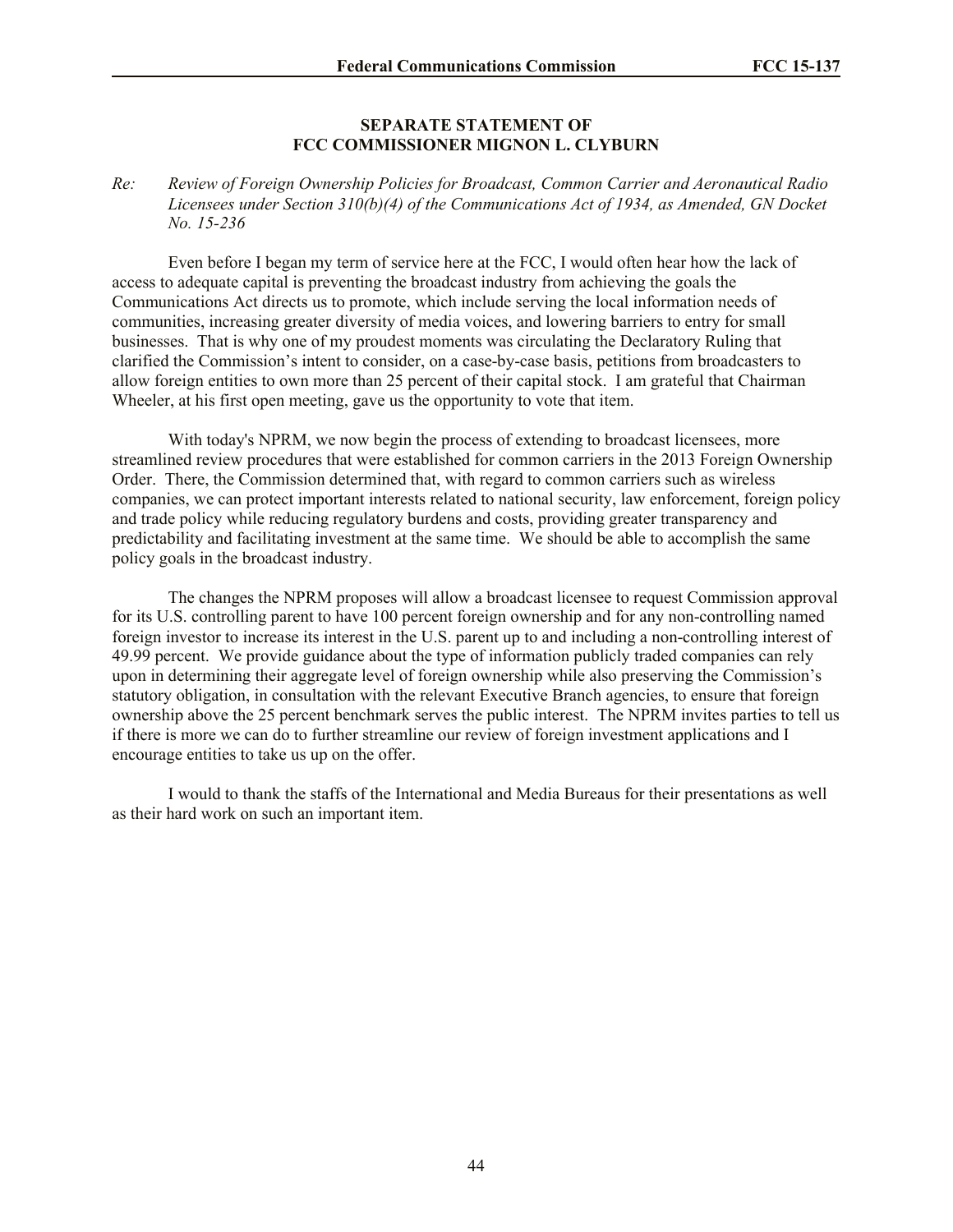#### **SEPARATE STATEMENT OF FCC COMMISSIONER MIGNON L. CLYBURN**

*Re: Review of Foreign Ownership Policies for Broadcast, Common Carrier and Aeronautical Radio Licensees under Section 310(b)(4) of the Communications Act of 1934, as Amended, GN Docket No. 15-236*

Even before I began my term of service here at the FCC, I would often hear how the lack of access to adequate capital is preventing the broadcast industry from achieving the goals the Communications Act directs us to promote, which include serving the local information needs of communities, increasing greater diversity of media voices, and lowering barriers to entry for small businesses. That is why one of my proudest moments was circulating the Declaratory Ruling that clarified the Commission's intent to consider, on a case-by-case basis, petitions from broadcasters to allow foreign entities to own more than 25 percent of their capital stock. I am grateful that Chairman Wheeler, at his first open meeting, gave us the opportunity to vote that item.

With today's NPRM, we now begin the process of extending to broadcast licensees, more streamlined review procedures that were established for common carriers in the 2013 Foreign Ownership Order. There, the Commission determined that, with regard to common carriers such as wireless companies, we can protect important interests related to national security, law enforcement, foreign policy and trade policy while reducing regulatory burdens and costs, providing greater transparency and predictability and facilitating investment at the same time. We should be able to accomplish the same policy goals in the broadcast industry.

The changes the NPRM proposes will allow a broadcast licensee to request Commission approval for its U.S. controlling parent to have 100 percent foreign ownership and for any non-controlling named foreign investor to increase its interest in the U.S. parent up to and including a non-controlling interest of 49.99 percent. We provide guidance about the type of information publicly traded companies can rely upon in determining their aggregate level of foreign ownership while also preserving the Commission's statutory obligation, in consultation with the relevant Executive Branch agencies, to ensure that foreign ownership above the 25 percent benchmark serves the public interest. The NPRM invites parties to tell us if there is more we can do to further streamline our review of foreign investment applications and I encourage entities to take us up on the offer.

I would to thank the staffs of the International and Media Bureaus for their presentations as well as their hard work on such an important item.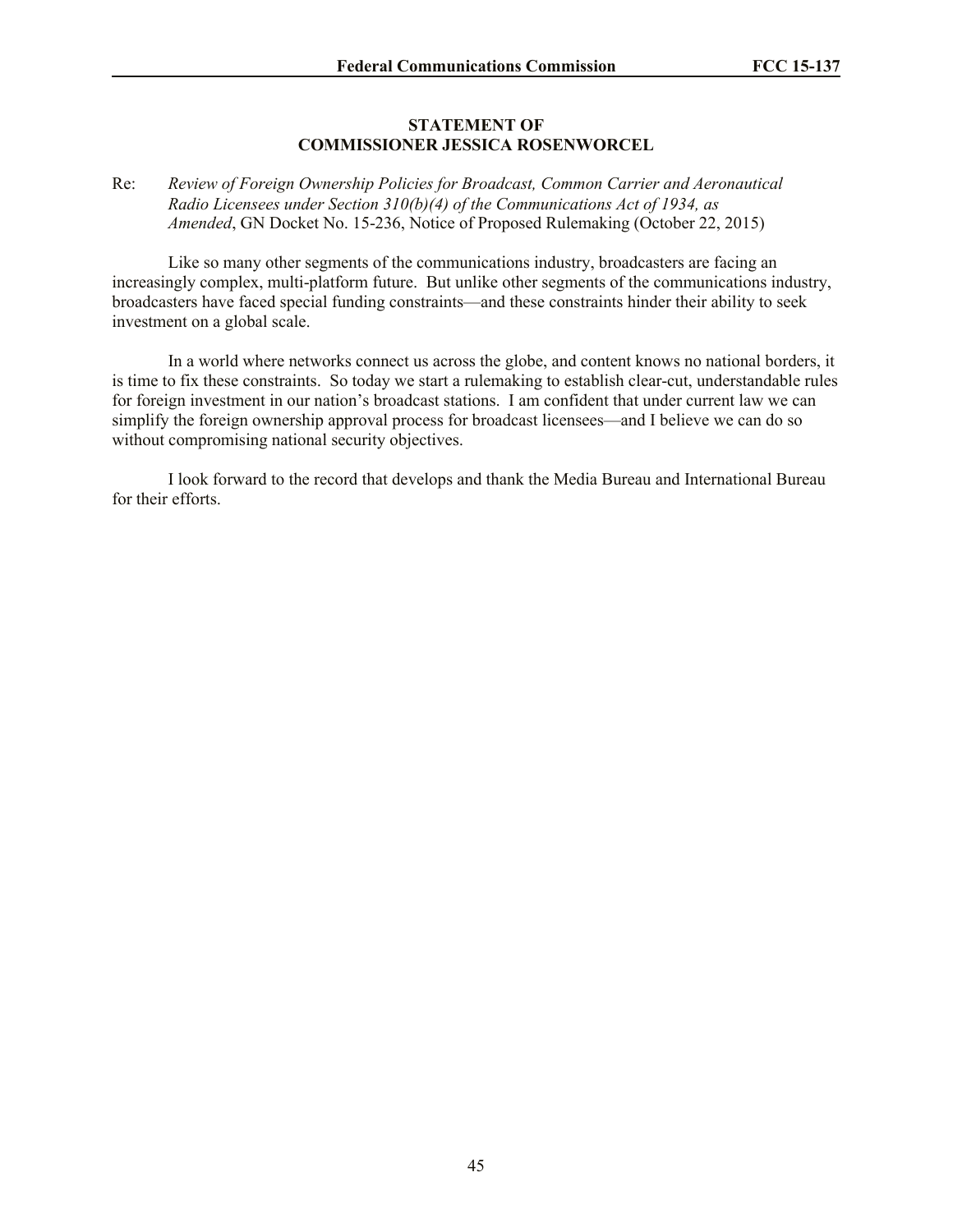#### **STATEMENT OF COMMISSIONER JESSICA ROSENWORCEL**

#### Re: *Review of Foreign Ownership Policies for Broadcast, Common Carrier and Aeronautical Radio Licensees under Section 310(b)(4) of the Communications Act of 1934, as Amended*, GN Docket No. 15-236, Notice of Proposed Rulemaking (October 22, 2015)

Like so many other segments of the communications industry, broadcasters are facing an increasingly complex, multi-platform future. But unlike other segments of the communications industry, broadcasters have faced special funding constraints—and these constraints hinder their ability to seek investment on a global scale.

In a world where networks connect us across the globe, and content knows no national borders, it is time to fix these constraints. So today we start a rulemaking to establish clear-cut, understandable rules for foreign investment in our nation's broadcast stations. I am confident that under current law we can simplify the foreign ownership approval process for broadcast licensees—and I believe we can do so without compromising national security objectives.

I look forward to the record that develops and thank the Media Bureau and International Bureau for their efforts.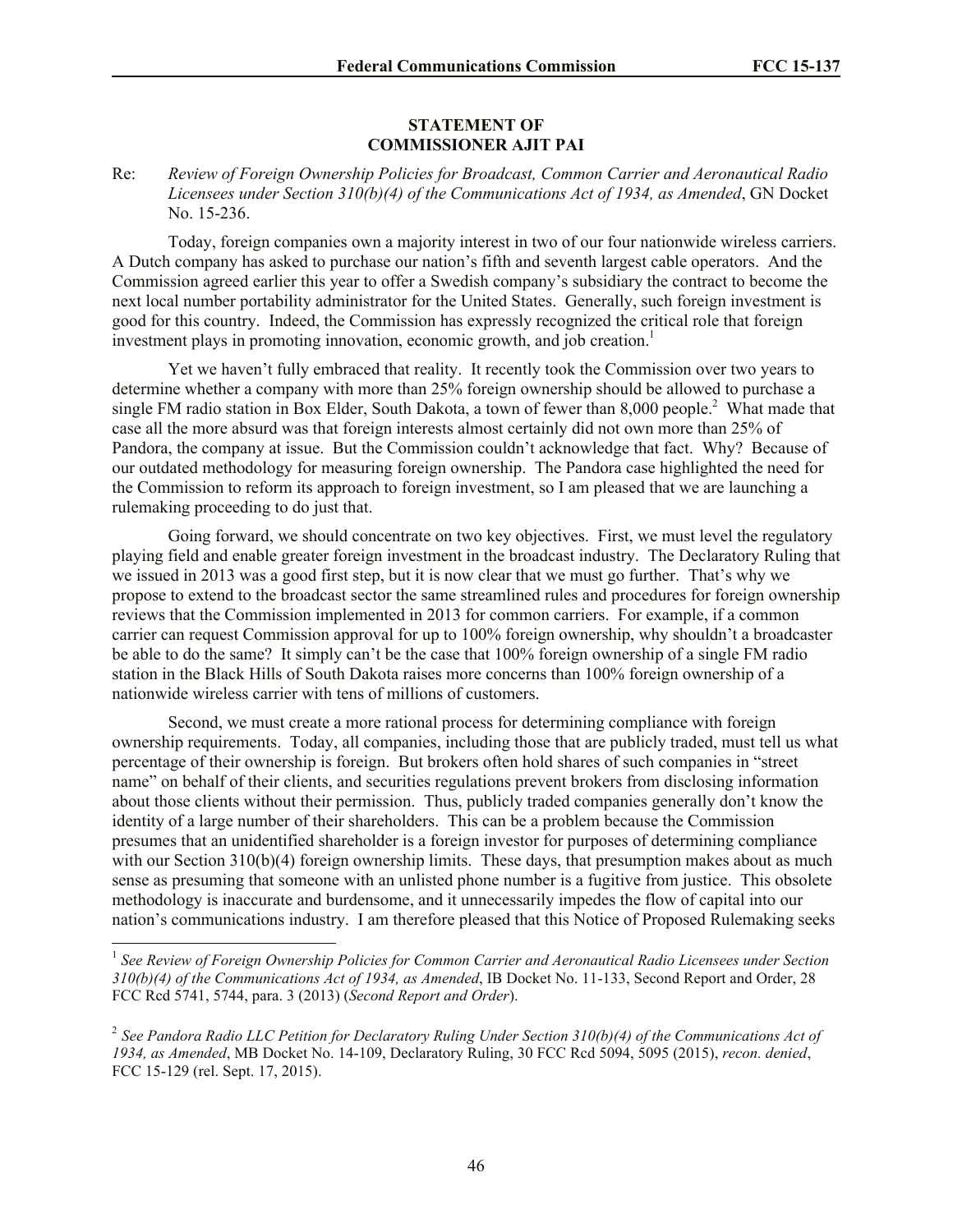## **STATEMENT OF COMMISSIONER AJIT PAI**

Re: *Review of Foreign Ownership Policies for Broadcast, Common Carrier and Aeronautical Radio Licensees under Section 310(b)(4) of the Communications Act of 1934, as Amended*, GN Docket No. 15-236.

Today, foreign companies own a majority interest in two of our four nationwide wireless carriers. A Dutch company has asked to purchase our nation's fifth and seventh largest cable operators. And the Commission agreed earlier this year to offer a Swedish company's subsidiary the contract to become the next local number portability administrator for the United States. Generally, such foreign investment is good for this country. Indeed, the Commission has expressly recognized the critical role that foreign investment plays in promoting innovation, economic growth, and job creation.<sup>1</sup>

Yet we haven't fully embraced that reality. It recently took the Commission over two years to determine whether a company with more than 25% foreign ownership should be allowed to purchase a single FM radio station in Box Elder, South Dakota, a town of fewer than  $8,000$  people.<sup>2</sup> What made that case all the more absurd was that foreign interests almost certainly did not own more than 25% of Pandora, the company at issue. But the Commission couldn't acknowledge that fact. Why? Because of our outdated methodology for measuring foreign ownership. The Pandora case highlighted the need for the Commission to reform its approach to foreign investment, so I am pleased that we are launching a rulemaking proceeding to do just that.

Going forward, we should concentrate on two key objectives. First, we must level the regulatory playing field and enable greater foreign investment in the broadcast industry. The Declaratory Ruling that we issued in 2013 was a good first step, but it is now clear that we must go further. That's why we propose to extend to the broadcast sector the same streamlined rules and procedures for foreign ownership reviews that the Commission implemented in 2013 for common carriers. For example, if a common carrier can request Commission approval for up to 100% foreign ownership, why shouldn't a broadcaster be able to do the same? It simply can't be the case that 100% foreign ownership of a single FM radio station in the Black Hills of South Dakota raises more concerns than 100% foreign ownership of a nationwide wireless carrier with tens of millions of customers.

Second, we must create a more rational process for determining compliance with foreign ownership requirements. Today, all companies, including those that are publicly traded, must tell us what percentage of their ownership is foreign. But brokers often hold shares of such companies in "street name" on behalf of their clients, and securities regulations prevent brokers from disclosing information about those clients without their permission. Thus, publicly traded companies generally don't know the identity of a large number of their shareholders. This can be a problem because the Commission presumes that an unidentified shareholder is a foreign investor for purposes of determining compliance with our Section 310(b)(4) foreign ownership limits. These days, that presumption makes about as much sense as presuming that someone with an unlisted phone number is a fugitive from justice. This obsolete methodology is inaccurate and burdensome, and it unnecessarily impedes the flow of capital into our nation's communications industry. I am therefore pleased that this Notice of Proposed Rulemaking seeks

 1 *See Review of Foreign Ownership Policies for Common Carrier and Aeronautical Radio Licensees under Section 310(b)(4) of the Communications Act of 1934, as Amended*, IB Docket No. 11-133, Second Report and Order, 28 FCC Rcd 5741, 5744, para. 3 (2013) (*Second Report and Order*).

<sup>&</sup>lt;sup>2</sup> See Pandora Radio LLC Petition for Declaratory Ruling Under Section 310(b)(4) of the Communications Act of *1934, as Amended*, MB Docket No. 14-109, Declaratory Ruling, 30 FCC Rcd 5094, 5095 (2015), *recon. denied*, FCC 15-129 (rel. Sept. 17, 2015).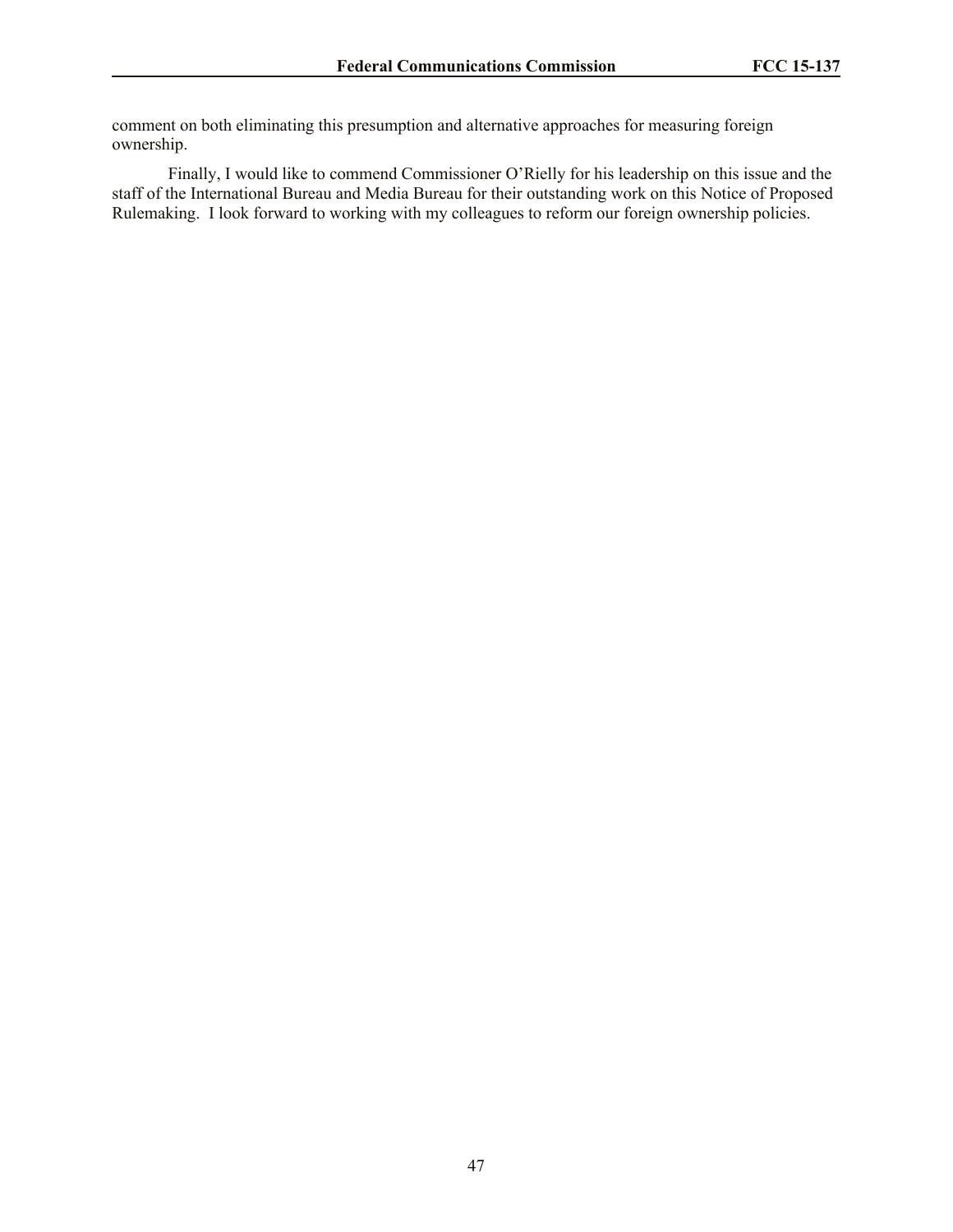comment on both eliminating this presumption and alternative approaches for measuring foreign ownership.

Finally, I would like to commend Commissioner O'Rielly for his leadership on this issue and the staff of the International Bureau and Media Bureau for their outstanding work on this Notice of Proposed Rulemaking. I look forward to working with my colleagues to reform our foreign ownership policies.